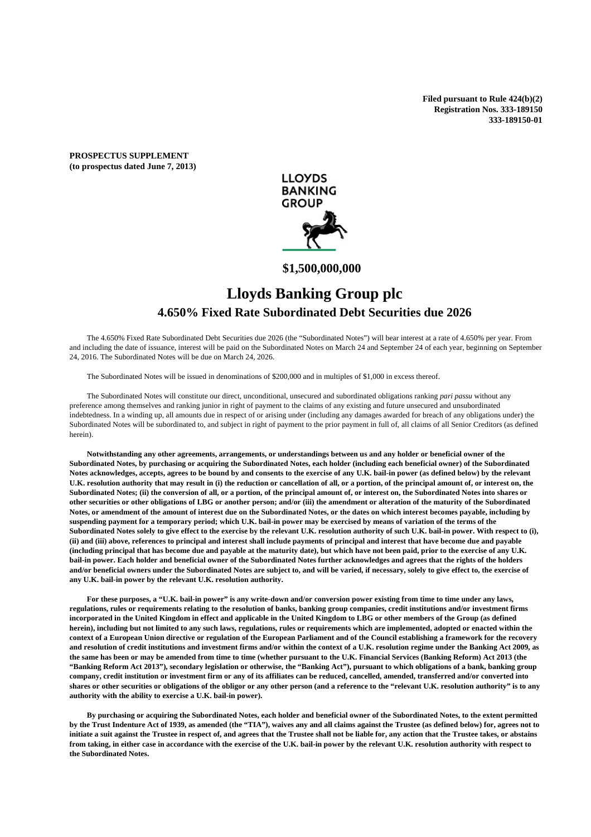**Filed pursuant to Rule 424(b)(2) Registration Nos. 333-189150 333-189150-01** 

**PROSPECTUS SUPPLEMENT (to prospectus dated June 7, 2013)** 



# **\$1,500,000,000**

# **Lloyds Banking Group plc 4.650% Fixed Rate Subordinated Debt Securities due 2026**

 The 4.650% Fixed Rate Subordinated Debt Securities due 2026 (the "Subordinated Notes") will bear interest at a rate of 4.650% per year. From and including the date of issuance, interest will be paid on the Subordinated Notes on March 24 and September 24 of each year, beginning on September 24, 2016. The Subordinated Notes will be due on March 24, 2026.

The Subordinated Notes will be issued in denominations of \$200,000 and in multiples of \$1,000 in excess thereof.

 The Subordinated Notes will constitute our direct, unconditional, unsecured and subordinated obligations ranking *pari passu* without any preference among themselves and ranking junior in right of payment to the claims of any existing and future unsecured and unsubordinated indebtedness. In a winding up, all amounts due in respect of or arising under (including any damages awarded for breach of any obligations under) the Subordinated Notes will be subordinated to, and subject in right of payment to the prior payment in full of, all claims of all Senior Creditors (as defined herein).

**Notwithstanding any other agreements, arrangements, or understandings between us and any holder or beneficial owner of the Subordinated Notes, by purchasing or acquiring the Subordinated Notes, each holder (including each beneficial owner) of the Subordinated Notes acknowledges, accepts, agrees to be bound by and consents to the exercise of any U.K. bail-in power (as defined below) by the relevant U.K. resolution authority that may result in (i) the reduction or cancellation of all, or a portion, of the principal amount of, or interest on, the Subordinated Notes; (ii) the conversion of all, or a portion, of the principal amount of, or interest on, the Subordinated Notes into shares or other securities or other obligations of LBG or another person; and/or (iii) the amendment or alteration of the maturity of the Subordinated Notes, or amendment of the amount of interest due on the Subordinated Notes, or the dates on which interest becomes payable, including by suspending payment for a temporary period; which U.K. bail-in power may be exercised by means of variation of the terms of the**  Subordinated Notes solely to give effect to the exercise by the relevant U.K. resolution authority of such U.K. bail-in power. With respect to (i), **(ii) and (iii) above, references to principal and interest shall include payments of principal and interest that have become due and payable (including principal that has become due and payable at the maturity date), but which have not been paid, prior to the exercise of any U.K. bail-in power. Each holder and beneficial owner of the Subordinated Notes further acknowledges and agrees that the rights of the holders and/or beneficial owners under the Subordinated Notes are subject to, and will be varied, if necessary, solely to give effect to, the exercise of any U.K. bail-in power by the relevant U.K. resolution authority.** 

**For these purposes, a "U.K. bail-in power" is any write-down and/or conversion power existing from time to time under any laws, regulations, rules or requirements relating to the resolution of banks, banking group companies, credit institutions and/or investment firms incorporated in the United Kingdom in effect and applicable in the United Kingdom to LBG or other members of the Group (as defined herein), including but not limited to any such laws, regulations, rules or requirements which are implemented, adopted or enacted within the context of a European Union directive or regulation of the European Parliament and of the Council establishing a framework for the recovery and resolution of credit institutions and investment firms and/or within the context of a U.K. resolution regime under the Banking Act 2009, as the same has been or may be amended from time to time (whether pursuant to the U.K. Financial Services (Banking Reform) Act 2013 (the "Banking Reform Act 2013"), secondary legislation or otherwise, the "Banking Act"), pursuant to which obligations of a bank, banking group company, credit institution or investment firm or any of its affiliates can be reduced, cancelled, amended, transferred and/or converted into shares or other securities or obligations of the obligor or any other person (and a reference to the "relevant U.K. resolution authority" is to any authority with the ability to exercise a U.K. bail-in power).** 

**By purchasing or acquiring the Subordinated Notes, each holder and beneficial owner of the Subordinated Notes, to the extent permitted by the Trust Indenture Act of 1939, as amended (the "TIA"), waives any and all claims against the Trustee (as defined below) for, agrees not to initiate a suit against the Trustee in respect of, and agrees that the Trustee shall not be liable for, any action that the Trustee takes, or abstains from taking, in either case in accordance with the exercise of the U.K. bail-in power by the relevant U.K. resolution authority with respect to the Subordinated Notes.**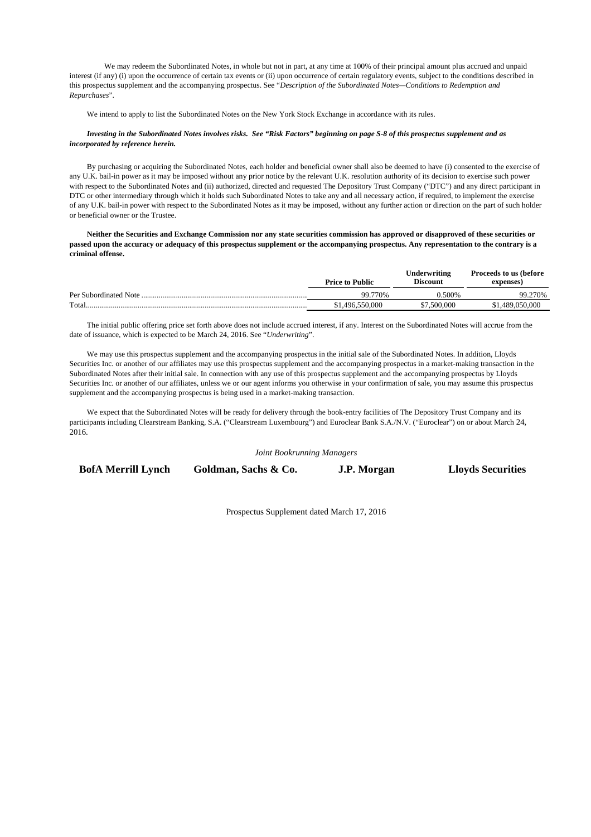We may redeem the Subordinated Notes, in whole but not in part, at any time at 100% of their principal amount plus accrued and unpaid interest (if any) (i) upon the occurrence of certain tax events or (ii) upon occurrence of certain regulatory events, subject to the conditions described in this prospectus supplement and the accompanying prospectus. See "*Description of the Subordinated Notes—Conditions to Redemption and Repurchases*".

We intend to apply to list the Subordinated Notes on the New York Stock Exchange in accordance with its rules.

#### *Investing in the Subordinated Notes involves risks. See "Risk Factors" beginning on page S-8 of this prospectus supplement and as incorporated by reference herein.*

By purchasing or acquiring the Subordinated Notes, each holder and beneficial owner shall also be deemed to have (i) consented to the exercise of any U.K. bail-in power as it may be imposed without any prior notice by the relevant U.K. resolution authority of its decision to exercise such power with respect to the Subordinated Notes and (ii) authorized, directed and requested The Depository Trust Company ("DTC") and any direct participant in DTC or other intermediary through which it holds such Subordinated Notes to take any and all necessary action, if required, to implement the exercise of any U.K. bail-in power with respect to the Subordinated Notes as it may be imposed, without any further action or direction on the part of such holder or beneficial owner or the Trustee.

 **Neither the Securities and Exchange Commission nor any state securities commission has approved or disapproved of these securities or passed upon the accuracy or adequacy of this prospectus supplement or the accompanying prospectus. Any representation to the contrary is a criminal offense.** 

|                        | <b>Price to Public</b> | Underwriting<br><b>Discount</b> | Proceeds to us (before<br>expenses) |
|------------------------|------------------------|---------------------------------|-------------------------------------|
| Per Subordinated Note. | 99.770%                | <b>0.500%</b>                   | 99.270%                             |
| Total                  | \$1.496.550.000        | \$7,500,000                     | .489.050.000                        |

The initial public offering price set forth above does not include accrued interest, if any. Interest on the Subordinated Notes will accrue from the date of issuance, which is expected to be March 24, 2016. See "*Underwriting*".

 We may use this prospectus supplement and the accompanying prospectus in the initial sale of the Subordinated Notes. In addition, Lloyds Securities Inc. or another of our affiliates may use this prospectus supplement and the accompanying prospectus in a market-making transaction in the Subordinated Notes after their initial sale. In connection with any use of this prospectus supplement and the accompanying prospectus by Lloyds Securities Inc. or another of our affiliates, unless we or our agent informs you otherwise in your confirmation of sale, you may assume this prospectus supplement and the accompanying prospectus is being used in a market-making transaction.

 We expect that the Subordinated Notes will be ready for delivery through the book-entry facilities of The Depository Trust Company and its participants including Clearstream Banking, S.A. ("Clearstream Luxembourg") and Euroclear Bank S.A./N.V. ("Euroclear") on or about March 24, 2016.

*Joint Bookrunning Managers* 

**BofA Merrill Lynch Goldman, Sachs & Co. J.P. Morgan Lloyds Securities** 

Prospectus Supplement dated March 17, 2016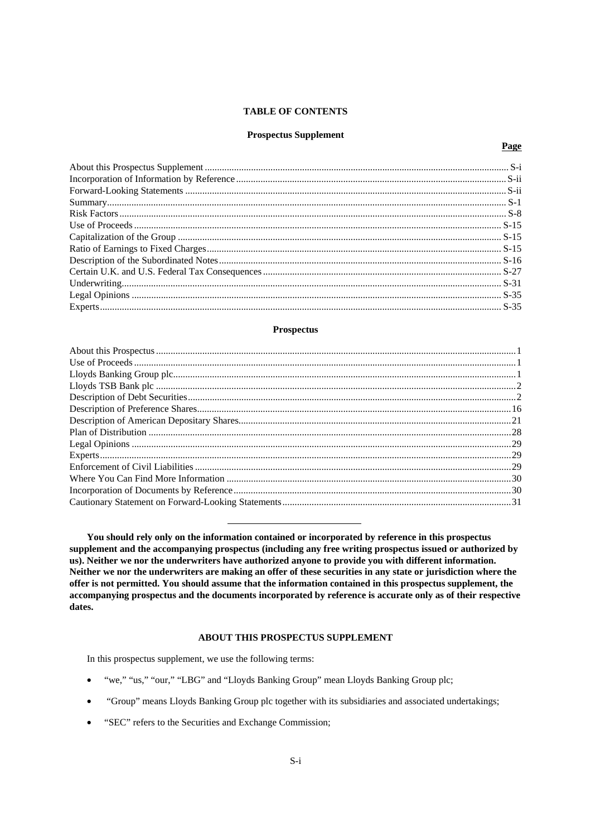# **TABLE OF CONTENTS**

#### **Prospectus Supplement**

# Page

#### **Prospectus**

You should rely only on the information contained or incorporated by reference in this prospectus supplement and the accompanying prospectus (including any free writing prospectus issued or authorized by us). Neither we nor the underwriters have authorized anyone to provide you with different information. Neither we nor the underwriters are making an offer of these securities in any state or jurisdiction where the offer is not permitted. You should assume that the information contained in this prospectus supplement, the accompanying prospectus and the documents incorporated by reference is accurate only as of their respective dates.

# **ABOUT THIS PROSPECTUS SUPPLEMENT**

In this prospectus supplement, we use the following terms:

- "we," "us," "our," "LBG" and "Lloyds Banking Group" mean Lloyds Banking Group plc;
- "Group" means Lloyds Banking Group plc together with its subsidiaries and associated undertakings;  $\bullet$
- $\bullet$ "SEC" refers to the Securities and Exchange Commission;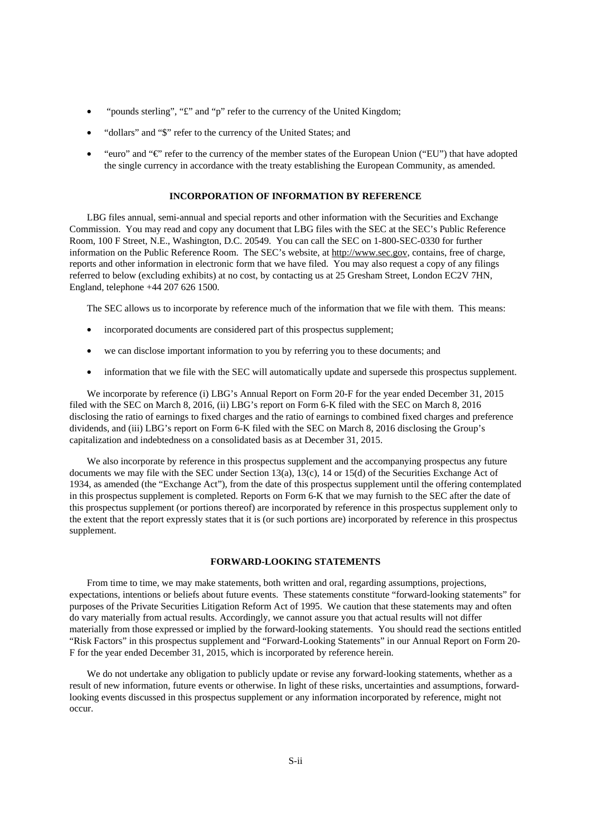- "pounds sterling", "£" and "p" refer to the currency of the United Kingdom;
- "dollars" and "\$" refer to the currency of the United States; and
- "euro" and "€" refer to the currency of the member states of the European Union ("EU") that have adopted the single currency in accordance with the treaty establishing the European Community, as amended.

#### **INCORPORATION OF INFORMATION BY REFERENCE**

LBG files annual, semi-annual and special reports and other information with the Securities and Exchange Commission. You may read and copy any document that LBG files with the SEC at the SEC's Public Reference Room, 100 F Street, N.E., Washington, D.C. 20549. You can call the SEC on 1-800-SEC-0330 for further information on the Public Reference Room. The SEC's website, at http://www.sec.gov, contains, free of charge, reports and other information in electronic form that we have filed. You may also request a copy of any filings referred to below (excluding exhibits) at no cost, by contacting us at 25 Gresham Street, London EC2V 7HN, England, telephone +44 207 626 1500.

The SEC allows us to incorporate by reference much of the information that we file with them. This means:

- incorporated documents are considered part of this prospectus supplement;
- we can disclose important information to you by referring you to these documents; and
- information that we file with the SEC will automatically update and supersede this prospectus supplement.

We incorporate by reference (i) LBG's Annual Report on Form 20-F for the year ended December 31, 2015 filed with the SEC on March 8, 2016, (ii) LBG's report on Form 6-K filed with the SEC on March 8, 2016 disclosing the ratio of earnings to fixed charges and the ratio of earnings to combined fixed charges and preference dividends, and (iii) LBG's report on Form 6-K filed with the SEC on March 8, 2016 disclosing the Group's capitalization and indebtedness on a consolidated basis as at December 31, 2015.

We also incorporate by reference in this prospectus supplement and the accompanying prospectus any future documents we may file with the SEC under Section 13(a), 13(c), 14 or 15(d) of the Securities Exchange Act of 1934, as amended (the "Exchange Act"), from the date of this prospectus supplement until the offering contemplated in this prospectus supplement is completed. Reports on Form 6-K that we may furnish to the SEC after the date of this prospectus supplement (or portions thereof) are incorporated by reference in this prospectus supplement only to the extent that the report expressly states that it is (or such portions are) incorporated by reference in this prospectus supplement.

# **FORWARD-LOOKING STATEMENTS**

From time to time, we may make statements, both written and oral, regarding assumptions, projections, expectations, intentions or beliefs about future events. These statements constitute "forward-looking statements" for purposes of the Private Securities Litigation Reform Act of 1995. We caution that these statements may and often do vary materially from actual results. Accordingly, we cannot assure you that actual results will not differ materially from those expressed or implied by the forward-looking statements. You should read the sections entitled "Risk Factors" in this prospectus supplement and "Forward-Looking Statements" in our Annual Report on Form 20- F for the year ended December 31, 2015, which is incorporated by reference herein.

We do not undertake any obligation to publicly update or revise any forward-looking statements, whether as a result of new information, future events or otherwise. In light of these risks, uncertainties and assumptions, forwardlooking events discussed in this prospectus supplement or any information incorporated by reference, might not occur.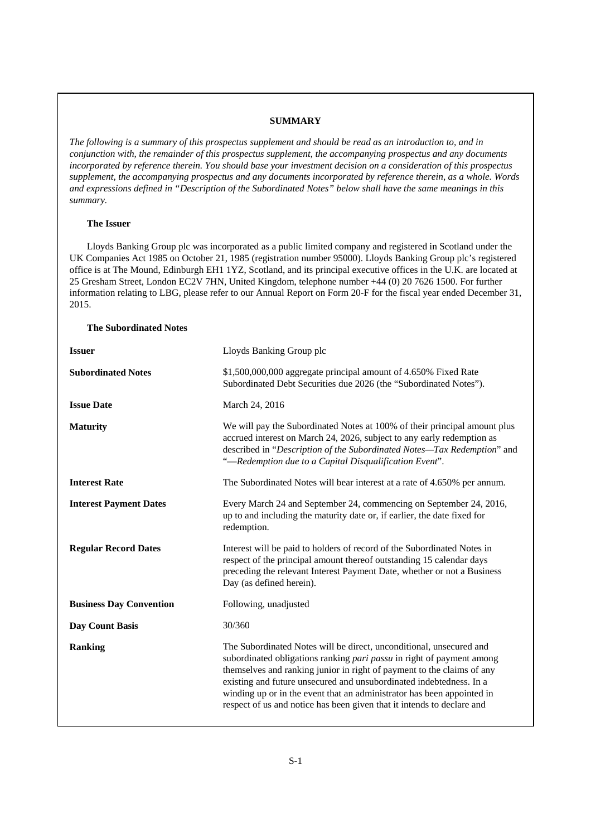# **SUMMARY**

*The following is a summary of this prospectus supplement and should be read as an introduction to, and in conjunction with, the remainder of this prospectus supplement, the accompanying prospectus and any documents incorporated by reference therein. You should base your investment decision on a consideration of this prospectus supplement, the accompanying prospectus and any documents incorporated by reference therein, as a whole. Words and expressions defined in "Description of the Subordinated Notes" below shall have the same meanings in this summary.* 

# **The Issuer**

Lloyds Banking Group plc was incorporated as a public limited company and registered in Scotland under the UK Companies Act 1985 on October 21, 1985 (registration number 95000). Lloyds Banking Group plc's registered office is at The Mound, Edinburgh EH1 1YZ, Scotland, and its principal executive offices in the U.K. are located at 25 Gresham Street, London EC2V 7HN, United Kingdom, telephone number +44 (0) 20 7626 1500. For further information relating to LBG, please refer to our Annual Report on Form 20-F for the fiscal year ended December 31, 2015.

# **The Subordinated Notes**

| <b>Issuer</b>                  | Lloyds Banking Group plc                                                                                                                                                                                                                                                                                                                                                                                                                          |
|--------------------------------|---------------------------------------------------------------------------------------------------------------------------------------------------------------------------------------------------------------------------------------------------------------------------------------------------------------------------------------------------------------------------------------------------------------------------------------------------|
| <b>Subordinated Notes</b>      | \$1,500,000,000 aggregate principal amount of 4.650% Fixed Rate<br>Subordinated Debt Securities due 2026 (the "Subordinated Notes").                                                                                                                                                                                                                                                                                                              |
| <b>Issue Date</b>              | March 24, 2016                                                                                                                                                                                                                                                                                                                                                                                                                                    |
| <b>Maturity</b>                | We will pay the Subordinated Notes at 100% of their principal amount plus<br>accrued interest on March 24, 2026, subject to any early redemption as<br>described in "Description of the Subordinated Notes-Tax Redemption" and<br>"-Redemption due to a Capital Disqualification Event".                                                                                                                                                          |
| <b>Interest Rate</b>           | The Subordinated Notes will bear interest at a rate of 4.650% per annum.                                                                                                                                                                                                                                                                                                                                                                          |
| <b>Interest Payment Dates</b>  | Every March 24 and September 24, commencing on September 24, 2016,<br>up to and including the maturity date or, if earlier, the date fixed for<br>redemption.                                                                                                                                                                                                                                                                                     |
| <b>Regular Record Dates</b>    | Interest will be paid to holders of record of the Subordinated Notes in<br>respect of the principal amount thereof outstanding 15 calendar days<br>preceding the relevant Interest Payment Date, whether or not a Business<br>Day (as defined herein).                                                                                                                                                                                            |
| <b>Business Day Convention</b> | Following, unadjusted                                                                                                                                                                                                                                                                                                                                                                                                                             |
| <b>Day Count Basis</b>         | 30/360                                                                                                                                                                                                                                                                                                                                                                                                                                            |
| <b>Ranking</b>                 | The Subordinated Notes will be direct, unconditional, unsecured and<br>subordinated obligations ranking pari passu in right of payment among<br>themselves and ranking junior in right of payment to the claims of any<br>existing and future unsecured and unsubordinated indebtedness. In a<br>winding up or in the event that an administrator has been appointed in<br>respect of us and notice has been given that it intends to declare and |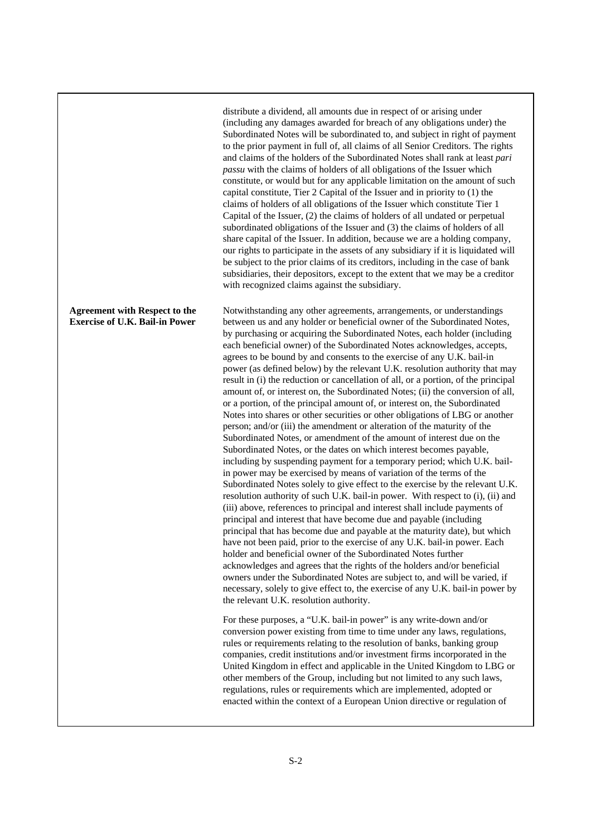distribute a dividend, all amounts due in respect of or arising under (including any damages awarded for breach of any obligations under) the Subordinated Notes will be subordinated to, and subject in right of payment to the prior payment in full of, all claims of all Senior Creditors. The rights and claims of the holders of the Subordinated Notes shall rank at least *pari passu* with the claims of holders of all obligations of the Issuer which constitute, or would but for any applicable limitation on the amount of such capital constitute, Tier 2 Capital of the Issuer and in priority to (1) the claims of holders of all obligations of the Issuer which constitute Tier 1 Capital of the Issuer, (2) the claims of holders of all undated or perpetual subordinated obligations of the Issuer and (3) the claims of holders of all share capital of the Issuer. In addition, because we are a holding company, our rights to participate in the assets of any subsidiary if it is liquidated will be subject to the prior claims of its creditors, including in the case of bank subsidiaries, their depositors, except to the extent that we may be a creditor with recognized claims against the subsidiary.

Notwithstanding any other agreements, arrangements, or understandings between us and any holder or beneficial owner of the Subordinated Notes, by purchasing or acquiring the Subordinated Notes, each holder (including each beneficial owner) of the Subordinated Notes acknowledges, accepts, agrees to be bound by and consents to the exercise of any U.K. bail-in power (as defined below) by the relevant U.K. resolution authority that may result in (i) the reduction or cancellation of all, or a portion, of the principal amount of, or interest on, the Subordinated Notes; (ii) the conversion of all, or a portion, of the principal amount of, or interest on, the Subordinated Notes into shares or other securities or other obligations of LBG or another person; and/or (iii) the amendment or alteration of the maturity of the Subordinated Notes, or amendment of the amount of interest due on the Subordinated Notes, or the dates on which interest becomes payable, including by suspending payment for a temporary period; which U.K. bailin power may be exercised by means of variation of the terms of the Subordinated Notes solely to give effect to the exercise by the relevant U.K. resolution authority of such U.K. bail-in power. With respect to (i), (ii) and (iii) above, references to principal and interest shall include payments of principal and interest that have become due and payable (including principal that has become due and payable at the maturity date), but which have not been paid, prior to the exercise of any U.K. bail-in power. Each holder and beneficial owner of the Subordinated Notes further acknowledges and agrees that the rights of the holders and/or beneficial owners under the Subordinated Notes are subject to, and will be varied, if necessary, solely to give effect to, the exercise of any U.K. bail-in power by the relevant U.K. resolution authority.

For these purposes, a "U.K. bail-in power" is any write-down and/or conversion power existing from time to time under any laws, regulations, rules or requirements relating to the resolution of banks, banking group companies, credit institutions and/or investment firms incorporated in the United Kingdom in effect and applicable in the United Kingdom to LBG or other members of the Group, including but not limited to any such laws, regulations, rules or requirements which are implemented, adopted or enacted within the context of a European Union directive or regulation of

# **Agreement with Respect to the Exercise of U.K. Bail-in Power**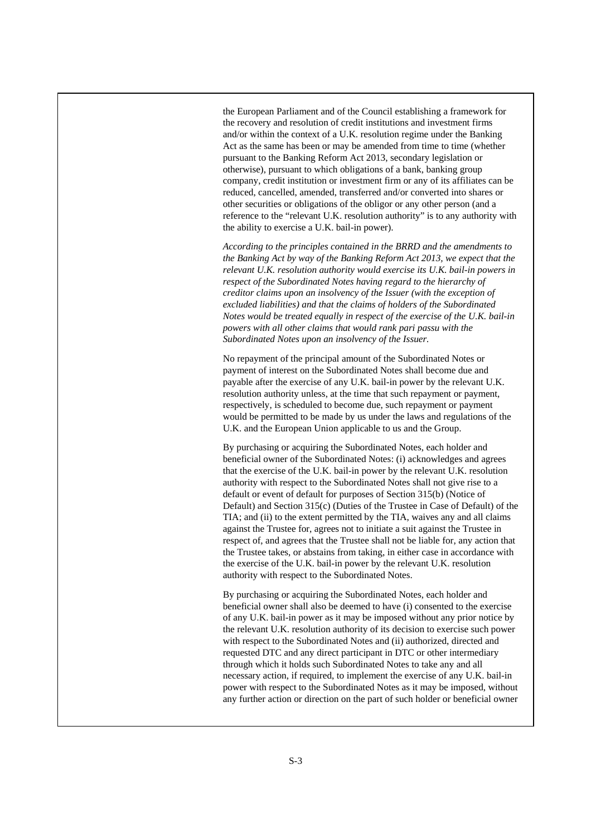the European Parliament and of the Council establishing a framework for the recovery and resolution of credit institutions and investment firms and/or within the context of a U.K. resolution regime under the Banking Act as the same has been or may be amended from time to time (whether pursuant to the Banking Reform Act 2013, secondary legislation or otherwise), pursuant to which obligations of a bank, banking group company, credit institution or investment firm or any of its affiliates can be reduced, cancelled, amended, transferred and/or converted into shares or other securities or obligations of the obligor or any other person (and a reference to the "relevant U.K. resolution authority" is to any authority with the ability to exercise a U.K. bail-in power).

*According to the principles contained in the BRRD and the amendments to the Banking Act by way of the Banking Reform Act 2013, we expect that the relevant U.K. resolution authority would exercise its U.K. bail-in powers in respect of the Subordinated Notes having regard to the hierarchy of creditor claims upon an insolvency of the Issuer (with the exception of excluded liabilities) and that the claims of holders of the Subordinated Notes would be treated equally in respect of the exercise of the U.K. bail-in powers with all other claims that would rank pari passu with the Subordinated Notes upon an insolvency of the Issuer.* 

No repayment of the principal amount of the Subordinated Notes or payment of interest on the Subordinated Notes shall become due and payable after the exercise of any U.K. bail-in power by the relevant U.K. resolution authority unless, at the time that such repayment or payment, respectively, is scheduled to become due, such repayment or payment would be permitted to be made by us under the laws and regulations of the U.K. and the European Union applicable to us and the Group.

By purchasing or acquiring the Subordinated Notes, each holder and beneficial owner of the Subordinated Notes: (i) acknowledges and agrees that the exercise of the U.K. bail-in power by the relevant U.K. resolution authority with respect to the Subordinated Notes shall not give rise to a default or event of default for purposes of Section 315(b) (Notice of Default) and Section 315(c) (Duties of the Trustee in Case of Default) of the TIA; and (ii) to the extent permitted by the TIA, waives any and all claims against the Trustee for, agrees not to initiate a suit against the Trustee in respect of, and agrees that the Trustee shall not be liable for, any action that the Trustee takes, or abstains from taking, in either case in accordance with the exercise of the U.K. bail-in power by the relevant U.K. resolution authority with respect to the Subordinated Notes.

By purchasing or acquiring the Subordinated Notes, each holder and beneficial owner shall also be deemed to have (i) consented to the exercise of any U.K. bail-in power as it may be imposed without any prior notice by the relevant U.K. resolution authority of its decision to exercise such power with respect to the Subordinated Notes and (ii) authorized, directed and requested DTC and any direct participant in DTC or other intermediary through which it holds such Subordinated Notes to take any and all necessary action, if required, to implement the exercise of any U.K. bail-in power with respect to the Subordinated Notes as it may be imposed, without any further action or direction on the part of such holder or beneficial owner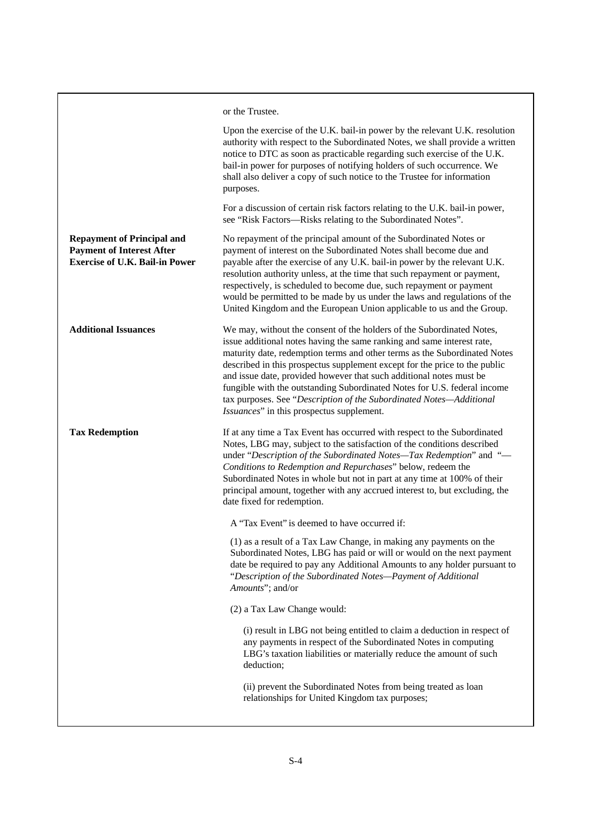or the Trustee. Upon the exercise of the U.K. bail-in power by the relevant U.K. resolution authority with respect to the Subordinated Notes, we shall provide a written notice to DTC as soon as practicable regarding such exercise of the U.K. bail-in power for purposes of notifying holders of such occurrence. We shall also deliver a copy of such notice to the Trustee for information purposes. For a discussion of certain risk factors relating to the U.K. bail-in power, see "Risk Factors—Risks relating to the Subordinated Notes". **Repayment of Principal and Payment of Interest After Exercise of U.K. Bail-in Power**  No repayment of the principal amount of the Subordinated Notes or payment of interest on the Subordinated Notes shall become due and payable after the exercise of any U.K. bail-in power by the relevant U.K. resolution authority unless, at the time that such repayment or payment, respectively, is scheduled to become due, such repayment or payment would be permitted to be made by us under the laws and regulations of the United Kingdom and the European Union applicable to us and the Group. **Additional Issuances** We may, without the consent of the holders of the Subordinated Notes, issue additional notes having the same ranking and same interest rate, maturity date, redemption terms and other terms as the Subordinated Notes described in this prospectus supplement except for the price to the public and issue date, provided however that such additional notes must be fungible with the outstanding Subordinated Notes for U.S. federal income tax purposes. See "*Description of the Subordinated Notes—Additional Issuances*" in this prospectus supplement. **Tax Redemption If at any time a Tax Event has occurred with respect to the Subordinated** Notes, LBG may, subject to the satisfaction of the conditions described under "*Description of the Subordinated Notes—Tax Redemption*" and "— *Conditions to Redemption and Repurchases*" below, redeem the Subordinated Notes in whole but not in part at any time at 100% of their principal amount, together with any accrued interest to, but excluding, the date fixed for redemption. A "Tax Event" is deemed to have occurred if: (1) as a result of a Tax Law Change, in making any payments on the Subordinated Notes, LBG has paid or will or would on the next payment date be required to pay any Additional Amounts to any holder pursuant to "*Description of the Subordinated Notes—Payment of Additional Amounts*"; and/or (2) a Tax Law Change would: (i) result in LBG not being entitled to claim a deduction in respect of any payments in respect of the Subordinated Notes in computing LBG's taxation liabilities or materially reduce the amount of such deduction; (ii) prevent the Subordinated Notes from being treated as loan relationships for United Kingdom tax purposes;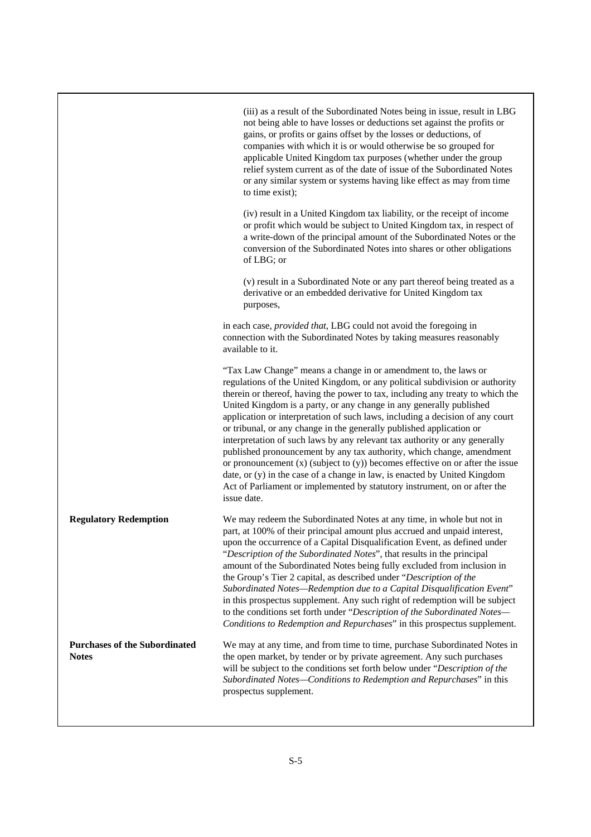|                                                      | (iii) as a result of the Subordinated Notes being in issue, result in LBG<br>not being able to have losses or deductions set against the profits or<br>gains, or profits or gains offset by the losses or deductions, of<br>companies with which it is or would otherwise be so grouped for<br>applicable United Kingdom tax purposes (whether under the group<br>relief system current as of the date of issue of the Subordinated Notes<br>or any similar system or systems having like effect as may from time<br>to time exist);                                                                                                                                                                                                                                                                                                                                                    |
|------------------------------------------------------|-----------------------------------------------------------------------------------------------------------------------------------------------------------------------------------------------------------------------------------------------------------------------------------------------------------------------------------------------------------------------------------------------------------------------------------------------------------------------------------------------------------------------------------------------------------------------------------------------------------------------------------------------------------------------------------------------------------------------------------------------------------------------------------------------------------------------------------------------------------------------------------------|
|                                                      | (iv) result in a United Kingdom tax liability, or the receipt of income<br>or profit which would be subject to United Kingdom tax, in respect of<br>a write-down of the principal amount of the Subordinated Notes or the<br>conversion of the Subordinated Notes into shares or other obligations<br>of LBG; or                                                                                                                                                                                                                                                                                                                                                                                                                                                                                                                                                                        |
|                                                      | (v) result in a Subordinated Note or any part thereof being treated as a<br>derivative or an embedded derivative for United Kingdom tax<br>purposes,                                                                                                                                                                                                                                                                                                                                                                                                                                                                                                                                                                                                                                                                                                                                    |
|                                                      | in each case, <i>provided that</i> , LBG could not avoid the foregoing in<br>connection with the Subordinated Notes by taking measures reasonably<br>available to it.                                                                                                                                                                                                                                                                                                                                                                                                                                                                                                                                                                                                                                                                                                                   |
|                                                      | "Tax Law Change" means a change in or amendment to, the laws or<br>regulations of the United Kingdom, or any political subdivision or authority<br>therein or thereof, having the power to tax, including any treaty to which the<br>United Kingdom is a party, or any change in any generally published<br>application or interpretation of such laws, including a decision of any court<br>or tribunal, or any change in the generally published application or<br>interpretation of such laws by any relevant tax authority or any generally<br>published pronouncement by any tax authority, which change, amendment<br>or pronouncement $(x)$ (subject to $(y)$ ) becomes effective on or after the issue<br>date, or (y) in the case of a change in law, is enacted by United Kingdom<br>Act of Parliament or implemented by statutory instrument, on or after the<br>issue date. |
| <b>Regulatory Redemption</b>                         | We may redeem the Subordinated Notes at any time, in whole but not in<br>part, at 100% of their principal amount plus accrued and unpaid interest,<br>upon the occurrence of a Capital Disqualification Event, as defined under<br>"Description of the Subordinated Notes", that results in the principal<br>amount of the Subordinated Notes being fully excluded from inclusion in<br>the Group's Tier 2 capital, as described under "Description of the<br>Subordinated Notes-Redemption due to a Capital Disqualification Event"<br>in this prospectus supplement. Any such right of redemption will be subject<br>to the conditions set forth under "Description of the Subordinated Notes-<br>Conditions to Redemption and Repurchases" in this prospectus supplement.                                                                                                            |
| <b>Purchases of the Subordinated</b><br><b>Notes</b> | We may at any time, and from time to time, purchase Subordinated Notes in<br>the open market, by tender or by private agreement. Any such purchases<br>will be subject to the conditions set forth below under "Description of the<br>Subordinated Notes-Conditions to Redemption and Repurchases" in this<br>prospectus supplement.                                                                                                                                                                                                                                                                                                                                                                                                                                                                                                                                                    |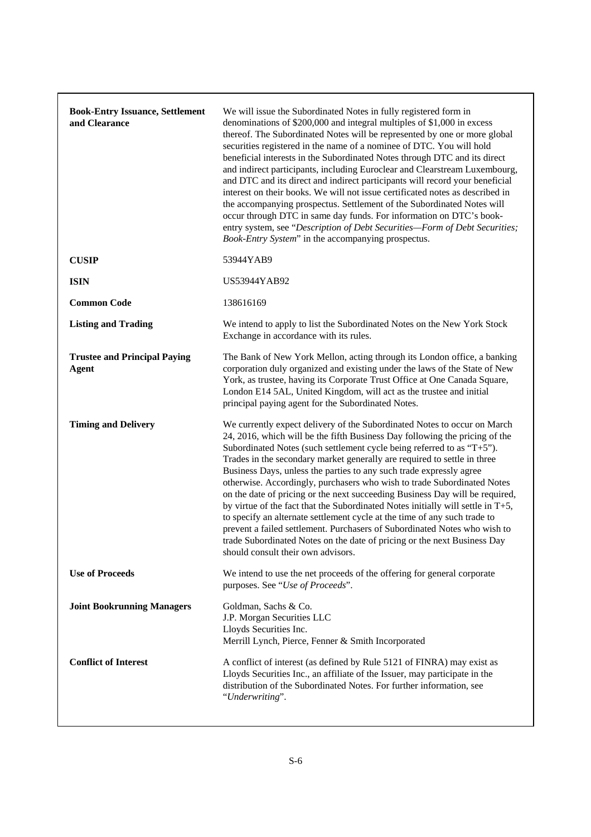| <b>Book-Entry Issuance, Settlement</b><br>and Clearance | We will issue the Subordinated Notes in fully registered form in<br>denominations of \$200,000 and integral multiples of \$1,000 in excess<br>thereof. The Subordinated Notes will be represented by one or more global<br>securities registered in the name of a nominee of DTC. You will hold<br>beneficial interests in the Subordinated Notes through DTC and its direct<br>and indirect participants, including Euroclear and Clearstream Luxembourg,<br>and DTC and its direct and indirect participants will record your beneficial<br>interest on their books. We will not issue certificated notes as described in<br>the accompanying prospectus. Settlement of the Subordinated Notes will<br>occur through DTC in same day funds. For information on DTC's book-<br>entry system, see "Description of Debt Securities-Form of Debt Securities;<br>Book-Entry System" in the accompanying prospectus.  |
|---------------------------------------------------------|-------------------------------------------------------------------------------------------------------------------------------------------------------------------------------------------------------------------------------------------------------------------------------------------------------------------------------------------------------------------------------------------------------------------------------------------------------------------------------------------------------------------------------------------------------------------------------------------------------------------------------------------------------------------------------------------------------------------------------------------------------------------------------------------------------------------------------------------------------------------------------------------------------------------|
| <b>CUSIP</b>                                            | 53944YAB9                                                                                                                                                                                                                                                                                                                                                                                                                                                                                                                                                                                                                                                                                                                                                                                                                                                                                                         |
| <b>ISIN</b>                                             | US53944YAB92                                                                                                                                                                                                                                                                                                                                                                                                                                                                                                                                                                                                                                                                                                                                                                                                                                                                                                      |
| <b>Common Code</b>                                      | 138616169                                                                                                                                                                                                                                                                                                                                                                                                                                                                                                                                                                                                                                                                                                                                                                                                                                                                                                         |
| <b>Listing and Trading</b>                              | We intend to apply to list the Subordinated Notes on the New York Stock<br>Exchange in accordance with its rules.                                                                                                                                                                                                                                                                                                                                                                                                                                                                                                                                                                                                                                                                                                                                                                                                 |
| <b>Trustee and Principal Paying</b><br><b>Agent</b>     | The Bank of New York Mellon, acting through its London office, a banking<br>corporation duly organized and existing under the laws of the State of New<br>York, as trustee, having its Corporate Trust Office at One Canada Square,<br>London E14 5AL, United Kingdom, will act as the trustee and initial<br>principal paying agent for the Subordinated Notes.                                                                                                                                                                                                                                                                                                                                                                                                                                                                                                                                                  |
| <b>Timing and Delivery</b>                              | We currently expect delivery of the Subordinated Notes to occur on March<br>24, 2016, which will be the fifth Business Day following the pricing of the<br>Subordinated Notes (such settlement cycle being referred to as "T+5").<br>Trades in the secondary market generally are required to settle in three<br>Business Days, unless the parties to any such trade expressly agree<br>otherwise. Accordingly, purchasers who wish to trade Subordinated Notes<br>on the date of pricing or the next succeeding Business Day will be required,<br>by virtue of the fact that the Subordinated Notes initially will settle in $T+5$ ,<br>to specify an alternate settlement cycle at the time of any such trade to<br>prevent a failed settlement. Purchasers of Subordinated Notes who wish to<br>trade Subordinated Notes on the date of pricing or the next Business Day<br>should consult their own advisors. |
| <b>Use of Proceeds</b>                                  | We intend to use the net proceeds of the offering for general corporate<br>purposes. See "Use of Proceeds".                                                                                                                                                                                                                                                                                                                                                                                                                                                                                                                                                                                                                                                                                                                                                                                                       |
| <b>Joint Bookrunning Managers</b>                       | Goldman, Sachs & Co.<br>J.P. Morgan Securities LLC<br>Lloyds Securities Inc.<br>Merrill Lynch, Pierce, Fenner & Smith Incorporated                                                                                                                                                                                                                                                                                                                                                                                                                                                                                                                                                                                                                                                                                                                                                                                |
| <b>Conflict of Interest</b>                             | A conflict of interest (as defined by Rule 5121 of FINRA) may exist as<br>Lloyds Securities Inc., an affiliate of the Issuer, may participate in the<br>distribution of the Subordinated Notes. For further information, see<br>"Underwriting".                                                                                                                                                                                                                                                                                                                                                                                                                                                                                                                                                                                                                                                                   |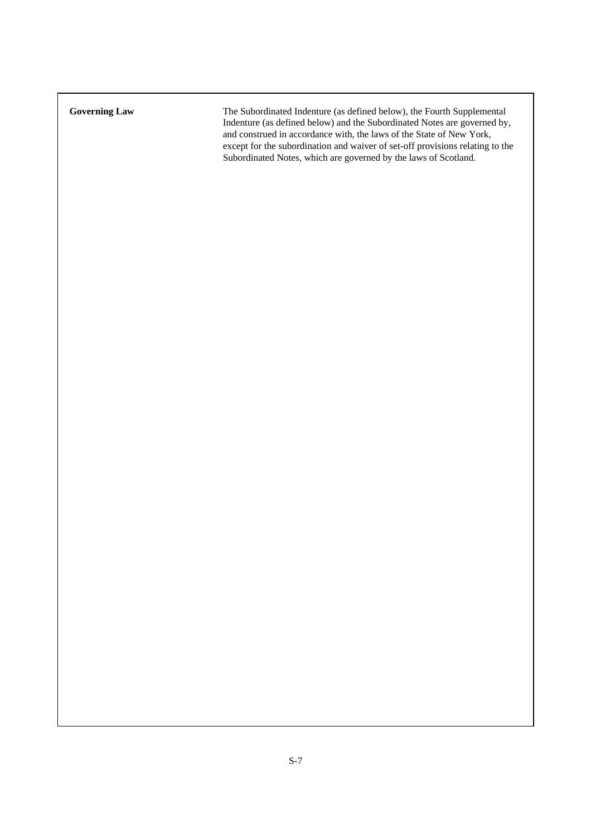**Governing Law** The Subordinated Indenture (as defined below), the Fourth Supplemental Indenture (as defined below) and the Subordinated Notes are governed by, and construed in accordance with, the laws of the State of New York, except for the subordination and waiver of set-off provisions relating to the Subordinated Notes, which are governed by the laws of Scotland.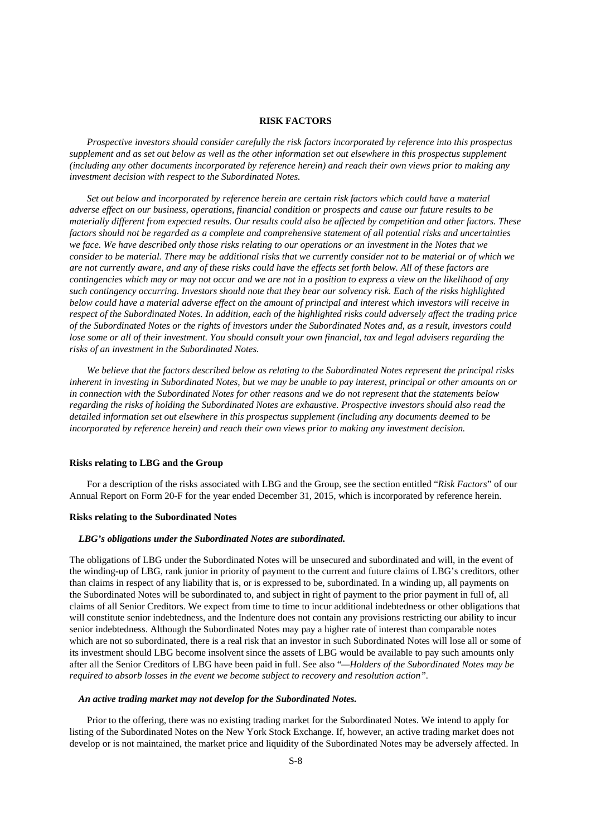#### **RISK FACTORS**

*Prospective investors should consider carefully the risk factors incorporated by reference into this prospectus supplement and as set out below as well as the other information set out elsewhere in this prospectus supplement (including any other documents incorporated by reference herein) and reach their own views prior to making any investment decision with respect to the Subordinated Notes.* 

*Set out below and incorporated by reference herein are certain risk factors which could have a material adverse effect on our business, operations, financial condition or prospects and cause our future results to be materially different from expected results. Our results could also be affected by competition and other factors. These factors should not be regarded as a complete and comprehensive statement of all potential risks and uncertainties we face. We have described only those risks relating to our operations or an investment in the Notes that we consider to be material. There may be additional risks that we currently consider not to be material or of which we are not currently aware, and any of these risks could have the effects set forth below. All of these factors are contingencies which may or may not occur and we are not in a position to express a view on the likelihood of any such contingency occurring. Investors should note that they bear our solvency risk. Each of the risks highlighted below could have a material adverse effect on the amount of principal and interest which investors will receive in respect of the Subordinated Notes. In addition, each of the highlighted risks could adversely affect the trading price of the Subordinated Notes or the rights of investors under the Subordinated Notes and, as a result, investors could lose some or all of their investment. You should consult your own financial, tax and legal advisers regarding the risks of an investment in the Subordinated Notes.* 

 *We believe that the factors described below as relating to the Subordinated Notes represent the principal risks inherent in investing in Subordinated Notes, but we may be unable to pay interest, principal or other amounts on or in connection with the Subordinated Notes for other reasons and we do not represent that the statements below regarding the risks of holding the Subordinated Notes are exhaustive. Prospective investors should also read the detailed information set out elsewhere in this prospectus supplement (including any documents deemed to be incorporated by reference herein) and reach their own views prior to making any investment decision.* 

# **Risks relating to LBG and the Group**

For a description of the risks associated with LBG and the Group, see the section entitled "*Risk Factors*" of our Annual Report on Form 20-F for the year ended December 31, 2015, which is incorporated by reference herein.

#### **Risks relating to the Subordinated Notes**

# *LBG's obligations under the Subordinated Notes are subordinated.*

The obligations of LBG under the Subordinated Notes will be unsecured and subordinated and will, in the event of the winding-up of LBG, rank junior in priority of payment to the current and future claims of LBG's creditors, other than claims in respect of any liability that is, or is expressed to be, subordinated. In a winding up, all payments on the Subordinated Notes will be subordinated to, and subject in right of payment to the prior payment in full of, all claims of all Senior Creditors. We expect from time to time to incur additional indebtedness or other obligations that will constitute senior indebtedness, and the Indenture does not contain any provisions restricting our ability to incur senior indebtedness. Although the Subordinated Notes may pay a higher rate of interest than comparable notes which are not so subordinated, there is a real risk that an investor in such Subordinated Notes will lose all or some of its investment should LBG become insolvent since the assets of LBG would be available to pay such amounts only after all the Senior Creditors of LBG have been paid in full. See also "*—Holders of the Subordinated Notes may be required to absorb losses in the event we become subject to recovery and resolution action".* 

#### *An active trading market may not develop for the Subordinated Notes.*

Prior to the offering, there was no existing trading market for the Subordinated Notes. We intend to apply for listing of the Subordinated Notes on the New York Stock Exchange. If, however, an active trading market does not develop or is not maintained, the market price and liquidity of the Subordinated Notes may be adversely affected. In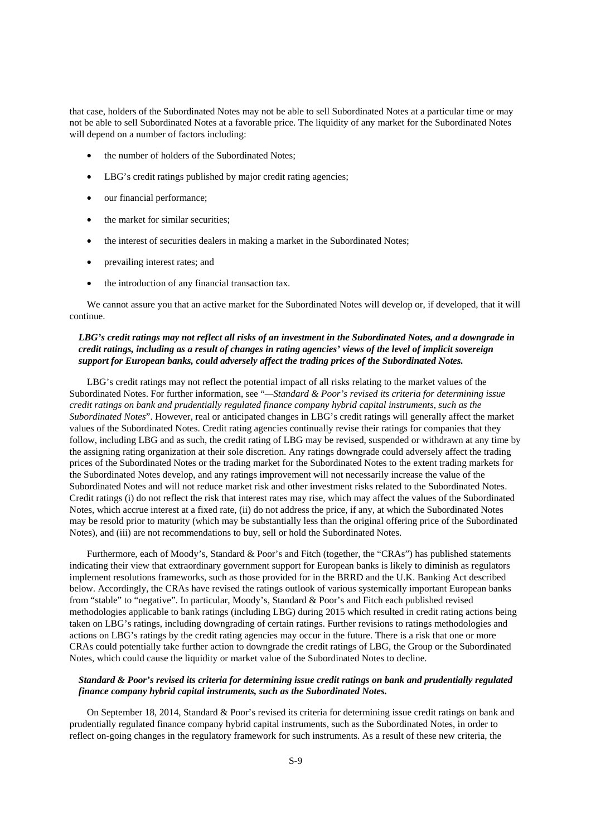that case, holders of the Subordinated Notes may not be able to sell Subordinated Notes at a particular time or may not be able to sell Subordinated Notes at a favorable price. The liquidity of any market for the Subordinated Notes will depend on a number of factors including:

- the number of holders of the Subordinated Notes:
- LBG's credit ratings published by major credit rating agencies;
- our financial performance;
- the market for similar securities;
- the interest of securities dealers in making a market in the Subordinated Notes;
- prevailing interest rates; and
- the introduction of any financial transaction tax.

We cannot assure you that an active market for the Subordinated Notes will develop or, if developed, that it will continue.

# *LBG's credit ratings may not reflect all risks of an investment in the Subordinated Notes, and a downgrade in credit ratings, including as a result of changes in rating agencies' views of the level of implicit sovereign support for European banks, could adversely affect the trading prices of the Subordinated Notes.*

LBG's credit ratings may not reflect the potential impact of all risks relating to the market values of the Subordinated Notes. For further information, see "*—Standard & Poor's revised its criteria for determining issue credit ratings on bank and prudentially regulated finance company hybrid capital instruments, such as the Subordinated Notes*". However, real or anticipated changes in LBG's credit ratings will generally affect the market values of the Subordinated Notes. Credit rating agencies continually revise their ratings for companies that they follow, including LBG and as such, the credit rating of LBG may be revised, suspended or withdrawn at any time by the assigning rating organization at their sole discretion. Any ratings downgrade could adversely affect the trading prices of the Subordinated Notes or the trading market for the Subordinated Notes to the extent trading markets for the Subordinated Notes develop, and any ratings improvement will not necessarily increase the value of the Subordinated Notes and will not reduce market risk and other investment risks related to the Subordinated Notes. Credit ratings (i) do not reflect the risk that interest rates may rise, which may affect the values of the Subordinated Notes, which accrue interest at a fixed rate, (ii) do not address the price, if any, at which the Subordinated Notes may be resold prior to maturity (which may be substantially less than the original offering price of the Subordinated Notes), and (iii) are not recommendations to buy, sell or hold the Subordinated Notes.

Furthermore, each of Moody's, Standard & Poor's and Fitch (together, the "CRAs") has published statements indicating their view that extraordinary government support for European banks is likely to diminish as regulators implement resolutions frameworks, such as those provided for in the BRRD and the U.K. Banking Act described below. Accordingly, the CRAs have revised the ratings outlook of various systemically important European banks from "stable" to "negative". In particular, Moody's, Standard & Poor's and Fitch each published revised methodologies applicable to bank ratings (including LBG) during 2015 which resulted in credit rating actions being taken on LBG's ratings, including downgrading of certain ratings. Further revisions to ratings methodologies and actions on LBG's ratings by the credit rating agencies may occur in the future. There is a risk that one or more CRAs could potentially take further action to downgrade the credit ratings of LBG, the Group or the Subordinated Notes, which could cause the liquidity or market value of the Subordinated Notes to decline.

# *Standard & Poor's revised its criteria for determining issue credit ratings on bank and prudentially regulated finance company hybrid capital instruments, such as the Subordinated Notes.*

On September 18, 2014, Standard & Poor's revised its criteria for determining issue credit ratings on bank and prudentially regulated finance company hybrid capital instruments, such as the Subordinated Notes, in order to reflect on-going changes in the regulatory framework for such instruments. As a result of these new criteria, the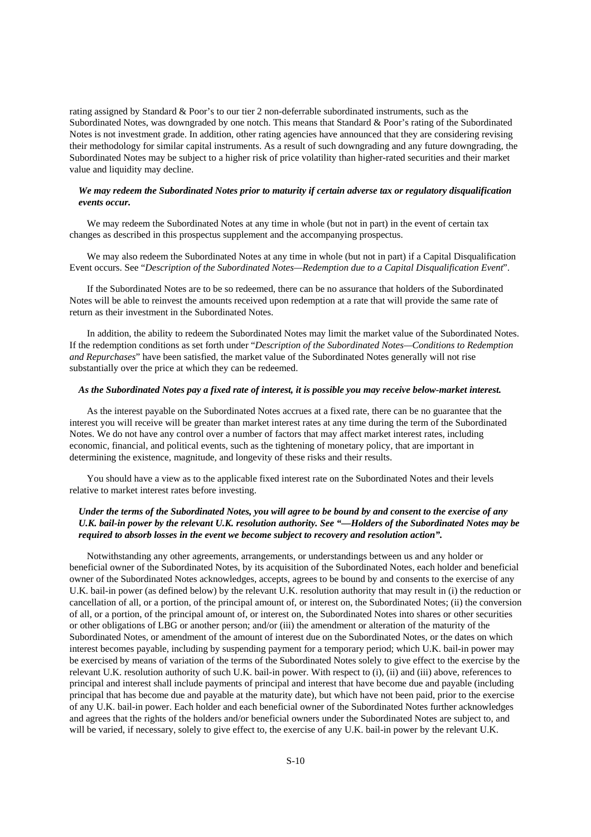rating assigned by Standard & Poor's to our tier 2 non-deferrable subordinated instruments, such as the Subordinated Notes, was downgraded by one notch. This means that Standard & Poor's rating of the Subordinated Notes is not investment grade. In addition, other rating agencies have announced that they are considering revising their methodology for similar capital instruments. As a result of such downgrading and any future downgrading, the Subordinated Notes may be subject to a higher risk of price volatility than higher-rated securities and their market value and liquidity may decline.

# *We may redeem the Subordinated Notes prior to maturity if certain adverse tax or regulatory disqualification events occur.*

We may redeem the Subordinated Notes at any time in whole (but not in part) in the event of certain tax changes as described in this prospectus supplement and the accompanying prospectus.

We may also redeem the Subordinated Notes at any time in whole (but not in part) if a Capital Disqualification Event occurs. See "*Description of the Subordinated Notes—Redemption due to a Capital Disqualification Event*".

If the Subordinated Notes are to be so redeemed, there can be no assurance that holders of the Subordinated Notes will be able to reinvest the amounts received upon redemption at a rate that will provide the same rate of return as their investment in the Subordinated Notes.

In addition, the ability to redeem the Subordinated Notes may limit the market value of the Subordinated Notes. If the redemption conditions as set forth under "*Description of the Subordinated Notes—Conditions to Redemption and Repurchases*" have been satisfied, the market value of the Subordinated Notes generally will not rise substantially over the price at which they can be redeemed.

#### *As the Subordinated Notes pay a fixed rate of interest, it is possible you may receive below-market interest.*

As the interest payable on the Subordinated Notes accrues at a fixed rate, there can be no guarantee that the interest you will receive will be greater than market interest rates at any time during the term of the Subordinated Notes. We do not have any control over a number of factors that may affect market interest rates, including economic, financial, and political events, such as the tightening of monetary policy, that are important in determining the existence, magnitude, and longevity of these risks and their results.

You should have a view as to the applicable fixed interest rate on the Subordinated Notes and their levels relative to market interest rates before investing.

# *Under the terms of the Subordinated Notes, you will agree to be bound by and consent to the exercise of any U.K. bail-in power by the relevant U.K. resolution authority. See "—Holders of the Subordinated Notes may be required to absorb losses in the event we become subject to recovery and resolution action".*

Notwithstanding any other agreements, arrangements, or understandings between us and any holder or beneficial owner of the Subordinated Notes, by its acquisition of the Subordinated Notes, each holder and beneficial owner of the Subordinated Notes acknowledges, accepts, agrees to be bound by and consents to the exercise of any U.K. bail-in power (as defined below) by the relevant U.K. resolution authority that may result in (i) the reduction or cancellation of all, or a portion, of the principal amount of, or interest on, the Subordinated Notes; (ii) the conversion of all, or a portion, of the principal amount of, or interest on, the Subordinated Notes into shares or other securities or other obligations of LBG or another person; and/or (iii) the amendment or alteration of the maturity of the Subordinated Notes, or amendment of the amount of interest due on the Subordinated Notes, or the dates on which interest becomes payable, including by suspending payment for a temporary period; which U.K. bail-in power may be exercised by means of variation of the terms of the Subordinated Notes solely to give effect to the exercise by the relevant U.K. resolution authority of such U.K. bail-in power. With respect to (i), (ii) and (iii) above, references to principal and interest shall include payments of principal and interest that have become due and payable (including principal that has become due and payable at the maturity date), but which have not been paid, prior to the exercise of any U.K. bail-in power. Each holder and each beneficial owner of the Subordinated Notes further acknowledges and agrees that the rights of the holders and/or beneficial owners under the Subordinated Notes are subject to, and will be varied, if necessary, solely to give effect to, the exercise of any U.K. bail-in power by the relevant U.K.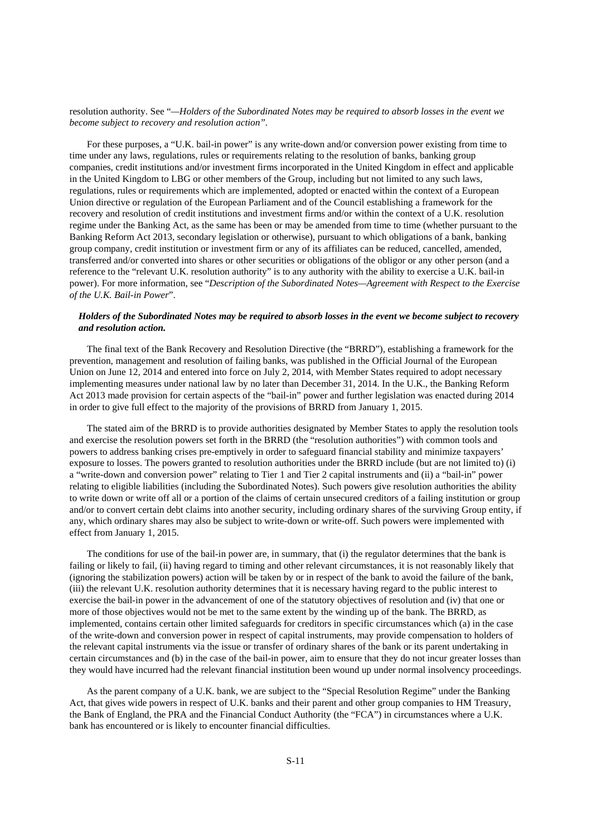#### resolution authority. See "*—Holders of the Subordinated Notes may be required to absorb losses in the event we become subject to recovery and resolution action".*

For these purposes, a "U.K. bail-in power" is any write-down and/or conversion power existing from time to time under any laws, regulations, rules or requirements relating to the resolution of banks, banking group companies, credit institutions and/or investment firms incorporated in the United Kingdom in effect and applicable in the United Kingdom to LBG or other members of the Group, including but not limited to any such laws, regulations, rules or requirements which are implemented, adopted or enacted within the context of a European Union directive or regulation of the European Parliament and of the Council establishing a framework for the recovery and resolution of credit institutions and investment firms and/or within the context of a U.K. resolution regime under the Banking Act, as the same has been or may be amended from time to time (whether pursuant to the Banking Reform Act 2013, secondary legislation or otherwise), pursuant to which obligations of a bank, banking group company, credit institution or investment firm or any of its affiliates can be reduced, cancelled, amended, transferred and/or converted into shares or other securities or obligations of the obligor or any other person (and a reference to the "relevant U.K. resolution authority" is to any authority with the ability to exercise a U.K. bail-in power). For more information, see "*Description of the Subordinated Notes—Agreement with Respect to the Exercise of the U.K. Bail-in Power*".

# *Holders of the Subordinated Notes may be required to absorb losses in the event we become subject to recovery and resolution action.*

The final text of the Bank Recovery and Resolution Directive (the "BRRD"), establishing a framework for the prevention, management and resolution of failing banks, was published in the Official Journal of the European Union on June 12, 2014 and entered into force on July 2, 2014, with Member States required to adopt necessary implementing measures under national law by no later than December 31, 2014. In the U.K., the Banking Reform Act 2013 made provision for certain aspects of the "bail-in" power and further legislation was enacted during 2014 in order to give full effect to the majority of the provisions of BRRD from January 1, 2015.

The stated aim of the BRRD is to provide authorities designated by Member States to apply the resolution tools and exercise the resolution powers set forth in the BRRD (the "resolution authorities") with common tools and powers to address banking crises pre-emptively in order to safeguard financial stability and minimize taxpayers' exposure to losses. The powers granted to resolution authorities under the BRRD include (but are not limited to) (i) a "write-down and conversion power" relating to Tier 1 and Tier 2 capital instruments and (ii) a "bail-in" power relating to eligible liabilities (including the Subordinated Notes). Such powers give resolution authorities the ability to write down or write off all or a portion of the claims of certain unsecured creditors of a failing institution or group and/or to convert certain debt claims into another security, including ordinary shares of the surviving Group entity, if any, which ordinary shares may also be subject to write-down or write-off. Such powers were implemented with effect from January 1, 2015.

The conditions for use of the bail-in power are, in summary, that (i) the regulator determines that the bank is failing or likely to fail, (ii) having regard to timing and other relevant circumstances, it is not reasonably likely that (ignoring the stabilization powers) action will be taken by or in respect of the bank to avoid the failure of the bank, (iii) the relevant U.K. resolution authority determines that it is necessary having regard to the public interest to exercise the bail-in power in the advancement of one of the statutory objectives of resolution and (iv) that one or more of those objectives would not be met to the same extent by the winding up of the bank. The BRRD, as implemented, contains certain other limited safeguards for creditors in specific circumstances which (a) in the case of the write-down and conversion power in respect of capital instruments, may provide compensation to holders of the relevant capital instruments via the issue or transfer of ordinary shares of the bank or its parent undertaking in certain circumstances and (b) in the case of the bail-in power, aim to ensure that they do not incur greater losses than they would have incurred had the relevant financial institution been wound up under normal insolvency proceedings.

As the parent company of a U.K. bank, we are subject to the "Special Resolution Regime" under the Banking Act, that gives wide powers in respect of U.K. banks and their parent and other group companies to HM Treasury, the Bank of England, the PRA and the Financial Conduct Authority (the "FCA") in circumstances where a U.K. bank has encountered or is likely to encounter financial difficulties.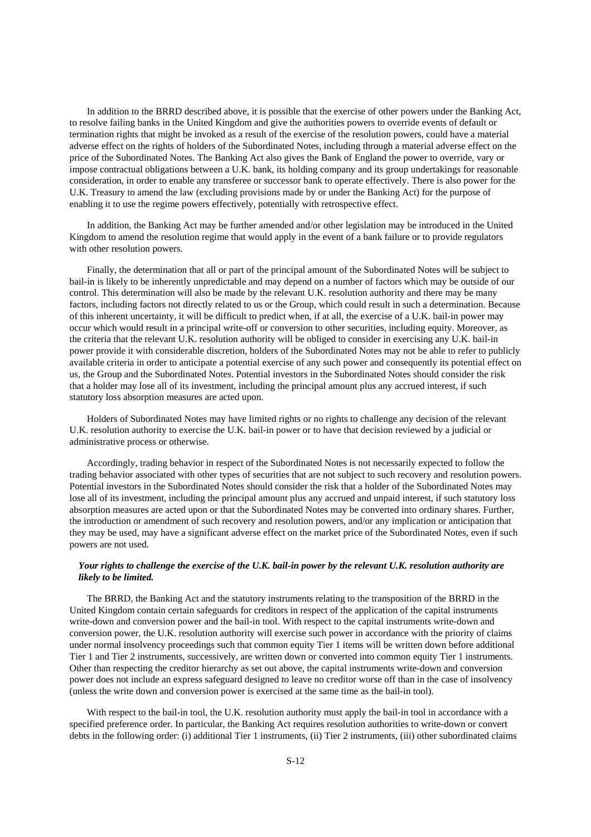In addition to the BRRD described above, it is possible that the exercise of other powers under the Banking Act, to resolve failing banks in the United Kingdom and give the authorities powers to override events of default or termination rights that might be invoked as a result of the exercise of the resolution powers, could have a material adverse effect on the rights of holders of the Subordinated Notes, including through a material adverse effect on the price of the Subordinated Notes. The Banking Act also gives the Bank of England the power to override, vary or impose contractual obligations between a U.K. bank, its holding company and its group undertakings for reasonable consideration, in order to enable any transferee or successor bank to operate effectively. There is also power for the U.K. Treasury to amend the law (excluding provisions made by or under the Banking Act) for the purpose of enabling it to use the regime powers effectively, potentially with retrospective effect.

In addition, the Banking Act may be further amended and/or other legislation may be introduced in the United Kingdom to amend the resolution regime that would apply in the event of a bank failure or to provide regulators with other resolution powers.

Finally, the determination that all or part of the principal amount of the Subordinated Notes will be subject to bail-in is likely to be inherently unpredictable and may depend on a number of factors which may be outside of our control. This determination will also be made by the relevant U.K. resolution authority and there may be many factors, including factors not directly related to us or the Group, which could result in such a determination. Because of this inherent uncertainty, it will be difficult to predict when, if at all, the exercise of a U.K. bail-in power may occur which would result in a principal write-off or conversion to other securities, including equity. Moreover, as the criteria that the relevant U.K. resolution authority will be obliged to consider in exercising any U.K. bail-in power provide it with considerable discretion, holders of the Subordinated Notes may not be able to refer to publicly available criteria in order to anticipate a potential exercise of any such power and consequently its potential effect on us, the Group and the Subordinated Notes. Potential investors in the Subordinated Notes should consider the risk that a holder may lose all of its investment, including the principal amount plus any accrued interest, if such statutory loss absorption measures are acted upon.

Holders of Subordinated Notes may have limited rights or no rights to challenge any decision of the relevant U.K. resolution authority to exercise the U.K. bail-in power or to have that decision reviewed by a judicial or administrative process or otherwise.

Accordingly, trading behavior in respect of the Subordinated Notes is not necessarily expected to follow the trading behavior associated with other types of securities that are not subject to such recovery and resolution powers. Potential investors in the Subordinated Notes should consider the risk that a holder of the Subordinated Notes may lose all of its investment, including the principal amount plus any accrued and unpaid interest, if such statutory loss absorption measures are acted upon or that the Subordinated Notes may be converted into ordinary shares. Further, the introduction or amendment of such recovery and resolution powers, and/or any implication or anticipation that they may be used, may have a significant adverse effect on the market price of the Subordinated Notes, even if such powers are not used.

# *Your rights to challenge the exercise of the U.K. bail-in power by the relevant U.K. resolution authority are likely to be limited.*

The BRRD, the Banking Act and the statutory instruments relating to the transposition of the BRRD in the United Kingdom contain certain safeguards for creditors in respect of the application of the capital instruments write-down and conversion power and the bail-in tool. With respect to the capital instruments write-down and conversion power, the U.K. resolution authority will exercise such power in accordance with the priority of claims under normal insolvency proceedings such that common equity Tier 1 items will be written down before additional Tier 1 and Tier 2 instruments, successively, are written down or converted into common equity Tier 1 instruments. Other than respecting the creditor hierarchy as set out above, the capital instruments write-down and conversion power does not include an express safeguard designed to leave no creditor worse off than in the case of insolvency (unless the write down and conversion power is exercised at the same time as the bail-in tool).

With respect to the bail-in tool, the U.K. resolution authority must apply the bail-in tool in accordance with a specified preference order. In particular, the Banking Act requires resolution authorities to write-down or convert debts in the following order: (i) additional Tier 1 instruments, (ii) Tier 2 instruments, (iii) other subordinated claims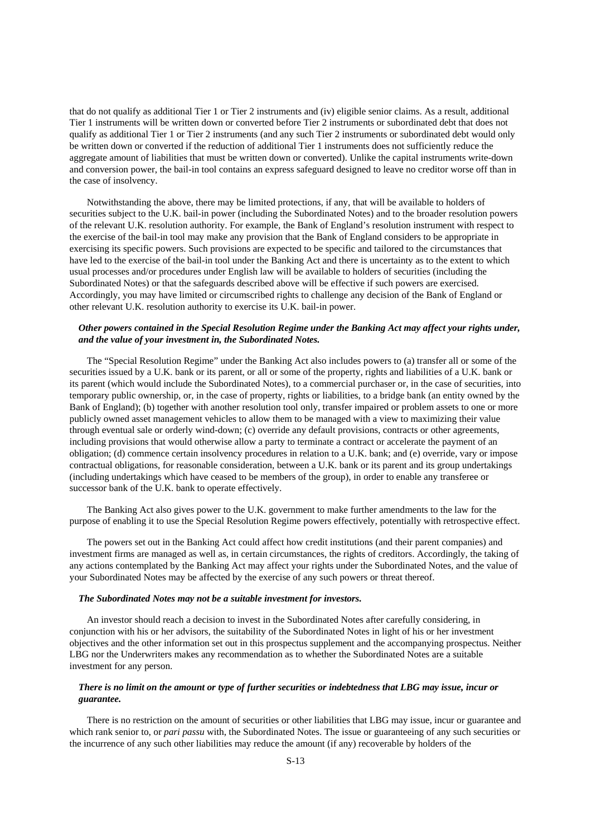that do not qualify as additional Tier 1 or Tier 2 instruments and (iv) eligible senior claims. As a result, additional Tier 1 instruments will be written down or converted before Tier 2 instruments or subordinated debt that does not qualify as additional Tier 1 or Tier 2 instruments (and any such Tier 2 instruments or subordinated debt would only be written down or converted if the reduction of additional Tier 1 instruments does not sufficiently reduce the aggregate amount of liabilities that must be written down or converted). Unlike the capital instruments write-down and conversion power, the bail-in tool contains an express safeguard designed to leave no creditor worse off than in the case of insolvency.

Notwithstanding the above, there may be limited protections, if any, that will be available to holders of securities subject to the U.K. bail-in power (including the Subordinated Notes) and to the broader resolution powers of the relevant U.K. resolution authority. For example, the Bank of England's resolution instrument with respect to the exercise of the bail-in tool may make any provision that the Bank of England considers to be appropriate in exercising its specific powers. Such provisions are expected to be specific and tailored to the circumstances that have led to the exercise of the bail-in tool under the Banking Act and there is uncertainty as to the extent to which usual processes and/or procedures under English law will be available to holders of securities (including the Subordinated Notes) or that the safeguards described above will be effective if such powers are exercised. Accordingly, you may have limited or circumscribed rights to challenge any decision of the Bank of England or other relevant U.K. resolution authority to exercise its U.K. bail-in power.

# *Other powers contained in the Special Resolution Regime under the Banking Act may affect your rights under, and the value of your investment in, the Subordinated Notes.*

The "Special Resolution Regime" under the Banking Act also includes powers to (a) transfer all or some of the securities issued by a U.K. bank or its parent, or all or some of the property, rights and liabilities of a U.K. bank or its parent (which would include the Subordinated Notes), to a commercial purchaser or, in the case of securities, into temporary public ownership, or, in the case of property, rights or liabilities, to a bridge bank (an entity owned by the Bank of England); (b) together with another resolution tool only, transfer impaired or problem assets to one or more publicly owned asset management vehicles to allow them to be managed with a view to maximizing their value through eventual sale or orderly wind-down; (c) override any default provisions, contracts or other agreements, including provisions that would otherwise allow a party to terminate a contract or accelerate the payment of an obligation; (d) commence certain insolvency procedures in relation to a U.K. bank; and (e) override, vary or impose contractual obligations, for reasonable consideration, between a U.K. bank or its parent and its group undertakings (including undertakings which have ceased to be members of the group), in order to enable any transferee or successor bank of the U.K. bank to operate effectively.

The Banking Act also gives power to the U.K. government to make further amendments to the law for the purpose of enabling it to use the Special Resolution Regime powers effectively, potentially with retrospective effect.

The powers set out in the Banking Act could affect how credit institutions (and their parent companies) and investment firms are managed as well as, in certain circumstances, the rights of creditors. Accordingly, the taking of any actions contemplated by the Banking Act may affect your rights under the Subordinated Notes, and the value of your Subordinated Notes may be affected by the exercise of any such powers or threat thereof.

#### *The Subordinated Notes may not be a suitable investment for investors.*

An investor should reach a decision to invest in the Subordinated Notes after carefully considering, in conjunction with his or her advisors, the suitability of the Subordinated Notes in light of his or her investment objectives and the other information set out in this prospectus supplement and the accompanying prospectus. Neither LBG nor the Underwriters makes any recommendation as to whether the Subordinated Notes are a suitable investment for any person.

# *There is no limit on the amount or type of further securities or indebtedness that LBG may issue, incur or guarantee.*

There is no restriction on the amount of securities or other liabilities that LBG may issue, incur or guarantee and which rank senior to, or *pari passu* with, the Subordinated Notes. The issue or guaranteeing of any such securities or the incurrence of any such other liabilities may reduce the amount (if any) recoverable by holders of the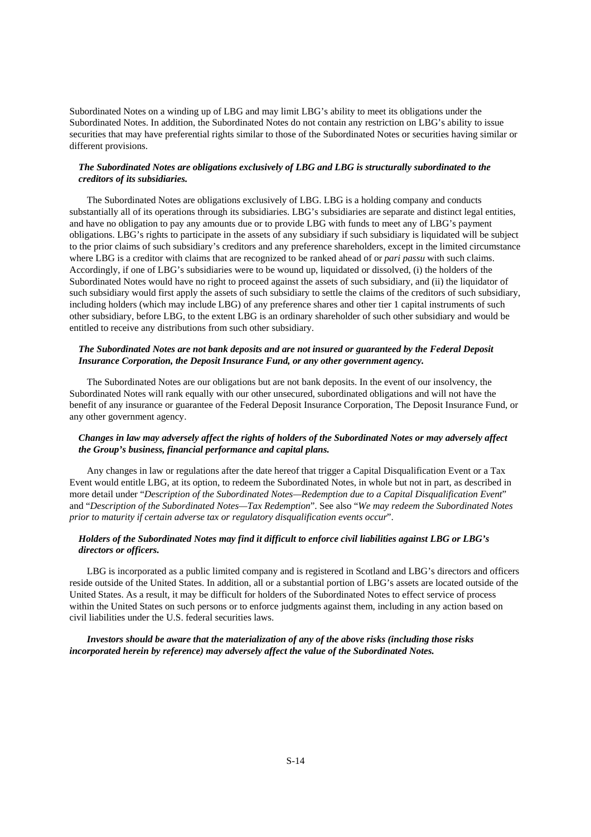Subordinated Notes on a winding up of LBG and may limit LBG's ability to meet its obligations under the Subordinated Notes. In addition, the Subordinated Notes do not contain any restriction on LBG's ability to issue securities that may have preferential rights similar to those of the Subordinated Notes or securities having similar or different provisions.

# *The Subordinated Notes are obligations exclusively of LBG and LBG is structurally subordinated to the creditors of its subsidiaries.*

The Subordinated Notes are obligations exclusively of LBG. LBG is a holding company and conducts substantially all of its operations through its subsidiaries. LBG's subsidiaries are separate and distinct legal entities, and have no obligation to pay any amounts due or to provide LBG with funds to meet any of LBG's payment obligations. LBG's rights to participate in the assets of any subsidiary if such subsidiary is liquidated will be subject to the prior claims of such subsidiary's creditors and any preference shareholders, except in the limited circumstance where LBG is a creditor with claims that are recognized to be ranked ahead of or *pari passu* with such claims. Accordingly, if one of LBG's subsidiaries were to be wound up, liquidated or dissolved, (i) the holders of the Subordinated Notes would have no right to proceed against the assets of such subsidiary, and (ii) the liquidator of such subsidiary would first apply the assets of such subsidiary to settle the claims of the creditors of such subsidiary, including holders (which may include LBG) of any preference shares and other tier 1 capital instruments of such other subsidiary, before LBG, to the extent LBG is an ordinary shareholder of such other subsidiary and would be entitled to receive any distributions from such other subsidiary.

# *The Subordinated Notes are not bank deposits and are not insured or guaranteed by the Federal Deposit Insurance Corporation, the Deposit Insurance Fund, or any other government agency.*

The Subordinated Notes are our obligations but are not bank deposits. In the event of our insolvency, the Subordinated Notes will rank equally with our other unsecured, subordinated obligations and will not have the benefit of any insurance or guarantee of the Federal Deposit Insurance Corporation, The Deposit Insurance Fund, or any other government agency.

# *Changes in law may adversely affect the rights of holders of the Subordinated Notes or may adversely affect the Group's business, financial performance and capital plans.*

Any changes in law or regulations after the date hereof that trigger a Capital Disqualification Event or a Tax Event would entitle LBG, at its option, to redeem the Subordinated Notes, in whole but not in part, as described in more detail under "*Description of the Subordinated Notes—Redemption due to a Capital Disqualification Event*" and "*Description of the Subordinated Notes—Tax Redemption*". See also "*We may redeem the Subordinated Notes prior to maturity if certain adverse tax or regulatory disqualification events occur*".

# *Holders of the Subordinated Notes may find it difficult to enforce civil liabilities against LBG or LBG's directors or officers.*

LBG is incorporated as a public limited company and is registered in Scotland and LBG's directors and officers reside outside of the United States. In addition, all or a substantial portion of LBG's assets are located outside of the United States. As a result, it may be difficult for holders of the Subordinated Notes to effect service of process within the United States on such persons or to enforce judgments against them, including in any action based on civil liabilities under the U.S. federal securities laws.

# *Investors should be aware that the materialization of any of the above risks (including those risks incorporated herein by reference) may adversely affect the value of the Subordinated Notes.*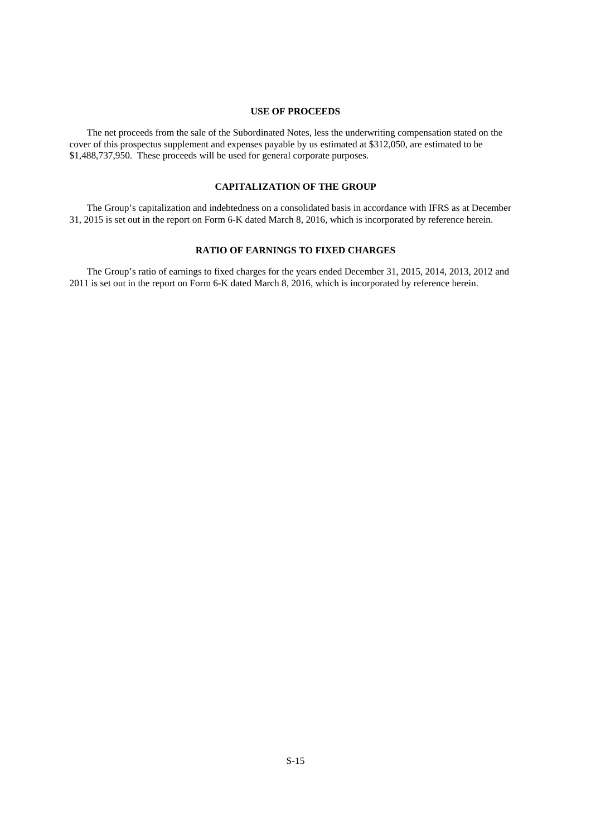#### **USE OF PROCEEDS**

The net proceeds from the sale of the Subordinated Notes, less the underwriting compensation stated on the cover of this prospectus supplement and expenses payable by us estimated at \$312,050, are estimated to be \$1,488,737,950. These proceeds will be used for general corporate purposes.

# **CAPITALIZATION OF THE GROUP**

The Group's capitalization and indebtedness on a consolidated basis in accordance with IFRS as at December 31, 2015 is set out in the report on Form 6-K dated March 8, 2016, which is incorporated by reference herein.

#### **RATIO OF EARNINGS TO FIXED CHARGES**

The Group's ratio of earnings to fixed charges for the years ended December 31, 2015, 2014, 2013, 2012 and 2011 is set out in the report on Form 6-K dated March 8, 2016, which is incorporated by reference herein.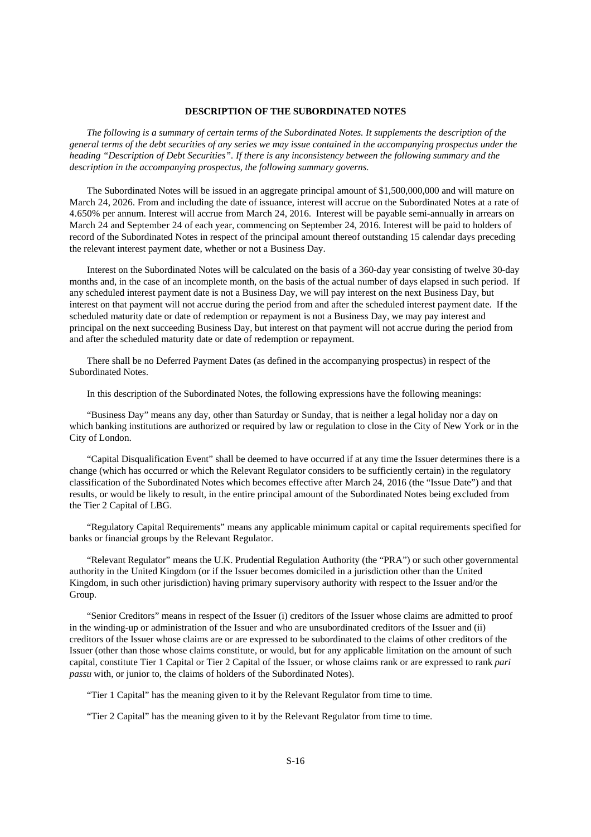#### **DESCRIPTION OF THE SUBORDINATED NOTES**

 *The following is a summary of certain terms of the Subordinated Notes. It supplements the description of the general terms of the debt securities of any series we may issue contained in the accompanying prospectus under the heading "Description of Debt Securities". If there is any inconsistency between the following summary and the description in the accompanying prospectus, the following summary governs.* 

The Subordinated Notes will be issued in an aggregate principal amount of \$1,500,000,000 and will mature on March 24, 2026. From and including the date of issuance, interest will accrue on the Subordinated Notes at a rate of 4.650% per annum. Interest will accrue from March 24, 2016. Interest will be payable semi-annually in arrears on March 24 and September 24 of each year, commencing on September 24, 2016. Interest will be paid to holders of record of the Subordinated Notes in respect of the principal amount thereof outstanding 15 calendar days preceding the relevant interest payment date, whether or not a Business Day.

Interest on the Subordinated Notes will be calculated on the basis of a 360-day year consisting of twelve 30-day months and, in the case of an incomplete month, on the basis of the actual number of days elapsed in such period. If any scheduled interest payment date is not a Business Day, we will pay interest on the next Business Day, but interest on that payment will not accrue during the period from and after the scheduled interest payment date. If the scheduled maturity date or date of redemption or repayment is not a Business Day, we may pay interest and principal on the next succeeding Business Day, but interest on that payment will not accrue during the period from and after the scheduled maturity date or date of redemption or repayment.

There shall be no Deferred Payment Dates (as defined in the accompanying prospectus) in respect of the Subordinated Notes.

In this description of the Subordinated Notes, the following expressions have the following meanings:

"Business Day" means any day, other than Saturday or Sunday, that is neither a legal holiday nor a day on which banking institutions are authorized or required by law or regulation to close in the City of New York or in the City of London.

"Capital Disqualification Event" shall be deemed to have occurred if at any time the Issuer determines there is a change (which has occurred or which the Relevant Regulator considers to be sufficiently certain) in the regulatory classification of the Subordinated Notes which becomes effective after March 24, 2016 (the "Issue Date") and that results, or would be likely to result, in the entire principal amount of the Subordinated Notes being excluded from the Tier 2 Capital of LBG.

"Regulatory Capital Requirements" means any applicable minimum capital or capital requirements specified for banks or financial groups by the Relevant Regulator.

"Relevant Regulator" means the U.K. Prudential Regulation Authority (the "PRA") or such other governmental authority in the United Kingdom (or if the Issuer becomes domiciled in a jurisdiction other than the United Kingdom, in such other jurisdiction) having primary supervisory authority with respect to the Issuer and/or the Group.

"Senior Creditors" means in respect of the Issuer (i) creditors of the Issuer whose claims are admitted to proof in the winding-up or administration of the Issuer and who are unsubordinated creditors of the Issuer and (ii) creditors of the Issuer whose claims are or are expressed to be subordinated to the claims of other creditors of the Issuer (other than those whose claims constitute, or would, but for any applicable limitation on the amount of such capital, constitute Tier 1 Capital or Tier 2 Capital of the Issuer, or whose claims rank or are expressed to rank *pari passu* with, or junior to, the claims of holders of the Subordinated Notes).

"Tier 1 Capital" has the meaning given to it by the Relevant Regulator from time to time.

"Tier 2 Capital" has the meaning given to it by the Relevant Regulator from time to time.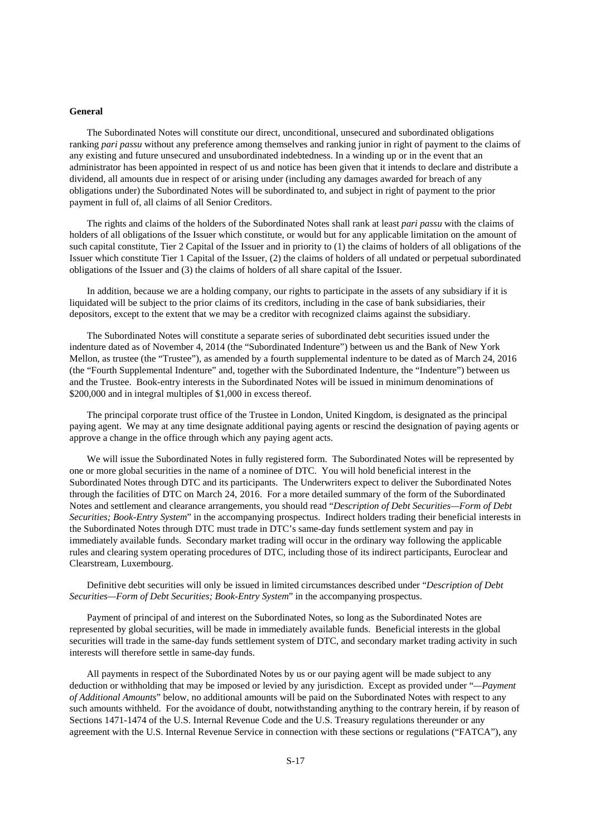#### **General**

The Subordinated Notes will constitute our direct, unconditional, unsecured and subordinated obligations ranking *pari passu* without any preference among themselves and ranking junior in right of payment to the claims of any existing and future unsecured and unsubordinated indebtedness. In a winding up or in the event that an administrator has been appointed in respect of us and notice has been given that it intends to declare and distribute a dividend, all amounts due in respect of or arising under (including any damages awarded for breach of any obligations under) the Subordinated Notes will be subordinated to, and subject in right of payment to the prior payment in full of, all claims of all Senior Creditors.

The rights and claims of the holders of the Subordinated Notes shall rank at least *pari passu* with the claims of holders of all obligations of the Issuer which constitute, or would but for any applicable limitation on the amount of such capital constitute, Tier 2 Capital of the Issuer and in priority to (1) the claims of holders of all obligations of the Issuer which constitute Tier 1 Capital of the Issuer, (2) the claims of holders of all undated or perpetual subordinated obligations of the Issuer and (3) the claims of holders of all share capital of the Issuer.

In addition, because we are a holding company, our rights to participate in the assets of any subsidiary if it is liquidated will be subject to the prior claims of its creditors, including in the case of bank subsidiaries, their depositors, except to the extent that we may be a creditor with recognized claims against the subsidiary.

The Subordinated Notes will constitute a separate series of subordinated debt securities issued under the indenture dated as of November 4, 2014 (the "Subordinated Indenture") between us and the Bank of New York Mellon, as trustee (the "Trustee"), as amended by a fourth supplemental indenture to be dated as of March 24, 2016 (the "Fourth Supplemental Indenture" and, together with the Subordinated Indenture, the "Indenture") between us and the Trustee. Book-entry interests in the Subordinated Notes will be issued in minimum denominations of \$200,000 and in integral multiples of \$1,000 in excess thereof.

The principal corporate trust office of the Trustee in London, United Kingdom, is designated as the principal paying agent. We may at any time designate additional paying agents or rescind the designation of paying agents or approve a change in the office through which any paying agent acts.

We will issue the Subordinated Notes in fully registered form. The Subordinated Notes will be represented by one or more global securities in the name of a nominee of DTC. You will hold beneficial interest in the Subordinated Notes through DTC and its participants. The Underwriters expect to deliver the Subordinated Notes through the facilities of DTC on March 24, 2016. For a more detailed summary of the form of the Subordinated Notes and settlement and clearance arrangements, you should read "*Description of Debt Securities—Form of Debt Securities; Book-Entry System*" in the accompanying prospectus. Indirect holders trading their beneficial interests in the Subordinated Notes through DTC must trade in DTC's same-day funds settlement system and pay in immediately available funds. Secondary market trading will occur in the ordinary way following the applicable rules and clearing system operating procedures of DTC, including those of its indirect participants, Euroclear and Clearstream, Luxembourg.

Definitive debt securities will only be issued in limited circumstances described under "*Description of Debt Securities—Form of Debt Securities; Book-Entry System*" in the accompanying prospectus.

Payment of principal of and interest on the Subordinated Notes, so long as the Subordinated Notes are represented by global securities, will be made in immediately available funds. Beneficial interests in the global securities will trade in the same-day funds settlement system of DTC, and secondary market trading activity in such interests will therefore settle in same-day funds.

All payments in respect of the Subordinated Notes by us or our paying agent will be made subject to any deduction or withholding that may be imposed or levied by any jurisdiction. Except as provided under "*—Payment of Additional Amounts*" below, no additional amounts will be paid on the Subordinated Notes with respect to any such amounts withheld. For the avoidance of doubt, notwithstanding anything to the contrary herein, if by reason of Sections 1471-1474 of the U.S. Internal Revenue Code and the U.S. Treasury regulations thereunder or any agreement with the U.S. Internal Revenue Service in connection with these sections or regulations ("FATCA"), any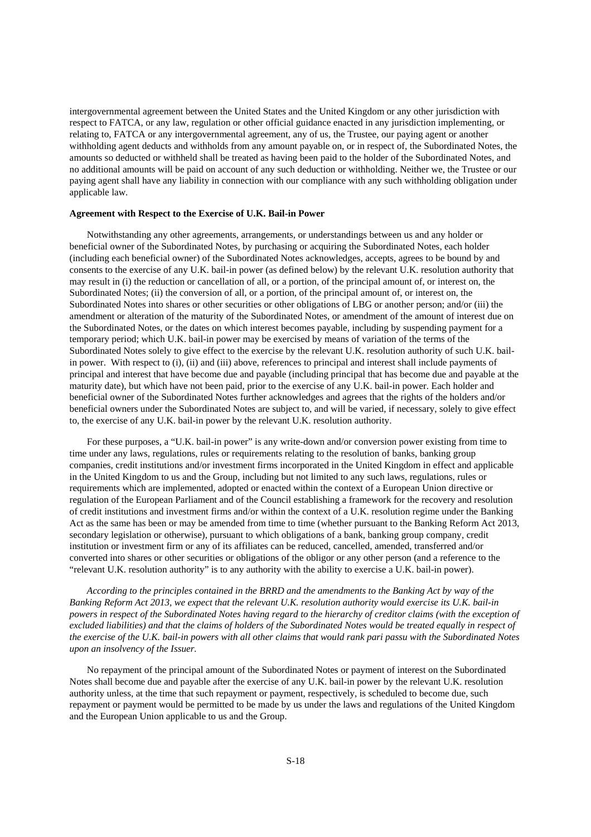intergovernmental agreement between the United States and the United Kingdom or any other jurisdiction with respect to FATCA, or any law, regulation or other official guidance enacted in any jurisdiction implementing, or relating to, FATCA or any intergovernmental agreement, any of us, the Trustee, our paying agent or another withholding agent deducts and withholds from any amount payable on, or in respect of, the Subordinated Notes, the amounts so deducted or withheld shall be treated as having been paid to the holder of the Subordinated Notes, and no additional amounts will be paid on account of any such deduction or withholding. Neither we, the Trustee or our paying agent shall have any liability in connection with our compliance with any such withholding obligation under applicable law.

#### **Agreement with Respect to the Exercise of U.K. Bail-in Power**

Notwithstanding any other agreements, arrangements, or understandings between us and any holder or beneficial owner of the Subordinated Notes, by purchasing or acquiring the Subordinated Notes, each holder (including each beneficial owner) of the Subordinated Notes acknowledges, accepts, agrees to be bound by and consents to the exercise of any U.K. bail-in power (as defined below) by the relevant U.K. resolution authority that may result in (i) the reduction or cancellation of all, or a portion, of the principal amount of, or interest on, the Subordinated Notes; (ii) the conversion of all, or a portion, of the principal amount of, or interest on, the Subordinated Notes into shares or other securities or other obligations of LBG or another person; and/or (iii) the amendment or alteration of the maturity of the Subordinated Notes, or amendment of the amount of interest due on the Subordinated Notes, or the dates on which interest becomes payable, including by suspending payment for a temporary period; which U.K. bail-in power may be exercised by means of variation of the terms of the Subordinated Notes solely to give effect to the exercise by the relevant U.K. resolution authority of such U.K. bailin power. With respect to (i), (ii) and (iii) above, references to principal and interest shall include payments of principal and interest that have become due and payable (including principal that has become due and payable at the maturity date), but which have not been paid, prior to the exercise of any U.K. bail-in power. Each holder and beneficial owner of the Subordinated Notes further acknowledges and agrees that the rights of the holders and/or beneficial owners under the Subordinated Notes are subject to, and will be varied, if necessary, solely to give effect to, the exercise of any U.K. bail-in power by the relevant U.K. resolution authority.

For these purposes, a "U.K. bail-in power" is any write-down and/or conversion power existing from time to time under any laws, regulations, rules or requirements relating to the resolution of banks, banking group companies, credit institutions and/or investment firms incorporated in the United Kingdom in effect and applicable in the United Kingdom to us and the Group, including but not limited to any such laws, regulations, rules or requirements which are implemented, adopted or enacted within the context of a European Union directive or regulation of the European Parliament and of the Council establishing a framework for the recovery and resolution of credit institutions and investment firms and/or within the context of a U.K. resolution regime under the Banking Act as the same has been or may be amended from time to time (whether pursuant to the Banking Reform Act 2013, secondary legislation or otherwise), pursuant to which obligations of a bank, banking group company, credit institution or investment firm or any of its affiliates can be reduced, cancelled, amended, transferred and/or converted into shares or other securities or obligations of the obligor or any other person (and a reference to the "relevant U.K. resolution authority" is to any authority with the ability to exercise a U.K. bail-in power).

*According to the principles contained in the BRRD and the amendments to the Banking Act by way of the Banking Reform Act 2013, we expect that the relevant U.K. resolution authority would exercise its U.K. bail-in powers in respect of the Subordinated Notes having regard to the hierarchy of creditor claims (with the exception of excluded liabilities) and that the claims of holders of the Subordinated Notes would be treated equally in respect of the exercise of the U.K. bail-in powers with all other claims that would rank pari passu with the Subordinated Notes upon an insolvency of the Issuer.* 

No repayment of the principal amount of the Subordinated Notes or payment of interest on the Subordinated Notes shall become due and payable after the exercise of any U.K. bail-in power by the relevant U.K. resolution authority unless, at the time that such repayment or payment, respectively, is scheduled to become due, such repayment or payment would be permitted to be made by us under the laws and regulations of the United Kingdom and the European Union applicable to us and the Group.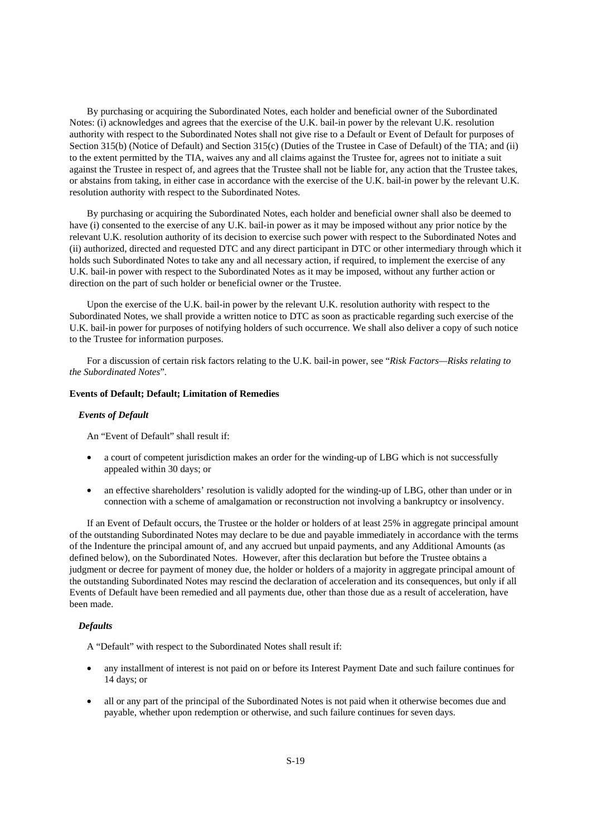By purchasing or acquiring the Subordinated Notes, each holder and beneficial owner of the Subordinated Notes: (i) acknowledges and agrees that the exercise of the U.K. bail-in power by the relevant U.K. resolution authority with respect to the Subordinated Notes shall not give rise to a Default or Event of Default for purposes of Section 315(b) (Notice of Default) and Section 315(c) (Duties of the Trustee in Case of Default) of the TIA; and (ii) to the extent permitted by the TIA, waives any and all claims against the Trustee for, agrees not to initiate a suit against the Trustee in respect of, and agrees that the Trustee shall not be liable for, any action that the Trustee takes, or abstains from taking, in either case in accordance with the exercise of the U.K. bail-in power by the relevant U.K. resolution authority with respect to the Subordinated Notes.

By purchasing or acquiring the Subordinated Notes, each holder and beneficial owner shall also be deemed to have (i) consented to the exercise of any U.K. bail-in power as it may be imposed without any prior notice by the relevant U.K. resolution authority of its decision to exercise such power with respect to the Subordinated Notes and (ii) authorized, directed and requested DTC and any direct participant in DTC or other intermediary through which it holds such Subordinated Notes to take any and all necessary action, if required, to implement the exercise of any U.K. bail-in power with respect to the Subordinated Notes as it may be imposed, without any further action or direction on the part of such holder or beneficial owner or the Trustee.

Upon the exercise of the U.K. bail-in power by the relevant U.K. resolution authority with respect to the Subordinated Notes, we shall provide a written notice to DTC as soon as practicable regarding such exercise of the U.K. bail-in power for purposes of notifying holders of such occurrence. We shall also deliver a copy of such notice to the Trustee for information purposes.

For a discussion of certain risk factors relating to the U.K. bail-in power, see "*Risk Factors—Risks relating to the Subordinated Notes*"*.* 

#### **Events of Default; Default; Limitation of Remedies**

#### *Events of Default*

An "Event of Default" shall result if:

- a court of competent jurisdiction makes an order for the winding-up of LBG which is not successfully appealed within 30 days; or
- an effective shareholders' resolution is validly adopted for the winding-up of LBG, other than under or in connection with a scheme of amalgamation or reconstruction not involving a bankruptcy or insolvency.

If an Event of Default occurs, the Trustee or the holder or holders of at least 25% in aggregate principal amount of the outstanding Subordinated Notes may declare to be due and payable immediately in accordance with the terms of the Indenture the principal amount of, and any accrued but unpaid payments, and any Additional Amounts (as defined below), on the Subordinated Notes. However, after this declaration but before the Trustee obtains a judgment or decree for payment of money due, the holder or holders of a majority in aggregate principal amount of the outstanding Subordinated Notes may rescind the declaration of acceleration and its consequences, but only if all Events of Default have been remedied and all payments due, other than those due as a result of acceleration, have been made.

# *Defaults*

A "Default" with respect to the Subordinated Notes shall result if:

- any installment of interest is not paid on or before its Interest Payment Date and such failure continues for 14 days; or
- all or any part of the principal of the Subordinated Notes is not paid when it otherwise becomes due and payable, whether upon redemption or otherwise, and such failure continues for seven days.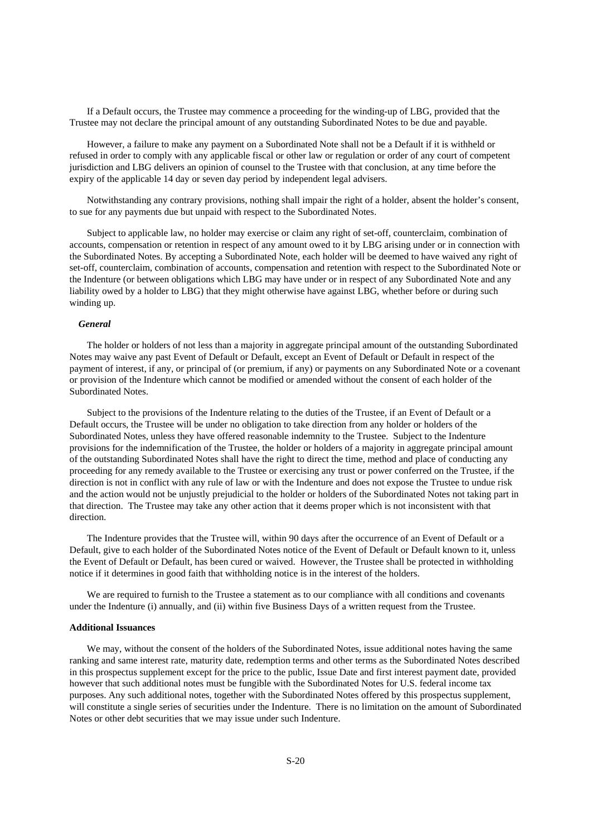If a Default occurs, the Trustee may commence a proceeding for the winding-up of LBG, provided that the Trustee may not declare the principal amount of any outstanding Subordinated Notes to be due and payable.

However, a failure to make any payment on a Subordinated Note shall not be a Default if it is withheld or refused in order to comply with any applicable fiscal or other law or regulation or order of any court of competent jurisdiction and LBG delivers an opinion of counsel to the Trustee with that conclusion, at any time before the expiry of the applicable 14 day or seven day period by independent legal advisers.

Notwithstanding any contrary provisions, nothing shall impair the right of a holder, absent the holder's consent, to sue for any payments due but unpaid with respect to the Subordinated Notes.

Subject to applicable law, no holder may exercise or claim any right of set-off, counterclaim, combination of accounts, compensation or retention in respect of any amount owed to it by LBG arising under or in connection with the Subordinated Notes. By accepting a Subordinated Note, each holder will be deemed to have waived any right of set-off, counterclaim, combination of accounts, compensation and retention with respect to the Subordinated Note or the Indenture (or between obligations which LBG may have under or in respect of any Subordinated Note and any liability owed by a holder to LBG) that they might otherwise have against LBG, whether before or during such winding up.

# *General*

The holder or holders of not less than a majority in aggregate principal amount of the outstanding Subordinated Notes may waive any past Event of Default or Default, except an Event of Default or Default in respect of the payment of interest, if any, or principal of (or premium, if any) or payments on any Subordinated Note or a covenant or provision of the Indenture which cannot be modified or amended without the consent of each holder of the Subordinated Notes.

Subject to the provisions of the Indenture relating to the duties of the Trustee, if an Event of Default or a Default occurs, the Trustee will be under no obligation to take direction from any holder or holders of the Subordinated Notes, unless they have offered reasonable indemnity to the Trustee. Subject to the Indenture provisions for the indemnification of the Trustee, the holder or holders of a majority in aggregate principal amount of the outstanding Subordinated Notes shall have the right to direct the time, method and place of conducting any proceeding for any remedy available to the Trustee or exercising any trust or power conferred on the Trustee, if the direction is not in conflict with any rule of law or with the Indenture and does not expose the Trustee to undue risk and the action would not be unjustly prejudicial to the holder or holders of the Subordinated Notes not taking part in that direction. The Trustee may take any other action that it deems proper which is not inconsistent with that direction.

The Indenture provides that the Trustee will, within 90 days after the occurrence of an Event of Default or a Default, give to each holder of the Subordinated Notes notice of the Event of Default or Default known to it, unless the Event of Default or Default, has been cured or waived. However, the Trustee shall be protected in withholding notice if it determines in good faith that withholding notice is in the interest of the holders.

We are required to furnish to the Trustee a statement as to our compliance with all conditions and covenants under the Indenture (i) annually, and (ii) within five Business Days of a written request from the Trustee.

#### **Additional Issuances**

We may, without the consent of the holders of the Subordinated Notes, issue additional notes having the same ranking and same interest rate, maturity date, redemption terms and other terms as the Subordinated Notes described in this prospectus supplement except for the price to the public, Issue Date and first interest payment date, provided however that such additional notes must be fungible with the Subordinated Notes for U.S. federal income tax purposes. Any such additional notes, together with the Subordinated Notes offered by this prospectus supplement, will constitute a single series of securities under the Indenture. There is no limitation on the amount of Subordinated Notes or other debt securities that we may issue under such Indenture.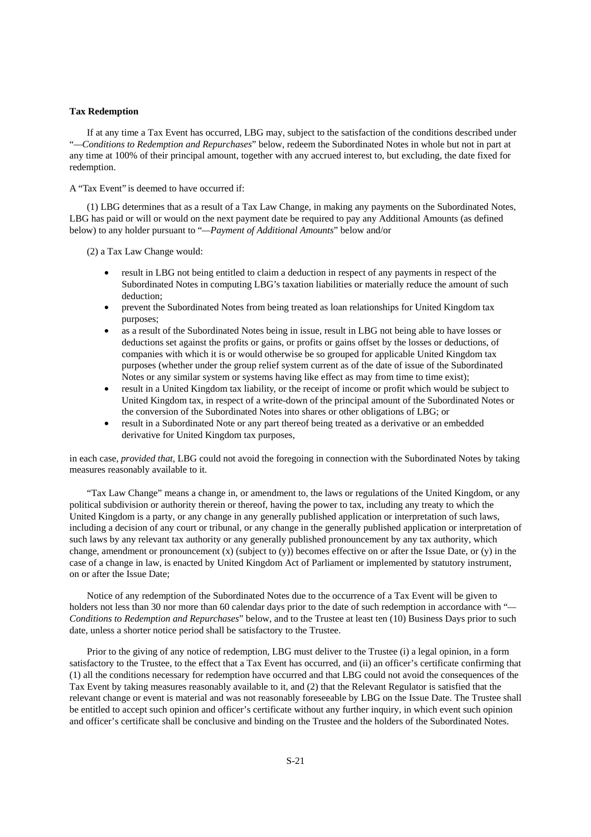#### **Tax Redemption**

If at any time a Tax Event has occurred, LBG may, subject to the satisfaction of the conditions described under "*—Conditions to Redemption and Repurchases*" below, redeem the Subordinated Notes in whole but not in part at any time at 100% of their principal amount, together with any accrued interest to, but excluding, the date fixed for redemption.

A "Tax Event" is deemed to have occurred if:

(1) LBG determines that as a result of a Tax Law Change, in making any payments on the Subordinated Notes, LBG has paid or will or would on the next payment date be required to pay any Additional Amounts (as defined below) to any holder pursuant to "*—Payment of Additional Amounts*" below and/or

(2) a Tax Law Change would:

- result in LBG not being entitled to claim a deduction in respect of any payments in respect of the Subordinated Notes in computing LBG's taxation liabilities or materially reduce the amount of such deduction;
- prevent the Subordinated Notes from being treated as loan relationships for United Kingdom tax purposes;
- as a result of the Subordinated Notes being in issue, result in LBG not being able to have losses or deductions set against the profits or gains, or profits or gains offset by the losses or deductions, of companies with which it is or would otherwise be so grouped for applicable United Kingdom tax purposes (whether under the group relief system current as of the date of issue of the Subordinated Notes or any similar system or systems having like effect as may from time to time exist);
- result in a United Kingdom tax liability, or the receipt of income or profit which would be subject to United Kingdom tax, in respect of a write-down of the principal amount of the Subordinated Notes or the conversion of the Subordinated Notes into shares or other obligations of LBG; or
- result in a Subordinated Note or any part thereof being treated as a derivative or an embedded derivative for United Kingdom tax purposes,

in each case, *provided that*, LBG could not avoid the foregoing in connection with the Subordinated Notes by taking measures reasonably available to it.

"Tax Law Change" means a change in, or amendment to, the laws or regulations of the United Kingdom, or any political subdivision or authority therein or thereof, having the power to tax, including any treaty to which the United Kingdom is a party, or any change in any generally published application or interpretation of such laws, including a decision of any court or tribunal, or any change in the generally published application or interpretation of such laws by any relevant tax authority or any generally published pronouncement by any tax authority, which change, amendment or pronouncement  $(x)$  (subject to  $(y)$ ) becomes effective on or after the Issue Date, or  $(y)$  in the case of a change in law, is enacted by United Kingdom Act of Parliament or implemented by statutory instrument, on or after the Issue Date;

Notice of any redemption of the Subordinated Notes due to the occurrence of a Tax Event will be given to holders not less than 30 nor more than 60 calendar days prior to the date of such redemption in accordance with "*— Conditions to Redemption and Repurchases*" below, and to the Trustee at least ten (10) Business Days prior to such date, unless a shorter notice period shall be satisfactory to the Trustee.

Prior to the giving of any notice of redemption, LBG must deliver to the Trustee (i) a legal opinion, in a form satisfactory to the Trustee, to the effect that a Tax Event has occurred, and (ii) an officer's certificate confirming that (1) all the conditions necessary for redemption have occurred and that LBG could not avoid the consequences of the Tax Event by taking measures reasonably available to it, and (2) that the Relevant Regulator is satisfied that the relevant change or event is material and was not reasonably foreseeable by LBG on the Issue Date. The Trustee shall be entitled to accept such opinion and officer's certificate without any further inquiry, in which event such opinion and officer's certificate shall be conclusive and binding on the Trustee and the holders of the Subordinated Notes.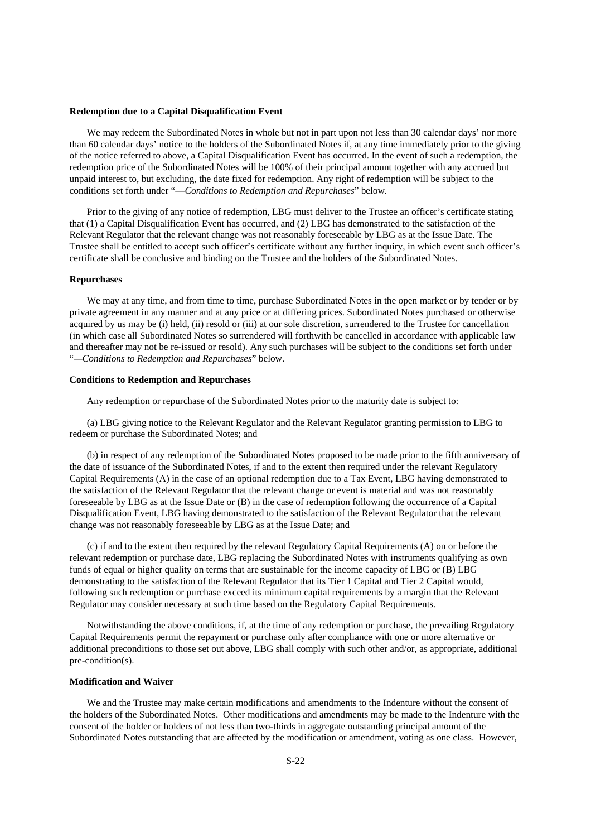#### **Redemption due to a Capital Disqualification Event**

We may redeem the Subordinated Notes in whole but not in part upon not less than 30 calendar days' nor more than 60 calendar days' notice to the holders of the Subordinated Notes if, at any time immediately prior to the giving of the notice referred to above, a Capital Disqualification Event has occurred. In the event of such a redemption, the redemption price of the Subordinated Notes will be 100% of their principal amount together with any accrued but unpaid interest to, but excluding, the date fixed for redemption. Any right of redemption will be subject to the conditions set forth under "—*Conditions to Redemption and Repurchases*" below.

Prior to the giving of any notice of redemption, LBG must deliver to the Trustee an officer's certificate stating that (1) a Capital Disqualification Event has occurred, and (2) LBG has demonstrated to the satisfaction of the Relevant Regulator that the relevant change was not reasonably foreseeable by LBG as at the Issue Date. The Trustee shall be entitled to accept such officer's certificate without any further inquiry, in which event such officer's certificate shall be conclusive and binding on the Trustee and the holders of the Subordinated Notes.

# **Repurchases**

We may at any time, and from time to time, purchase Subordinated Notes in the open market or by tender or by private agreement in any manner and at any price or at differing prices. Subordinated Notes purchased or otherwise acquired by us may be (i) held, (ii) resold or (iii) at our sole discretion, surrendered to the Trustee for cancellation (in which case all Subordinated Notes so surrendered will forthwith be cancelled in accordance with applicable law and thereafter may not be re-issued or resold). Any such purchases will be subject to the conditions set forth under "*—Conditions to Redemption and Repurchases*" below.

# **Conditions to Redemption and Repurchases**

Any redemption or repurchase of the Subordinated Notes prior to the maturity date is subject to:

(a) LBG giving notice to the Relevant Regulator and the Relevant Regulator granting permission to LBG to redeem or purchase the Subordinated Notes; and

(b) in respect of any redemption of the Subordinated Notes proposed to be made prior to the fifth anniversary of the date of issuance of the Subordinated Notes, if and to the extent then required under the relevant Regulatory Capital Requirements (A) in the case of an optional redemption due to a Tax Event, LBG having demonstrated to the satisfaction of the Relevant Regulator that the relevant change or event is material and was not reasonably foreseeable by LBG as at the Issue Date or (B) in the case of redemption following the occurrence of a Capital Disqualification Event, LBG having demonstrated to the satisfaction of the Relevant Regulator that the relevant change was not reasonably foreseeable by LBG as at the Issue Date; and

(c) if and to the extent then required by the relevant Regulatory Capital Requirements (A) on or before the relevant redemption or purchase date, LBG replacing the Subordinated Notes with instruments qualifying as own funds of equal or higher quality on terms that are sustainable for the income capacity of LBG or (B) LBG demonstrating to the satisfaction of the Relevant Regulator that its Tier 1 Capital and Tier 2 Capital would, following such redemption or purchase exceed its minimum capital requirements by a margin that the Relevant Regulator may consider necessary at such time based on the Regulatory Capital Requirements.

Notwithstanding the above conditions, if, at the time of any redemption or purchase, the prevailing Regulatory Capital Requirements permit the repayment or purchase only after compliance with one or more alternative or additional preconditions to those set out above, LBG shall comply with such other and/or, as appropriate, additional pre-condition(s).

# **Modification and Waiver**

We and the Trustee may make certain modifications and amendments to the Indenture without the consent of the holders of the Subordinated Notes. Other modifications and amendments may be made to the Indenture with the consent of the holder or holders of not less than two-thirds in aggregate outstanding principal amount of the Subordinated Notes outstanding that are affected by the modification or amendment, voting as one class. However,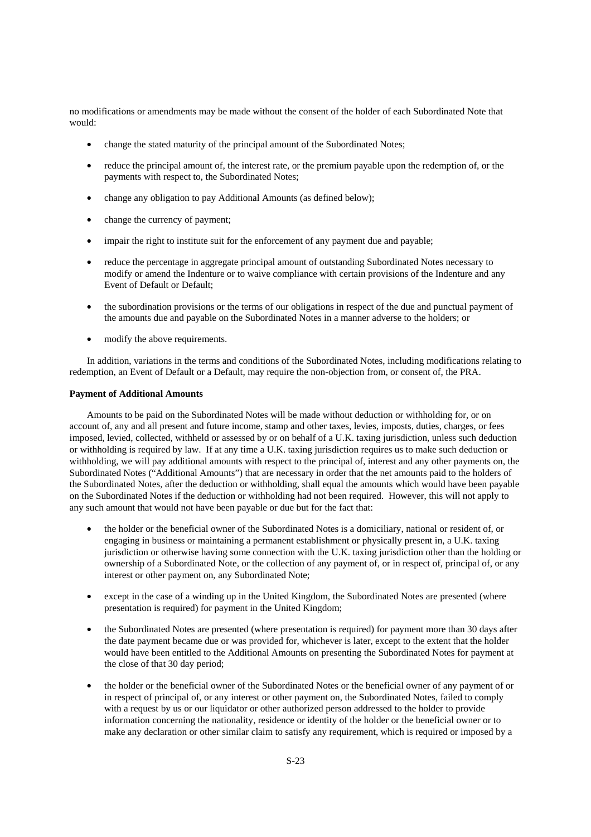no modifications or amendments may be made without the consent of the holder of each Subordinated Note that would:

- change the stated maturity of the principal amount of the Subordinated Notes;
- reduce the principal amount of, the interest rate, or the premium payable upon the redemption of, or the payments with respect to, the Subordinated Notes;
- change any obligation to pay Additional Amounts (as defined below);
- change the currency of payment;
- impair the right to institute suit for the enforcement of any payment due and payable;
- reduce the percentage in aggregate principal amount of outstanding Subordinated Notes necessary to modify or amend the Indenture or to waive compliance with certain provisions of the Indenture and any Event of Default or Default;
- the subordination provisions or the terms of our obligations in respect of the due and punctual payment of the amounts due and payable on the Subordinated Notes in a manner adverse to the holders; or
- modify the above requirements.

In addition, variations in the terms and conditions of the Subordinated Notes, including modifications relating to redemption, an Event of Default or a Default, may require the non-objection from, or consent of, the PRA.

#### **Payment of Additional Amounts**

Amounts to be paid on the Subordinated Notes will be made without deduction or withholding for, or on account of, any and all present and future income, stamp and other taxes, levies, imposts, duties, charges, or fees imposed, levied, collected, withheld or assessed by or on behalf of a U.K. taxing jurisdiction, unless such deduction or withholding is required by law. If at any time a U.K. taxing jurisdiction requires us to make such deduction or withholding, we will pay additional amounts with respect to the principal of, interest and any other payments on, the Subordinated Notes ("Additional Amounts") that are necessary in order that the net amounts paid to the holders of the Subordinated Notes, after the deduction or withholding, shall equal the amounts which would have been payable on the Subordinated Notes if the deduction or withholding had not been required. However, this will not apply to any such amount that would not have been payable or due but for the fact that:

- the holder or the beneficial owner of the Subordinated Notes is a domiciliary, national or resident of, or engaging in business or maintaining a permanent establishment or physically present in, a U.K. taxing jurisdiction or otherwise having some connection with the U.K. taxing jurisdiction other than the holding or ownership of a Subordinated Note, or the collection of any payment of, or in respect of, principal of, or any interest or other payment on, any Subordinated Note;
- except in the case of a winding up in the United Kingdom, the Subordinated Notes are presented (where presentation is required) for payment in the United Kingdom;
- the Subordinated Notes are presented (where presentation is required) for payment more than 30 days after the date payment became due or was provided for, whichever is later, except to the extent that the holder would have been entitled to the Additional Amounts on presenting the Subordinated Notes for payment at the close of that 30 day period;
- the holder or the beneficial owner of the Subordinated Notes or the beneficial owner of any payment of or in respect of principal of, or any interest or other payment on, the Subordinated Notes, failed to comply with a request by us or our liquidator or other authorized person addressed to the holder to provide information concerning the nationality, residence or identity of the holder or the beneficial owner or to make any declaration or other similar claim to satisfy any requirement, which is required or imposed by a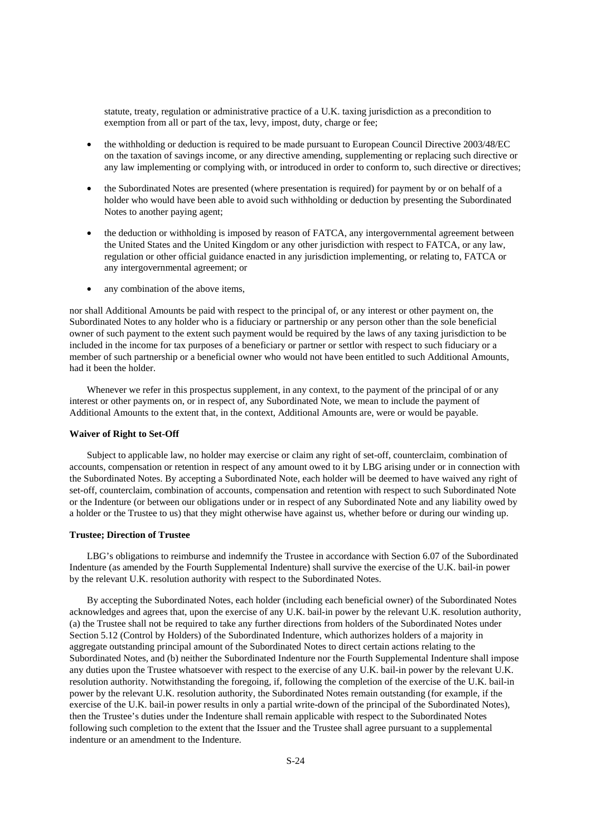statute, treaty, regulation or administrative practice of a U.K. taxing jurisdiction as a precondition to exemption from all or part of the tax, levy, impost, duty, charge or fee;

- the withholding or deduction is required to be made pursuant to European Council Directive 2003/48/EC on the taxation of savings income, or any directive amending, supplementing or replacing such directive or any law implementing or complying with, or introduced in order to conform to, such directive or directives;
- the Subordinated Notes are presented (where presentation is required) for payment by or on behalf of a holder who would have been able to avoid such withholding or deduction by presenting the Subordinated Notes to another paying agent;
- the deduction or withholding is imposed by reason of FATCA, any intergovernmental agreement between the United States and the United Kingdom or any other jurisdiction with respect to FATCA, or any law, regulation or other official guidance enacted in any jurisdiction implementing, or relating to, FATCA or any intergovernmental agreement; or
- any combination of the above items,

nor shall Additional Amounts be paid with respect to the principal of, or any interest or other payment on, the Subordinated Notes to any holder who is a fiduciary or partnership or any person other than the sole beneficial owner of such payment to the extent such payment would be required by the laws of any taxing jurisdiction to be included in the income for tax purposes of a beneficiary or partner or settlor with respect to such fiduciary or a member of such partnership or a beneficial owner who would not have been entitled to such Additional Amounts, had it been the holder.

Whenever we refer in this prospectus supplement, in any context, to the payment of the principal of or any interest or other payments on, or in respect of, any Subordinated Note, we mean to include the payment of Additional Amounts to the extent that, in the context, Additional Amounts are, were or would be payable.

#### **Waiver of Right to Set-Off**

Subject to applicable law, no holder may exercise or claim any right of set-off, counterclaim, combination of accounts, compensation or retention in respect of any amount owed to it by LBG arising under or in connection with the Subordinated Notes. By accepting a Subordinated Note, each holder will be deemed to have waived any right of set-off, counterclaim, combination of accounts, compensation and retention with respect to such Subordinated Note or the Indenture (or between our obligations under or in respect of any Subordinated Note and any liability owed by a holder or the Trustee to us) that they might otherwise have against us, whether before or during our winding up.

#### **Trustee; Direction of Trustee**

LBG's obligations to reimburse and indemnify the Trustee in accordance with Section 6.07 of the Subordinated Indenture (as amended by the Fourth Supplemental Indenture) shall survive the exercise of the U.K. bail-in power by the relevant U.K. resolution authority with respect to the Subordinated Notes.

By accepting the Subordinated Notes, each holder (including each beneficial owner) of the Subordinated Notes acknowledges and agrees that, upon the exercise of any U.K. bail-in power by the relevant U.K. resolution authority, (a) the Trustee shall not be required to take any further directions from holders of the Subordinated Notes under Section 5.12 (Control by Holders) of the Subordinated Indenture, which authorizes holders of a majority in aggregate outstanding principal amount of the Subordinated Notes to direct certain actions relating to the Subordinated Notes, and (b) neither the Subordinated Indenture nor the Fourth Supplemental Indenture shall impose any duties upon the Trustee whatsoever with respect to the exercise of any U.K. bail-in power by the relevant U.K. resolution authority. Notwithstanding the foregoing, if, following the completion of the exercise of the U.K. bail-in power by the relevant U.K. resolution authority, the Subordinated Notes remain outstanding (for example, if the exercise of the U.K. bail-in power results in only a partial write-down of the principal of the Subordinated Notes), then the Trustee's duties under the Indenture shall remain applicable with respect to the Subordinated Notes following such completion to the extent that the Issuer and the Trustee shall agree pursuant to a supplemental indenture or an amendment to the Indenture.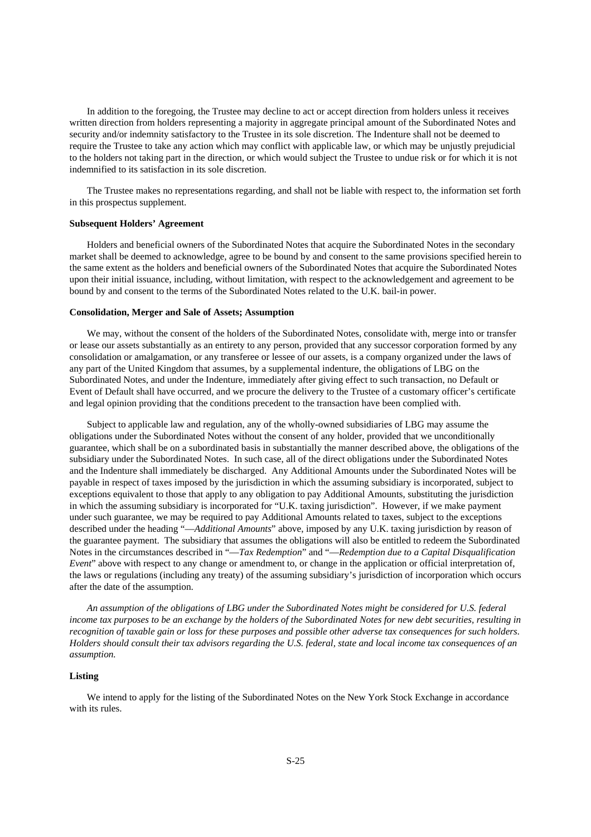In addition to the foregoing, the Trustee may decline to act or accept direction from holders unless it receives written direction from holders representing a majority in aggregate principal amount of the Subordinated Notes and security and/or indemnity satisfactory to the Trustee in its sole discretion. The Indenture shall not be deemed to require the Trustee to take any action which may conflict with applicable law, or which may be unjustly prejudicial to the holders not taking part in the direction, or which would subject the Trustee to undue risk or for which it is not indemnified to its satisfaction in its sole discretion.

The Trustee makes no representations regarding, and shall not be liable with respect to, the information set forth in this prospectus supplement.

## **Subsequent Holders' Agreement**

Holders and beneficial owners of the Subordinated Notes that acquire the Subordinated Notes in the secondary market shall be deemed to acknowledge, agree to be bound by and consent to the same provisions specified herein to the same extent as the holders and beneficial owners of the Subordinated Notes that acquire the Subordinated Notes upon their initial issuance, including, without limitation, with respect to the acknowledgement and agreement to be bound by and consent to the terms of the Subordinated Notes related to the U.K. bail-in power.

#### **Consolidation, Merger and Sale of Assets; Assumption**

We may, without the consent of the holders of the Subordinated Notes, consolidate with, merge into or transfer or lease our assets substantially as an entirety to any person, provided that any successor corporation formed by any consolidation or amalgamation, or any transferee or lessee of our assets, is a company organized under the laws of any part of the United Kingdom that assumes, by a supplemental indenture, the obligations of LBG on the Subordinated Notes, and under the Indenture, immediately after giving effect to such transaction, no Default or Event of Default shall have occurred, and we procure the delivery to the Trustee of a customary officer's certificate and legal opinion providing that the conditions precedent to the transaction have been complied with.

Subject to applicable law and regulation, any of the wholly-owned subsidiaries of LBG may assume the obligations under the Subordinated Notes without the consent of any holder, provided that we unconditionally guarantee, which shall be on a subordinated basis in substantially the manner described above, the obligations of the subsidiary under the Subordinated Notes. In such case, all of the direct obligations under the Subordinated Notes and the Indenture shall immediately be discharged. Any Additional Amounts under the Subordinated Notes will be payable in respect of taxes imposed by the jurisdiction in which the assuming subsidiary is incorporated, subject to exceptions equivalent to those that apply to any obligation to pay Additional Amounts, substituting the jurisdiction in which the assuming subsidiary is incorporated for "U.K. taxing jurisdiction". However, if we make payment under such guarantee, we may be required to pay Additional Amounts related to taxes, subject to the exceptions described under the heading "—*Additional Amounts*" above, imposed by any U.K. taxing jurisdiction by reason of the guarantee payment. The subsidiary that assumes the obligations will also be entitled to redeem the Subordinated Notes in the circumstances described in "—*Tax Redemption*" and "—*Redemption due to a Capital Disqualification Event*" above with respect to any change or amendment to, or change in the application or official interpretation of, the laws or regulations (including any treaty) of the assuming subsidiary's jurisdiction of incorporation which occurs after the date of the assumption.

*An assumption of the obligations of LBG under the Subordinated Notes might be considered for U.S. federal income tax purposes to be an exchange by the holders of the Subordinated Notes for new debt securities, resulting in recognition of taxable gain or loss for these purposes and possible other adverse tax consequences for such holders. Holders should consult their tax advisors regarding the U.S. federal, state and local income tax consequences of an assumption.*

#### **Listing**

We intend to apply for the listing of the Subordinated Notes on the New York Stock Exchange in accordance with its rules.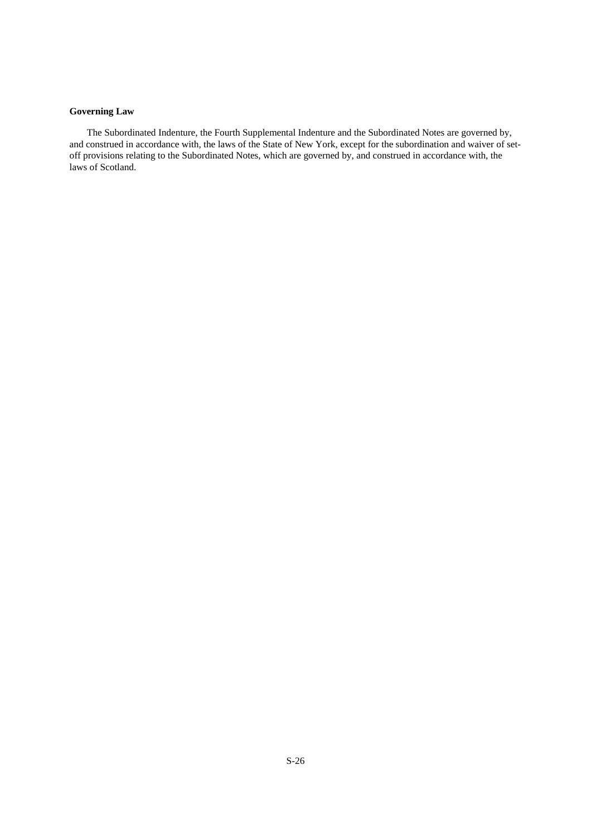# **Governing Law**

The Subordinated Indenture, the Fourth Supplemental Indenture and the Subordinated Notes are governed by, and construed in accordance with, the laws of the State of New York, except for the subordination and waiver of setoff provisions relating to the Subordinated Notes, which are governed by, and construed in accordance with, the laws of Scotland.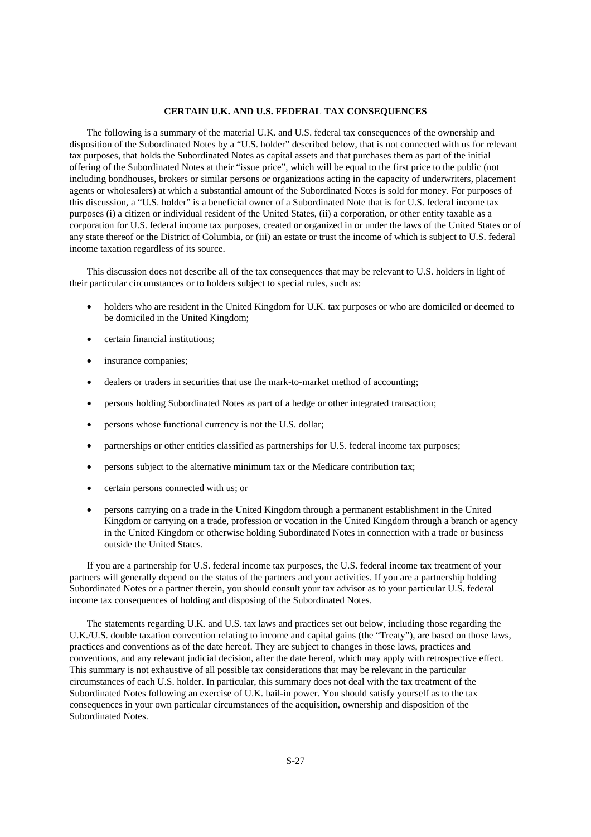#### **CERTAIN U.K. AND U.S. FEDERAL TAX CONSEQUENCES**

The following is a summary of the material U.K. and U.S. federal tax consequences of the ownership and disposition of the Subordinated Notes by a "U.S. holder" described below, that is not connected with us for relevant tax purposes, that holds the Subordinated Notes as capital assets and that purchases them as part of the initial offering of the Subordinated Notes at their "issue price", which will be equal to the first price to the public (not including bondhouses, brokers or similar persons or organizations acting in the capacity of underwriters, placement agents or wholesalers) at which a substantial amount of the Subordinated Notes is sold for money. For purposes of this discussion, a "U.S. holder" is a beneficial owner of a Subordinated Note that is for U.S. federal income tax purposes (i) a citizen or individual resident of the United States, (ii) a corporation, or other entity taxable as a corporation for U.S. federal income tax purposes, created or organized in or under the laws of the United States or of any state thereof or the District of Columbia, or (iii) an estate or trust the income of which is subject to U.S. federal income taxation regardless of its source.

This discussion does not describe all of the tax consequences that may be relevant to U.S. holders in light of their particular circumstances or to holders subject to special rules, such as:

- holders who are resident in the United Kingdom for U.K. tax purposes or who are domiciled or deemed to be domiciled in the United Kingdom;
- certain financial institutions;
- insurance companies;
- dealers or traders in securities that use the mark-to-market method of accounting;
- persons holding Subordinated Notes as part of a hedge or other integrated transaction;
- persons whose functional currency is not the U.S. dollar;
- partnerships or other entities classified as partnerships for U.S. federal income tax purposes;
- persons subject to the alternative minimum tax or the Medicare contribution tax;
- certain persons connected with us; or
- persons carrying on a trade in the United Kingdom through a permanent establishment in the United Kingdom or carrying on a trade, profession or vocation in the United Kingdom through a branch or agency in the United Kingdom or otherwise holding Subordinated Notes in connection with a trade or business outside the United States.

If you are a partnership for U.S. federal income tax purposes, the U.S. federal income tax treatment of your partners will generally depend on the status of the partners and your activities. If you are a partnership holding Subordinated Notes or a partner therein, you should consult your tax advisor as to your particular U.S. federal income tax consequences of holding and disposing of the Subordinated Notes.

The statements regarding U.K. and U.S. tax laws and practices set out below, including those regarding the U.K./U.S. double taxation convention relating to income and capital gains (the "Treaty"), are based on those laws, practices and conventions as of the date hereof. They are subject to changes in those laws, practices and conventions, and any relevant judicial decision, after the date hereof, which may apply with retrospective effect. This summary is not exhaustive of all possible tax considerations that may be relevant in the particular circumstances of each U.S. holder. In particular, this summary does not deal with the tax treatment of the Subordinated Notes following an exercise of U.K. bail-in power. You should satisfy yourself as to the tax consequences in your own particular circumstances of the acquisition, ownership and disposition of the Subordinated Notes.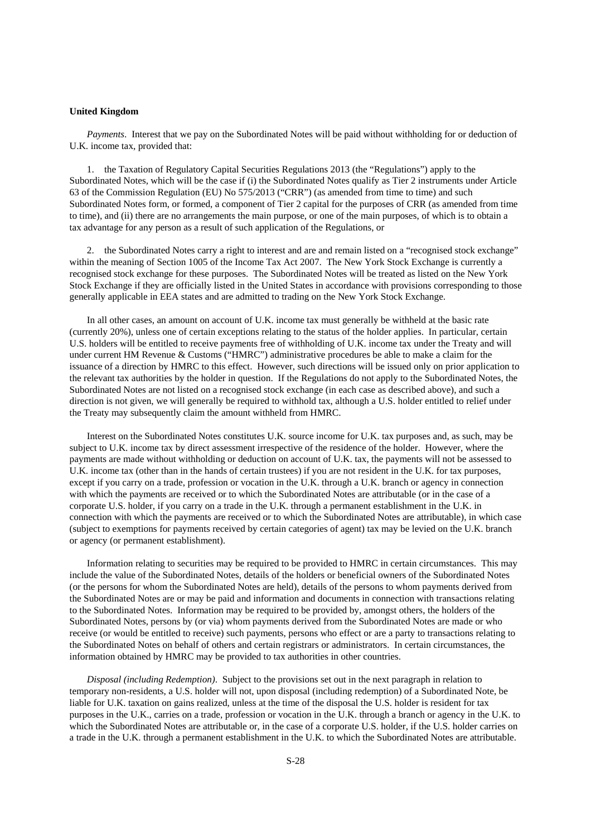#### **United Kingdom**

*Payments*. Interest that we pay on the Subordinated Notes will be paid without withholding for or deduction of U.K. income tax, provided that:

1. the Taxation of Regulatory Capital Securities Regulations 2013 (the "Regulations") apply to the Subordinated Notes, which will be the case if (i) the Subordinated Notes qualify as Tier 2 instruments under Article 63 of the Commission Regulation (EU) No 575/2013 ("CRR") (as amended from time to time) and such Subordinated Notes form, or formed, a component of Tier 2 capital for the purposes of CRR (as amended from time to time), and (ii) there are no arrangements the main purpose, or one of the main purposes, of which is to obtain a tax advantage for any person as a result of such application of the Regulations, or

2. the Subordinated Notes carry a right to interest and are and remain listed on a "recognised stock exchange" within the meaning of Section 1005 of the Income Tax Act 2007. The New York Stock Exchange is currently a recognised stock exchange for these purposes. The Subordinated Notes will be treated as listed on the New York Stock Exchange if they are officially listed in the United States in accordance with provisions corresponding to those generally applicable in EEA states and are admitted to trading on the New York Stock Exchange.

In all other cases, an amount on account of U.K. income tax must generally be withheld at the basic rate (currently 20%), unless one of certain exceptions relating to the status of the holder applies. In particular, certain U.S. holders will be entitled to receive payments free of withholding of U.K. income tax under the Treaty and will under current HM Revenue & Customs ("HMRC") administrative procedures be able to make a claim for the issuance of a direction by HMRC to this effect. However, such directions will be issued only on prior application to the relevant tax authorities by the holder in question. If the Regulations do not apply to the Subordinated Notes, the Subordinated Notes are not listed on a recognised stock exchange (in each case as described above), and such a direction is not given, we will generally be required to withhold tax, although a U.S. holder entitled to relief under the Treaty may subsequently claim the amount withheld from HMRC.

Interest on the Subordinated Notes constitutes U.K. source income for U.K. tax purposes and, as such, may be subject to U.K. income tax by direct assessment irrespective of the residence of the holder. However, where the payments are made without withholding or deduction on account of U.K. tax, the payments will not be assessed to U.K. income tax (other than in the hands of certain trustees) if you are not resident in the U.K. for tax purposes, except if you carry on a trade, profession or vocation in the U.K. through a U.K. branch or agency in connection with which the payments are received or to which the Subordinated Notes are attributable (or in the case of a corporate U.S. holder, if you carry on a trade in the U.K. through a permanent establishment in the U.K. in connection with which the payments are received or to which the Subordinated Notes are attributable), in which case (subject to exemptions for payments received by certain categories of agent) tax may be levied on the U.K. branch or agency (or permanent establishment).

Information relating to securities may be required to be provided to HMRC in certain circumstances. This may include the value of the Subordinated Notes, details of the holders or beneficial owners of the Subordinated Notes (or the persons for whom the Subordinated Notes are held), details of the persons to whom payments derived from the Subordinated Notes are or may be paid and information and documents in connection with transactions relating to the Subordinated Notes. Information may be required to be provided by, amongst others, the holders of the Subordinated Notes, persons by (or via) whom payments derived from the Subordinated Notes are made or who receive (or would be entitled to receive) such payments, persons who effect or are a party to transactions relating to the Subordinated Notes on behalf of others and certain registrars or administrators. In certain circumstances, the information obtained by HMRC may be provided to tax authorities in other countries.

*Disposal (including Redemption)*. Subject to the provisions set out in the next paragraph in relation to temporary non-residents, a U.S. holder will not, upon disposal (including redemption) of a Subordinated Note, be liable for U.K. taxation on gains realized, unless at the time of the disposal the U.S. holder is resident for tax purposes in the U.K., carries on a trade, profession or vocation in the U.K. through a branch or agency in the U.K. to which the Subordinated Notes are attributable or, in the case of a corporate U.S. holder, if the U.S. holder carries on a trade in the U.K. through a permanent establishment in the U.K. to which the Subordinated Notes are attributable.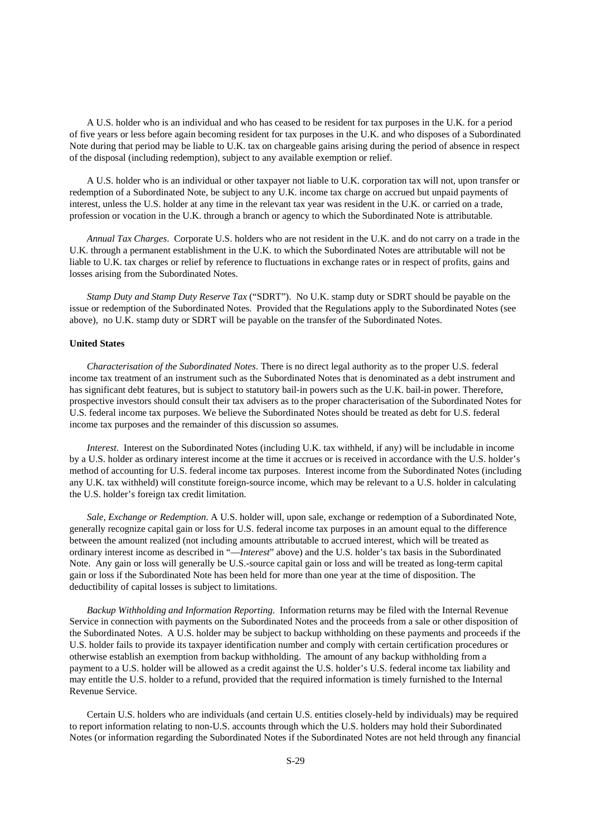A U.S. holder who is an individual and who has ceased to be resident for tax purposes in the U.K. for a period of five years or less before again becoming resident for tax purposes in the U.K. and who disposes of a Subordinated Note during that period may be liable to U.K. tax on chargeable gains arising during the period of absence in respect of the disposal (including redemption), subject to any available exemption or relief.

A U.S. holder who is an individual or other taxpayer not liable to U.K. corporation tax will not, upon transfer or redemption of a Subordinated Note, be subject to any U.K. income tax charge on accrued but unpaid payments of interest, unless the U.S. holder at any time in the relevant tax year was resident in the U.K. or carried on a trade, profession or vocation in the U.K. through a branch or agency to which the Subordinated Note is attributable.

*Annual Tax Charges*. Corporate U.S. holders who are not resident in the U.K. and do not carry on a trade in the U.K. through a permanent establishment in the U.K. to which the Subordinated Notes are attributable will not be liable to U.K. tax charges or relief by reference to fluctuations in exchange rates or in respect of profits, gains and losses arising from the Subordinated Notes.

*Stamp Duty and Stamp Duty Reserve Tax* ("SDRT"). No U.K. stamp duty or SDRT should be payable on the issue or redemption of the Subordinated Notes. Provided that the Regulations apply to the Subordinated Notes (see above), no U.K. stamp duty or SDRT will be payable on the transfer of the Subordinated Notes.

# **United States**

*Characterisation of the Subordinated Notes*. There is no direct legal authority as to the proper U.S. federal income tax treatment of an instrument such as the Subordinated Notes that is denominated as a debt instrument and has significant debt features, but is subject to statutory bail-in powers such as the U.K. bail-in power. Therefore, prospective investors should consult their tax advisers as to the proper characterisation of the Subordinated Notes for U.S. federal income tax purposes. We believe the Subordinated Notes should be treated as debt for U.S. federal income tax purposes and the remainder of this discussion so assumes.

*Interest*. Interest on the Subordinated Notes (including U.K. tax withheld, if any) will be includable in income by a U.S. holder as ordinary interest income at the time it accrues or is received in accordance with the U.S. holder's method of accounting for U.S. federal income tax purposes. Interest income from the Subordinated Notes (including any U.K. tax withheld) will constitute foreign-source income, which may be relevant to a U.S. holder in calculating the U.S. holder's foreign tax credit limitation.

*Sale, Exchange or Redemption*. A U.S. holder will, upon sale, exchange or redemption of a Subordinated Note, generally recognize capital gain or loss for U.S. federal income tax purposes in an amount equal to the difference between the amount realized (not including amounts attributable to accrued interest, which will be treated as ordinary interest income as described in "—*Interest*" above) and the U.S. holder's tax basis in the Subordinated Note. Any gain or loss will generally be U.S.-source capital gain or loss and will be treated as long-term capital gain or loss if the Subordinated Note has been held for more than one year at the time of disposition. The deductibility of capital losses is subject to limitations.

*Backup Withholding and Information Reporting*. Information returns may be filed with the Internal Revenue Service in connection with payments on the Subordinated Notes and the proceeds from a sale or other disposition of the Subordinated Notes. A U.S. holder may be subject to backup withholding on these payments and proceeds if the U.S. holder fails to provide its taxpayer identification number and comply with certain certification procedures or otherwise establish an exemption from backup withholding. The amount of any backup withholding from a payment to a U.S. holder will be allowed as a credit against the U.S. holder's U.S. federal income tax liability and may entitle the U.S. holder to a refund, provided that the required information is timely furnished to the Internal Revenue Service.

Certain U.S. holders who are individuals (and certain U.S. entities closely-held by individuals) may be required to report information relating to non-U.S. accounts through which the U.S. holders may hold their Subordinated Notes (or information regarding the Subordinated Notes if the Subordinated Notes are not held through any financial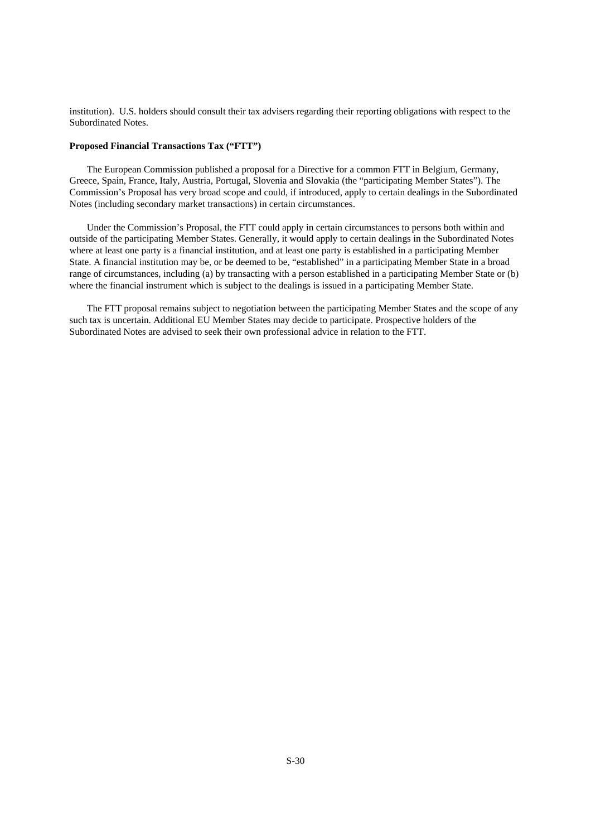institution). U.S. holders should consult their tax advisers regarding their reporting obligations with respect to the Subordinated Notes.

# **Proposed Financial Transactions Tax ("FTT")**

The European Commission published a proposal for a Directive for a common FTT in Belgium, Germany, Greece, Spain, France, Italy, Austria, Portugal, Slovenia and Slovakia (the "participating Member States"). The Commission's Proposal has very broad scope and could, if introduced, apply to certain dealings in the Subordinated Notes (including secondary market transactions) in certain circumstances.

Under the Commission's Proposal, the FTT could apply in certain circumstances to persons both within and outside of the participating Member States. Generally, it would apply to certain dealings in the Subordinated Notes where at least one party is a financial institution, and at least one party is established in a participating Member State. A financial institution may be, or be deemed to be, "established" in a participating Member State in a broad range of circumstances, including (a) by transacting with a person established in a participating Member State or (b) where the financial instrument which is subject to the dealings is issued in a participating Member State.

The FTT proposal remains subject to negotiation between the participating Member States and the scope of any such tax is uncertain. Additional EU Member States may decide to participate. Prospective holders of the Subordinated Notes are advised to seek their own professional advice in relation to the FTT.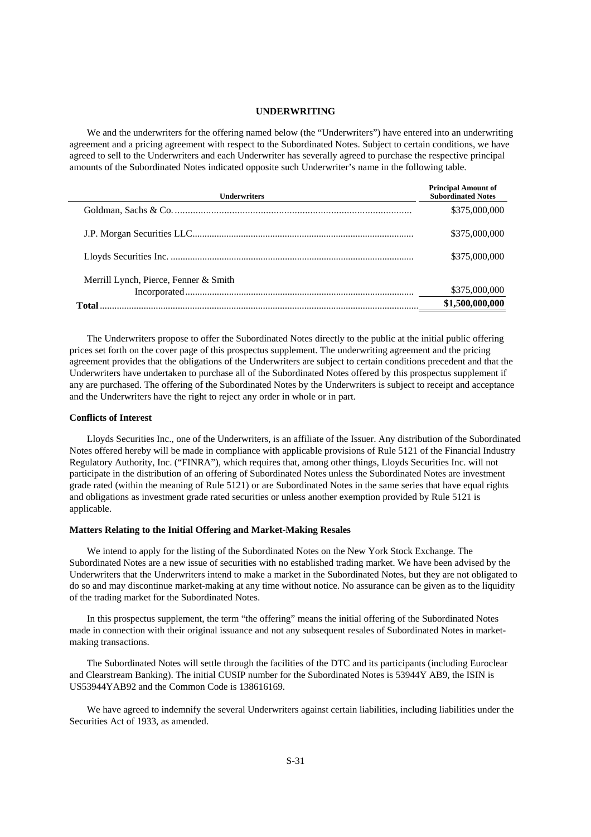#### **UNDERWRITING**

We and the underwriters for the offering named below (the "Underwriters") have entered into an underwriting agreement and a pricing agreement with respect to the Subordinated Notes. Subject to certain conditions, we have agreed to sell to the Underwriters and each Underwriter has severally agreed to purchase the respective principal amounts of the Subordinated Notes indicated opposite such Underwriter's name in the following table.

| <b>Principal Amount of</b><br><b>Subordinated Notes</b> |
|---------------------------------------------------------|
| \$375,000,000                                           |
| \$375,000,000                                           |
| \$375,000,000                                           |
|                                                         |
| \$375,000,000                                           |
| \$1,500,000,000                                         |
|                                                         |

The Underwriters propose to offer the Subordinated Notes directly to the public at the initial public offering prices set forth on the cover page of this prospectus supplement. The underwriting agreement and the pricing agreement provides that the obligations of the Underwriters are subject to certain conditions precedent and that the Underwriters have undertaken to purchase all of the Subordinated Notes offered by this prospectus supplement if any are purchased. The offering of the Subordinated Notes by the Underwriters is subject to receipt and acceptance and the Underwriters have the right to reject any order in whole or in part.

#### **Conflicts of Interest**

Lloyds Securities Inc., one of the Underwriters, is an affiliate of the Issuer. Any distribution of the Subordinated Notes offered hereby will be made in compliance with applicable provisions of Rule 5121 of the Financial Industry Regulatory Authority, Inc. ("FINRA"), which requires that, among other things, Lloyds Securities Inc. will not participate in the distribution of an offering of Subordinated Notes unless the Subordinated Notes are investment grade rated (within the meaning of Rule 5121) or are Subordinated Notes in the same series that have equal rights and obligations as investment grade rated securities or unless another exemption provided by Rule 5121 is applicable.

#### **Matters Relating to the Initial Offering and Market-Making Resales**

We intend to apply for the listing of the Subordinated Notes on the New York Stock Exchange. The Subordinated Notes are a new issue of securities with no established trading market. We have been advised by the Underwriters that the Underwriters intend to make a market in the Subordinated Notes, but they are not obligated to do so and may discontinue market-making at any time without notice. No assurance can be given as to the liquidity of the trading market for the Subordinated Notes.

In this prospectus supplement, the term "the offering" means the initial offering of the Subordinated Notes made in connection with their original issuance and not any subsequent resales of Subordinated Notes in marketmaking transactions.

 The Subordinated Notes will settle through the facilities of the DTC and its participants (including Euroclear and Clearstream Banking). The initial CUSIP number for the Subordinated Notes is 53944Y AB9, the ISIN is US53944YAB92 and the Common Code is 138616169.

We have agreed to indemnify the several Underwriters against certain liabilities, including liabilities under the Securities Act of 1933, as amended.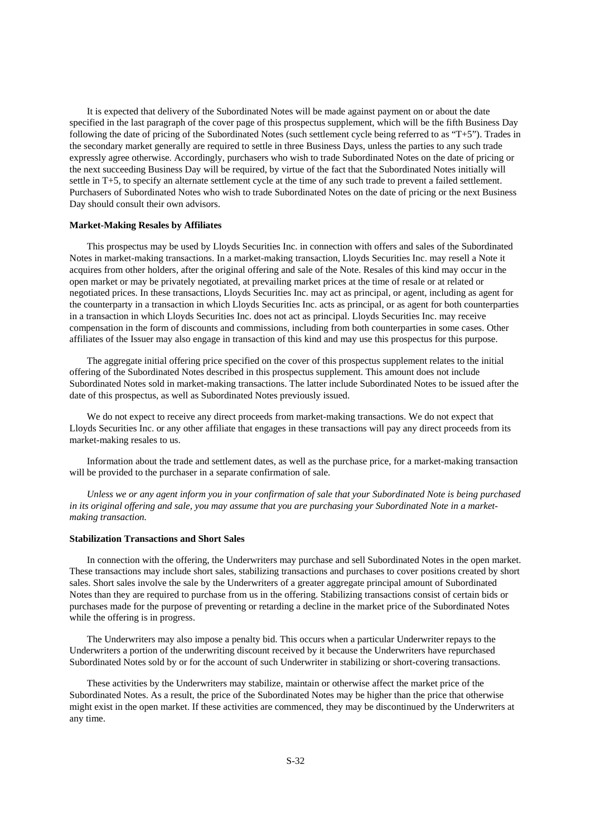It is expected that delivery of the Subordinated Notes will be made against payment on or about the date specified in the last paragraph of the cover page of this prospectus supplement, which will be the fifth Business Day following the date of pricing of the Subordinated Notes (such settlement cycle being referred to as "T+5"). Trades in the secondary market generally are required to settle in three Business Days, unless the parties to any such trade expressly agree otherwise. Accordingly, purchasers who wish to trade Subordinated Notes on the date of pricing or the next succeeding Business Day will be required, by virtue of the fact that the Subordinated Notes initially will settle in T+5, to specify an alternate settlement cycle at the time of any such trade to prevent a failed settlement. Purchasers of Subordinated Notes who wish to trade Subordinated Notes on the date of pricing or the next Business Day should consult their own advisors.

#### **Market-Making Resales by Affiliates**

This prospectus may be used by Lloyds Securities Inc. in connection with offers and sales of the Subordinated Notes in market-making transactions. In a market-making transaction, Lloyds Securities Inc. may resell a Note it acquires from other holders, after the original offering and sale of the Note. Resales of this kind may occur in the open market or may be privately negotiated, at prevailing market prices at the time of resale or at related or negotiated prices. In these transactions, Lloyds Securities Inc. may act as principal, or agent, including as agent for the counterparty in a transaction in which Lloyds Securities Inc. acts as principal, or as agent for both counterparties in a transaction in which Lloyds Securities Inc. does not act as principal. Lloyds Securities Inc. may receive compensation in the form of discounts and commissions, including from both counterparties in some cases. Other affiliates of the Issuer may also engage in transaction of this kind and may use this prospectus for this purpose.

The aggregate initial offering price specified on the cover of this prospectus supplement relates to the initial offering of the Subordinated Notes described in this prospectus supplement. This amount does not include Subordinated Notes sold in market-making transactions. The latter include Subordinated Notes to be issued after the date of this prospectus, as well as Subordinated Notes previously issued.

We do not expect to receive any direct proceeds from market-making transactions. We do not expect that Lloyds Securities Inc. or any other affiliate that engages in these transactions will pay any direct proceeds from its market-making resales to us.

Information about the trade and settlement dates, as well as the purchase price, for a market-making transaction will be provided to the purchaser in a separate confirmation of sale.

*Unless we or any agent inform you in your confirmation of sale that your Subordinated Note is being purchased in its original offering and sale, you may assume that you are purchasing your Subordinated Note in a marketmaking transaction.*

# **Stabilization Transactions and Short Sales**

In connection with the offering, the Underwriters may purchase and sell Subordinated Notes in the open market. These transactions may include short sales, stabilizing transactions and purchases to cover positions created by short sales. Short sales involve the sale by the Underwriters of a greater aggregate principal amount of Subordinated Notes than they are required to purchase from us in the offering. Stabilizing transactions consist of certain bids or purchases made for the purpose of preventing or retarding a decline in the market price of the Subordinated Notes while the offering is in progress.

The Underwriters may also impose a penalty bid. This occurs when a particular Underwriter repays to the Underwriters a portion of the underwriting discount received by it because the Underwriters have repurchased Subordinated Notes sold by or for the account of such Underwriter in stabilizing or short-covering transactions.

These activities by the Underwriters may stabilize, maintain or otherwise affect the market price of the Subordinated Notes. As a result, the price of the Subordinated Notes may be higher than the price that otherwise might exist in the open market. If these activities are commenced, they may be discontinued by the Underwriters at any time.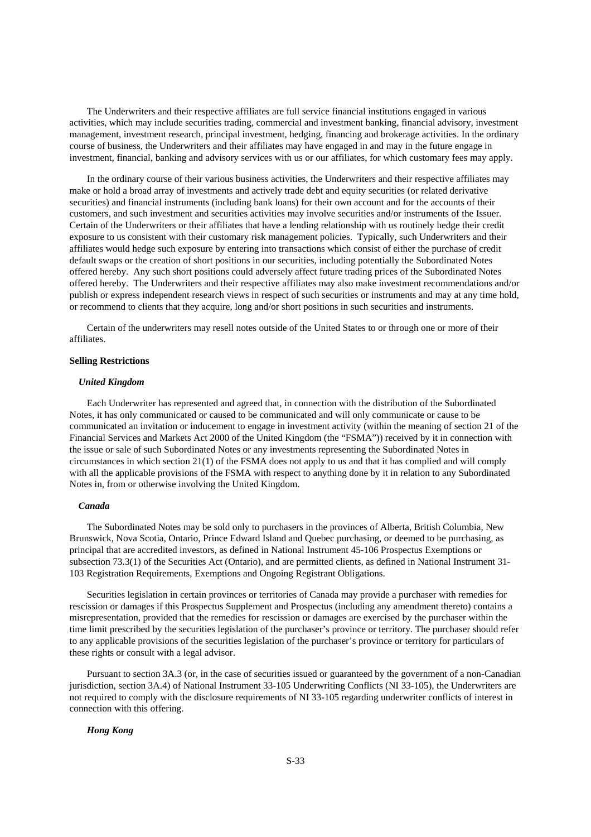The Underwriters and their respective affiliates are full service financial institutions engaged in various activities, which may include securities trading, commercial and investment banking, financial advisory, investment management, investment research, principal investment, hedging, financing and brokerage activities. In the ordinary course of business, the Underwriters and their affiliates may have engaged in and may in the future engage in investment, financial, banking and advisory services with us or our affiliates, for which customary fees may apply.

In the ordinary course of their various business activities, the Underwriters and their respective affiliates may make or hold a broad array of investments and actively trade debt and equity securities (or related derivative securities) and financial instruments (including bank loans) for their own account and for the accounts of their customers, and such investment and securities activities may involve securities and/or instruments of the Issuer. Certain of the Underwriters or their affiliates that have a lending relationship with us routinely hedge their credit exposure to us consistent with their customary risk management policies. Typically, such Underwriters and their affiliates would hedge such exposure by entering into transactions which consist of either the purchase of credit default swaps or the creation of short positions in our securities, including potentially the Subordinated Notes offered hereby. Any such short positions could adversely affect future trading prices of the Subordinated Notes offered hereby. The Underwriters and their respective affiliates may also make investment recommendations and/or publish or express independent research views in respect of such securities or instruments and may at any time hold, or recommend to clients that they acquire, long and/or short positions in such securities and instruments.

Certain of the underwriters may resell notes outside of the United States to or through one or more of their affiliates.

#### **Selling Restrictions**

#### *United Kingdom*

Each Underwriter has represented and agreed that, in connection with the distribution of the Subordinated Notes, it has only communicated or caused to be communicated and will only communicate or cause to be communicated an invitation or inducement to engage in investment activity (within the meaning of section 21 of the Financial Services and Markets Act 2000 of the United Kingdom (the "FSMA")) received by it in connection with the issue or sale of such Subordinated Notes or any investments representing the Subordinated Notes in circumstances in which section 21(1) of the FSMA does not apply to us and that it has complied and will comply with all the applicable provisions of the FSMA with respect to anything done by it in relation to any Subordinated Notes in, from or otherwise involving the United Kingdom.

#### *Canada*

The Subordinated Notes may be sold only to purchasers in the provinces of Alberta, British Columbia, New Brunswick, Nova Scotia, Ontario, Prince Edward Island and Quebec purchasing, or deemed to be purchasing, as principal that are accredited investors, as defined in National Instrument 45-106 Prospectus Exemptions or subsection 73.3(1) of the Securities Act (Ontario), and are permitted clients, as defined in National Instrument 31- 103 Registration Requirements, Exemptions and Ongoing Registrant Obligations.

Securities legislation in certain provinces or territories of Canada may provide a purchaser with remedies for rescission or damages if this Prospectus Supplement and Prospectus (including any amendment thereto) contains a misrepresentation, provided that the remedies for rescission or damages are exercised by the purchaser within the time limit prescribed by the securities legislation of the purchaser's province or territory. The purchaser should refer to any applicable provisions of the securities legislation of the purchaser's province or territory for particulars of these rights or consult with a legal advisor.

Pursuant to section 3A.3 (or, in the case of securities issued or guaranteed by the government of a non-Canadian jurisdiction, section 3A.4) of National Instrument 33-105 Underwriting Conflicts (NI 33-105), the Underwriters are not required to comply with the disclosure requirements of NI 33-105 regarding underwriter conflicts of interest in connection with this offering.

#### *Hong Kong*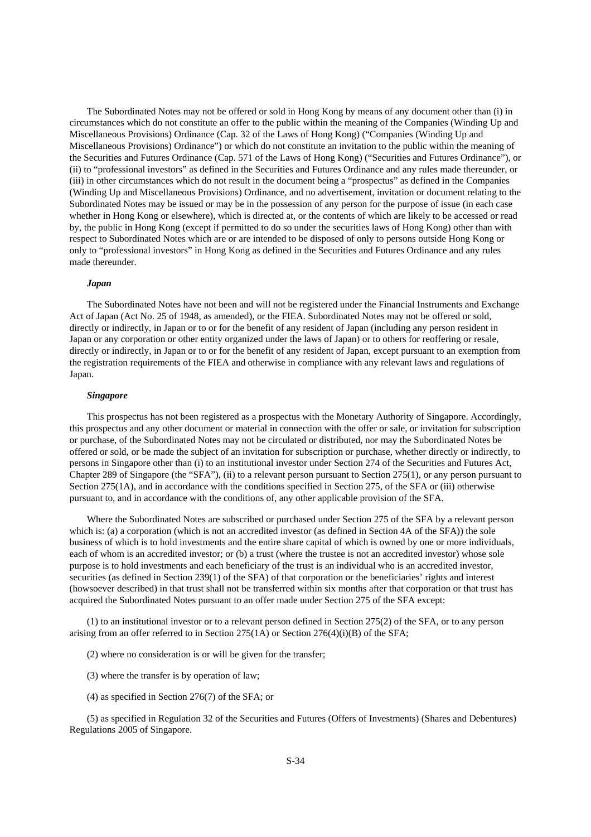The Subordinated Notes may not be offered or sold in Hong Kong by means of any document other than (i) in circumstances which do not constitute an offer to the public within the meaning of the Companies (Winding Up and Miscellaneous Provisions) Ordinance (Cap. 32 of the Laws of Hong Kong) ("Companies (Winding Up and Miscellaneous Provisions) Ordinance") or which do not constitute an invitation to the public within the meaning of the Securities and Futures Ordinance (Cap. 571 of the Laws of Hong Kong) ("Securities and Futures Ordinance"), or (ii) to "professional investors" as defined in the Securities and Futures Ordinance and any rules made thereunder, or (iii) in other circumstances which do not result in the document being a "prospectus" as defined in the Companies (Winding Up and Miscellaneous Provisions) Ordinance, and no advertisement, invitation or document relating to the Subordinated Notes may be issued or may be in the possession of any person for the purpose of issue (in each case whether in Hong Kong or elsewhere), which is directed at, or the contents of which are likely to be accessed or read by, the public in Hong Kong (except if permitted to do so under the securities laws of Hong Kong) other than with respect to Subordinated Notes which are or are intended to be disposed of only to persons outside Hong Kong or only to "professional investors" in Hong Kong as defined in the Securities and Futures Ordinance and any rules made thereunder.

#### *Japan*

The Subordinated Notes have not been and will not be registered under the Financial Instruments and Exchange Act of Japan (Act No. 25 of 1948, as amended), or the FIEA. Subordinated Notes may not be offered or sold, directly or indirectly, in Japan or to or for the benefit of any resident of Japan (including any person resident in Japan or any corporation or other entity organized under the laws of Japan) or to others for reoffering or resale, directly or indirectly, in Japan or to or for the benefit of any resident of Japan, except pursuant to an exemption from the registration requirements of the FIEA and otherwise in compliance with any relevant laws and regulations of Japan.

## *Singapore*

This prospectus has not been registered as a prospectus with the Monetary Authority of Singapore. Accordingly, this prospectus and any other document or material in connection with the offer or sale, or invitation for subscription or purchase, of the Subordinated Notes may not be circulated or distributed, nor may the Subordinated Notes be offered or sold, or be made the subject of an invitation for subscription or purchase, whether directly or indirectly, to persons in Singapore other than (i) to an institutional investor under Section 274 of the Securities and Futures Act, Chapter 289 of Singapore (the "SFA"), (ii) to a relevant person pursuant to Section 275(1), or any person pursuant to Section 275(1A), and in accordance with the conditions specified in Section 275, of the SFA or (iii) otherwise pursuant to, and in accordance with the conditions of, any other applicable provision of the SFA.

Where the Subordinated Notes are subscribed or purchased under Section 275 of the SFA by a relevant person which is: (a) a corporation (which is not an accredited investor (as defined in Section 4A of the SFA)) the sole business of which is to hold investments and the entire share capital of which is owned by one or more individuals, each of whom is an accredited investor; or (b) a trust (where the trustee is not an accredited investor) whose sole purpose is to hold investments and each beneficiary of the trust is an individual who is an accredited investor, securities (as defined in Section 239(1) of the SFA) of that corporation or the beneficiaries' rights and interest (howsoever described) in that trust shall not be transferred within six months after that corporation or that trust has acquired the Subordinated Notes pursuant to an offer made under Section 275 of the SFA except:

(1) to an institutional investor or to a relevant person defined in Section 275(2) of the SFA, or to any person arising from an offer referred to in Section 275(1A) or Section 276(4)(i)(B) of the SFA;

- (2) where no consideration is or will be given for the transfer;
- (3) where the transfer is by operation of law;
- (4) as specified in Section 276(7) of the SFA; or

(5) as specified in Regulation 32 of the Securities and Futures (Offers of Investments) (Shares and Debentures) Regulations 2005 of Singapore.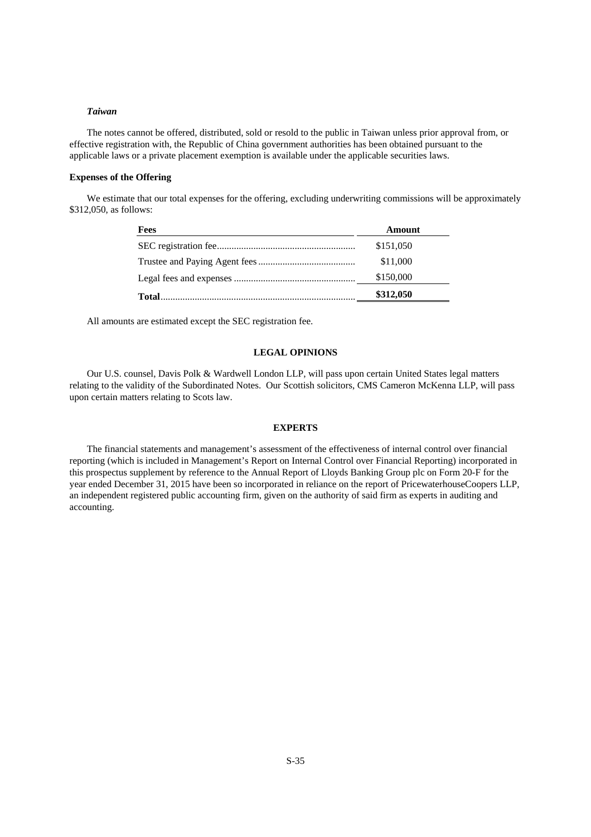## *Taiwan*

The notes cannot be offered, distributed, sold or resold to the public in Taiwan unless prior approval from, or effective registration with, the Republic of China government authorities has been obtained pursuant to the applicable laws or a private placement exemption is available under the applicable securities laws.

## **Expenses of the Offering**

We estimate that our total expenses for the offering, excluding underwriting commissions will be approximately \$312,050, as follows:

| <b>Fees</b> | Amount    |
|-------------|-----------|
|             | \$151,050 |
|             | \$11,000  |
|             | \$150,000 |
|             | \$312,050 |
|             |           |

All amounts are estimated except the SEC registration fee.

## **LEGAL OPINIONS**

Our U.S. counsel, Davis Polk & Wardwell London LLP, will pass upon certain United States legal matters relating to the validity of the Subordinated Notes. Our Scottish solicitors, CMS Cameron McKenna LLP, will pass upon certain matters relating to Scots law.

## **EXPERTS**

The financial statements and management's assessment of the effectiveness of internal control over financial reporting (which is included in Management's Report on Internal Control over Financial Reporting) incorporated in this prospectus supplement by reference to the Annual Report of Lloyds Banking Group plc on Form 20-F for the year ended December 31, 2015 have been so incorporated in reliance on the report of PricewaterhouseCoopers LLP, an independent registered public accounting firm, given on the authority of said firm as experts in auditing and accounting.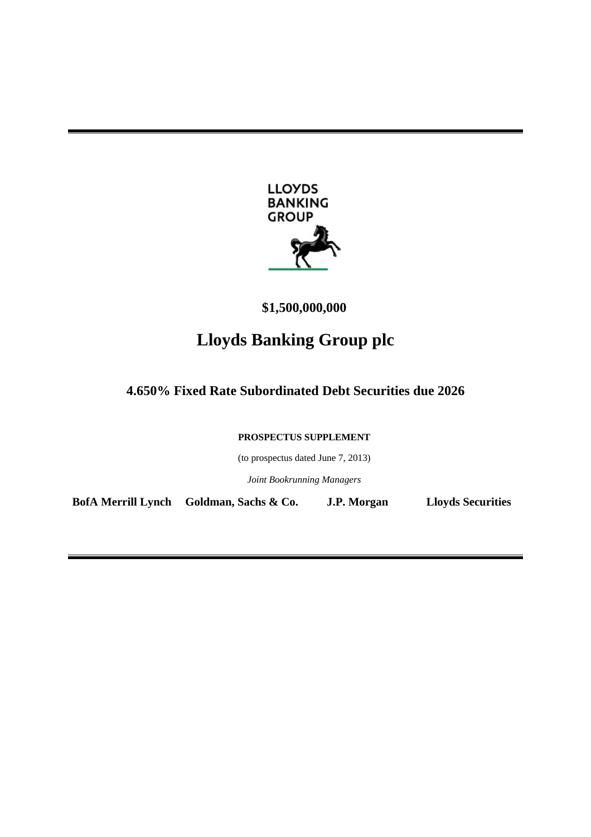

**\$1,500,000,000** 

# **Lloyds Banking Group plc**

**4.650% Fixed Rate Subordinated Debt Securities due 2026** 

**PROSPECTUS SUPPLEMENT** 

(to prospectus dated June 7, 2013)

*Joint Bookrunning Managers* 

**BofA Merrill Lynch Goldman, Sachs & Co. J.P. Morgan Lloyds Securities**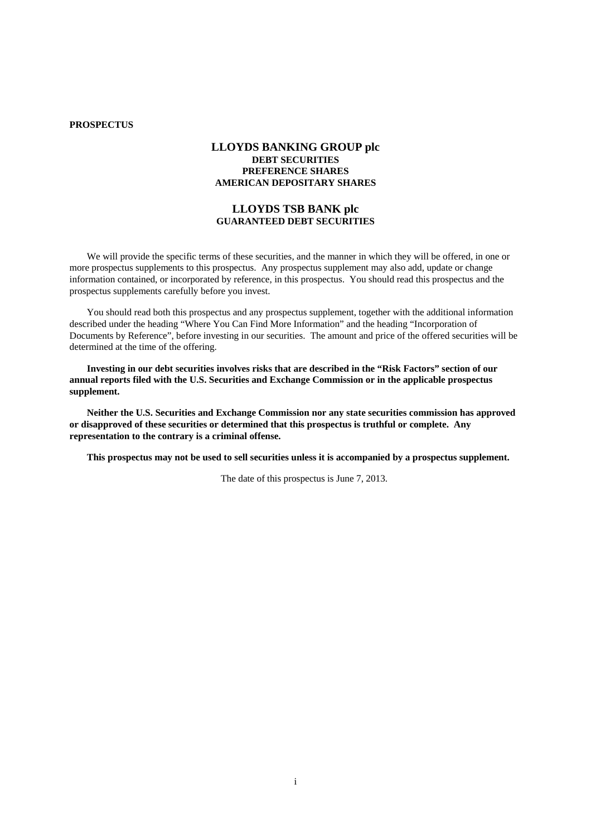# **PROSPECTUS**

# **LLOYDS BANKING GROUP plc DEBT SECURITIES PREFERENCE SHARES AMERICAN DEPOSITARY SHARES**

# **LLOYDS TSB BANK plc GUARANTEED DEBT SECURITIES**

We will provide the specific terms of these securities, and the manner in which they will be offered, in one or more prospectus supplements to this prospectus. Any prospectus supplement may also add, update or change information contained, or incorporated by reference, in this prospectus. You should read this prospectus and the prospectus supplements carefully before you invest.

You should read both this prospectus and any prospectus supplement, together with the additional information described under the heading "Where You Can Find More Information" and the heading "Incorporation of Documents by Reference", before investing in our securities. The amount and price of the offered securities will be determined at the time of the offering.

**Investing in our debt securities involves risks that are described in the "Risk Factors" section of our annual reports filed with the U.S. Securities and Exchange Commission or in the applicable prospectus supplement.** 

**Neither the U.S. Securities and Exchange Commission nor any state securities commission has approved or disapproved of these securities or determined that this prospectus is truthful or complete. Any representation to the contrary is a criminal offense.** 

**This prospectus may not be used to sell securities unless it is accompanied by a prospectus supplement.** 

The date of this prospectus is June 7, 2013.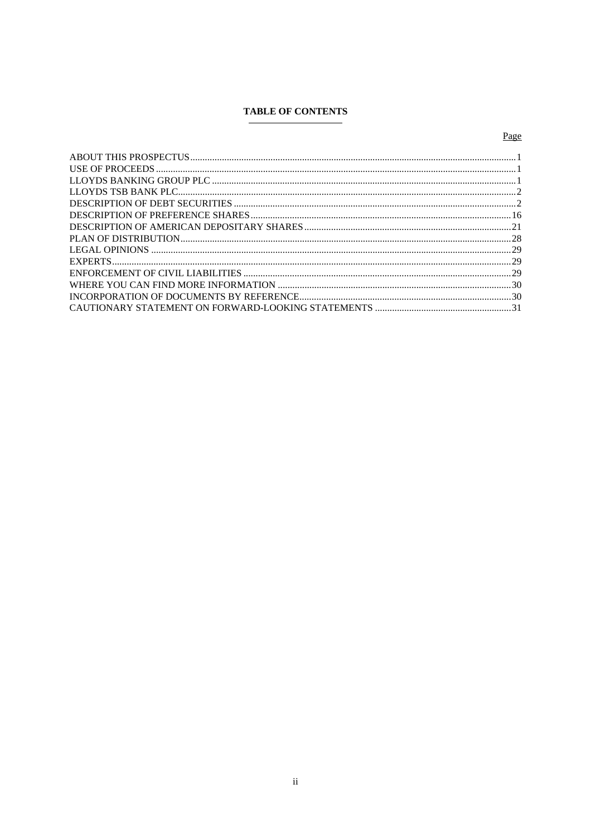# **TABLE OF CONTENTS**

# Page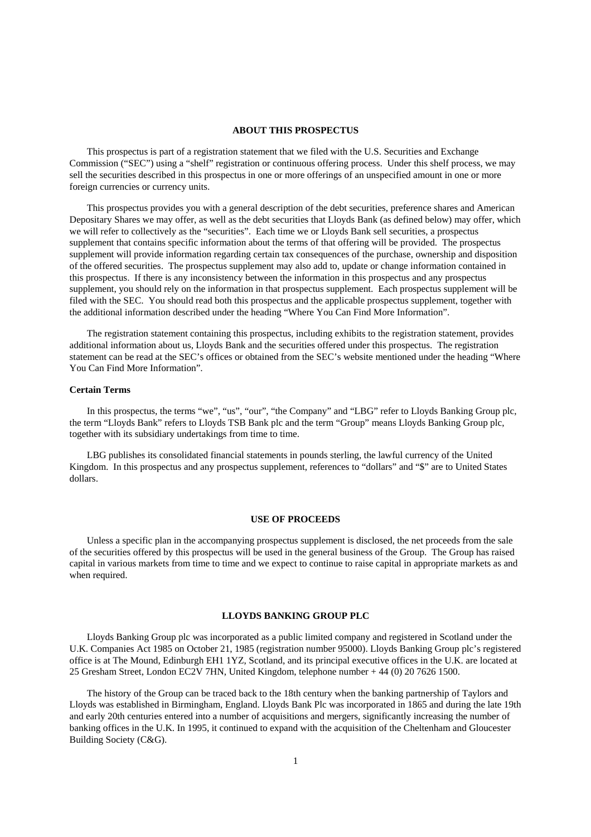#### **ABOUT THIS PROSPECTUS**

This prospectus is part of a registration statement that we filed with the U.S. Securities and Exchange Commission ("SEC") using a "shelf" registration or continuous offering process. Under this shelf process, we may sell the securities described in this prospectus in one or more offerings of an unspecified amount in one or more foreign currencies or currency units.

This prospectus provides you with a general description of the debt securities, preference shares and American Depositary Shares we may offer, as well as the debt securities that Lloyds Bank (as defined below) may offer, which we will refer to collectively as the "securities". Each time we or Lloyds Bank sell securities, a prospectus supplement that contains specific information about the terms of that offering will be provided. The prospectus supplement will provide information regarding certain tax consequences of the purchase, ownership and disposition of the offered securities. The prospectus supplement may also add to, update or change information contained in this prospectus. If there is any inconsistency between the information in this prospectus and any prospectus supplement, you should rely on the information in that prospectus supplement. Each prospectus supplement will be filed with the SEC. You should read both this prospectus and the applicable prospectus supplement, together with the additional information described under the heading "Where You Can Find More Information".

The registration statement containing this prospectus, including exhibits to the registration statement, provides additional information about us, Lloyds Bank and the securities offered under this prospectus. The registration statement can be read at the SEC's offices or obtained from the SEC's website mentioned under the heading "Where You Can Find More Information".

## **Certain Terms**

In this prospectus, the terms "we", "us", "our", "the Company" and "LBG" refer to Lloyds Banking Group plc, the term "Lloyds Bank" refers to Lloyds TSB Bank plc and the term "Group" means Lloyds Banking Group plc, together with its subsidiary undertakings from time to time.

LBG publishes its consolidated financial statements in pounds sterling, the lawful currency of the United Kingdom. In this prospectus and any prospectus supplement, references to "dollars" and "\$" are to United States dollars.

## **USE OF PROCEEDS**

Unless a specific plan in the accompanying prospectus supplement is disclosed, the net proceeds from the sale of the securities offered by this prospectus will be used in the general business of the Group. The Group has raised capital in various markets from time to time and we expect to continue to raise capital in appropriate markets as and when required.

## **LLOYDS BANKING GROUP PLC**

Lloyds Banking Group plc was incorporated as a public limited company and registered in Scotland under the U.K. Companies Act 1985 on October 21, 1985 (registration number 95000). Lloyds Banking Group plc's registered office is at The Mound, Edinburgh EH1 1YZ, Scotland, and its principal executive offices in the U.K. are located at 25 Gresham Street, London EC2V 7HN, United Kingdom, telephone number + 44 (0) 20 7626 1500.

The history of the Group can be traced back to the 18th century when the banking partnership of Taylors and Lloyds was established in Birmingham, England. Lloyds Bank Plc was incorporated in 1865 and during the late 19th and early 20th centuries entered into a number of acquisitions and mergers, significantly increasing the number of banking offices in the U.K. In 1995, it continued to expand with the acquisition of the Cheltenham and Gloucester Building Society (C&G).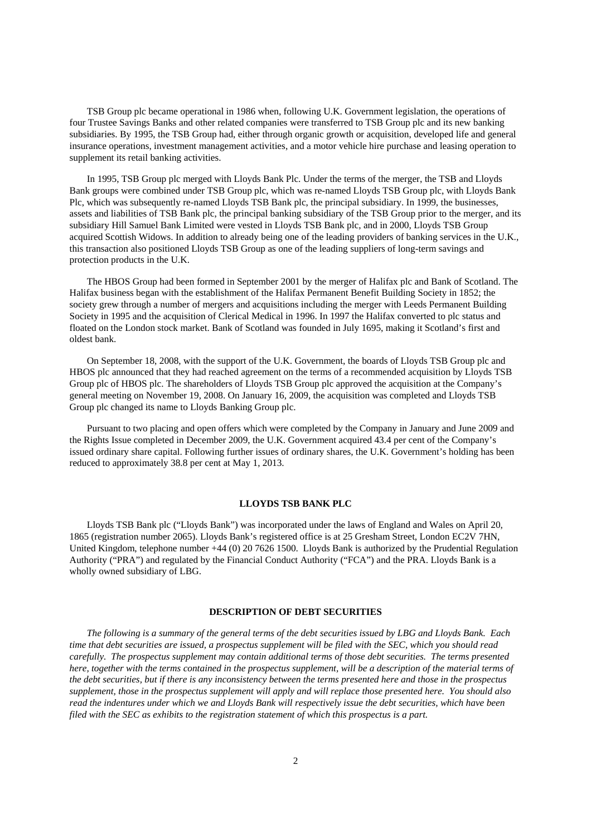TSB Group plc became operational in 1986 when, following U.K. Government legislation, the operations of four Trustee Savings Banks and other related companies were transferred to TSB Group plc and its new banking subsidiaries. By 1995, the TSB Group had, either through organic growth or acquisition, developed life and general insurance operations, investment management activities, and a motor vehicle hire purchase and leasing operation to supplement its retail banking activities.

In 1995, TSB Group plc merged with Lloyds Bank Plc. Under the terms of the merger, the TSB and Lloyds Bank groups were combined under TSB Group plc, which was re-named Lloyds TSB Group plc, with Lloyds Bank Plc, which was subsequently re-named Lloyds TSB Bank plc, the principal subsidiary. In 1999, the businesses, assets and liabilities of TSB Bank plc, the principal banking subsidiary of the TSB Group prior to the merger, and its subsidiary Hill Samuel Bank Limited were vested in Lloyds TSB Bank plc, and in 2000, Lloyds TSB Group acquired Scottish Widows. In addition to already being one of the leading providers of banking services in the U.K., this transaction also positioned Lloyds TSB Group as one of the leading suppliers of long-term savings and protection products in the U.K.

The HBOS Group had been formed in September 2001 by the merger of Halifax plc and Bank of Scotland. The Halifax business began with the establishment of the Halifax Permanent Benefit Building Society in 1852; the society grew through a number of mergers and acquisitions including the merger with Leeds Permanent Building Society in 1995 and the acquisition of Clerical Medical in 1996. In 1997 the Halifax converted to plc status and floated on the London stock market. Bank of Scotland was founded in July 1695, making it Scotland's first and oldest bank.

On September 18, 2008, with the support of the U.K. Government, the boards of Lloyds TSB Group plc and HBOS plc announced that they had reached agreement on the terms of a recommended acquisition by Lloyds TSB Group plc of HBOS plc. The shareholders of Lloyds TSB Group plc approved the acquisition at the Company's general meeting on November 19, 2008. On January 16, 2009, the acquisition was completed and Lloyds TSB Group plc changed its name to Lloyds Banking Group plc.

Pursuant to two placing and open offers which were completed by the Company in January and June 2009 and the Rights Issue completed in December 2009, the U.K. Government acquired 43.4 per cent of the Company's issued ordinary share capital. Following further issues of ordinary shares, the U.K. Government's holding has been reduced to approximately 38.8 per cent at May 1, 2013.

## **LLOYDS TSB BANK PLC**

Lloyds TSB Bank plc ("Lloyds Bank") was incorporated under the laws of England and Wales on April 20, 1865 (registration number 2065). Lloyds Bank's registered office is at 25 Gresham Street, London EC2V 7HN, United Kingdom, telephone number +44 (0) 20 7626 1500. Lloyds Bank is authorized by the Prudential Regulation Authority ("PRA") and regulated by the Financial Conduct Authority ("FCA") and the PRA. Lloyds Bank is a wholly owned subsidiary of LBG.

## **DESCRIPTION OF DEBT SECURITIES**

*The following is a summary of the general terms of the debt securities issued by LBG and Lloyds Bank. Each time that debt securities are issued, a prospectus supplement will be filed with the SEC, which you should read carefully. The prospectus supplement may contain additional terms of those debt securities. The terms presented here, together with the terms contained in the prospectus supplement, will be a description of the material terms of the debt securities, but if there is any inconsistency between the terms presented here and those in the prospectus supplement, those in the prospectus supplement will apply and will replace those presented here. You should also read the indentures under which we and Lloyds Bank will respectively issue the debt securities, which have been filed with the SEC as exhibits to the registration statement of which this prospectus is a part.*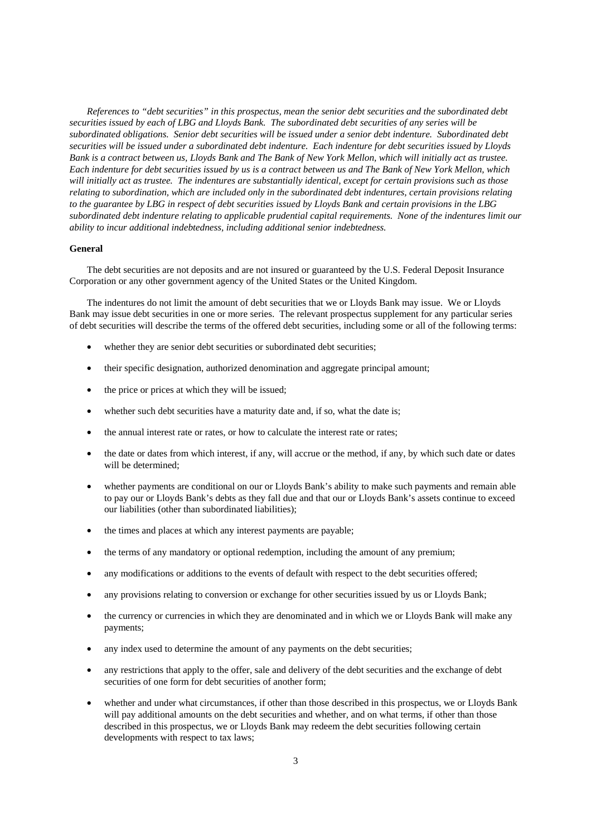*References to "debt securities" in this prospectus, mean the senior debt securities and the subordinated debt securities issued by each of LBG and Lloyds Bank. The subordinated debt securities of any series will be subordinated obligations. Senior debt securities will be issued under a senior debt indenture. Subordinated debt securities will be issued under a subordinated debt indenture. Each indenture for debt securities issued by Lloyds Bank is a contract between us, Lloyds Bank and The Bank of New York Mellon, which will initially act as trustee. Each indenture for debt securities issued by us is a contract between us and The Bank of New York Mellon, which will initially act as trustee. The indentures are substantially identical, except for certain provisions such as those relating to subordination, which are included only in the subordinated debt indentures, certain provisions relating to the guarantee by LBG in respect of debt securities issued by Lloyds Bank and certain provisions in the LBG subordinated debt indenture relating to applicable prudential capital requirements. None of the indentures limit our ability to incur additional indebtedness, including additional senior indebtedness.*

## **General**

The debt securities are not deposits and are not insured or guaranteed by the U.S. Federal Deposit Insurance Corporation or any other government agency of the United States or the United Kingdom.

The indentures do not limit the amount of debt securities that we or Lloyds Bank may issue. We or Lloyds Bank may issue debt securities in one or more series. The relevant prospectus supplement for any particular series of debt securities will describe the terms of the offered debt securities, including some or all of the following terms:

- whether they are senior debt securities or subordinated debt securities;
- their specific designation, authorized denomination and aggregate principal amount;
- the price or prices at which they will be issued;
- whether such debt securities have a maturity date and, if so, what the date is;
- the annual interest rate or rates, or how to calculate the interest rate or rates;
- the date or dates from which interest, if any, will accrue or the method, if any, by which such date or dates will be determined;
- whether payments are conditional on our or Lloyds Bank's ability to make such payments and remain able to pay our or Lloyds Bank's debts as they fall due and that our or Lloyds Bank's assets continue to exceed our liabilities (other than subordinated liabilities);
- the times and places at which any interest payments are payable;
- the terms of any mandatory or optional redemption, including the amount of any premium;
- any modifications or additions to the events of default with respect to the debt securities offered;
- any provisions relating to conversion or exchange for other securities issued by us or Lloyds Bank;
- the currency or currencies in which they are denominated and in which we or Lloyds Bank will make any payments;
- any index used to determine the amount of any payments on the debt securities;
- any restrictions that apply to the offer, sale and delivery of the debt securities and the exchange of debt securities of one form for debt securities of another form;
- whether and under what circumstances, if other than those described in this prospectus, we or Lloyds Bank will pay additional amounts on the debt securities and whether, and on what terms, if other than those described in this prospectus, we or Lloyds Bank may redeem the debt securities following certain developments with respect to tax laws;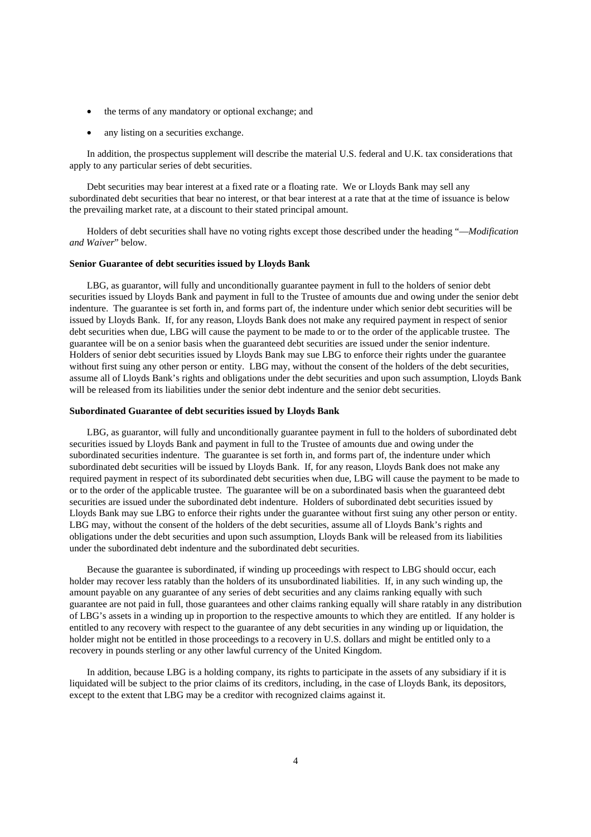- the terms of any mandatory or optional exchange; and
- any listing on a securities exchange.

In addition, the prospectus supplement will describe the material U.S. federal and U.K. tax considerations that apply to any particular series of debt securities.

Debt securities may bear interest at a fixed rate or a floating rate. We or Lloyds Bank may sell any subordinated debt securities that bear no interest, or that bear interest at a rate that at the time of issuance is below the prevailing market rate, at a discount to their stated principal amount.

Holders of debt securities shall have no voting rights except those described under the heading "—*Modification and Waiver*" below.

#### **Senior Guarantee of debt securities issued by Lloyds Bank**

LBG, as guarantor, will fully and unconditionally guarantee payment in full to the holders of senior debt securities issued by Lloyds Bank and payment in full to the Trustee of amounts due and owing under the senior debt indenture. The guarantee is set forth in, and forms part of, the indenture under which senior debt securities will be issued by Lloyds Bank. If, for any reason, Lloyds Bank does not make any required payment in respect of senior debt securities when due, LBG will cause the payment to be made to or to the order of the applicable trustee. The guarantee will be on a senior basis when the guaranteed debt securities are issued under the senior indenture. Holders of senior debt securities issued by Lloyds Bank may sue LBG to enforce their rights under the guarantee without first suing any other person or entity. LBG may, without the consent of the holders of the debt securities, assume all of Lloyds Bank's rights and obligations under the debt securities and upon such assumption, Lloyds Bank will be released from its liabilities under the senior debt indenture and the senior debt securities.

## **Subordinated Guarantee of debt securities issued by Lloyds Bank**

LBG, as guarantor, will fully and unconditionally guarantee payment in full to the holders of subordinated debt securities issued by Lloyds Bank and payment in full to the Trustee of amounts due and owing under the subordinated securities indenture. The guarantee is set forth in, and forms part of, the indenture under which subordinated debt securities will be issued by Lloyds Bank. If, for any reason, Lloyds Bank does not make any required payment in respect of its subordinated debt securities when due, LBG will cause the payment to be made to or to the order of the applicable trustee. The guarantee will be on a subordinated basis when the guaranteed debt securities are issued under the subordinated debt indenture. Holders of subordinated debt securities issued by Lloyds Bank may sue LBG to enforce their rights under the guarantee without first suing any other person or entity. LBG may, without the consent of the holders of the debt securities, assume all of Lloyds Bank's rights and obligations under the debt securities and upon such assumption, Lloyds Bank will be released from its liabilities under the subordinated debt indenture and the subordinated debt securities.

Because the guarantee is subordinated, if winding up proceedings with respect to LBG should occur, each holder may recover less ratably than the holders of its unsubordinated liabilities. If, in any such winding up, the amount payable on any guarantee of any series of debt securities and any claims ranking equally with such guarantee are not paid in full, those guarantees and other claims ranking equally will share ratably in any distribution of LBG's assets in a winding up in proportion to the respective amounts to which they are entitled. If any holder is entitled to any recovery with respect to the guarantee of any debt securities in any winding up or liquidation, the holder might not be entitled in those proceedings to a recovery in U.S. dollars and might be entitled only to a recovery in pounds sterling or any other lawful currency of the United Kingdom.

In addition, because LBG is a holding company, its rights to participate in the assets of any subsidiary if it is liquidated will be subject to the prior claims of its creditors, including, in the case of Lloyds Bank, its depositors, except to the extent that LBG may be a creditor with recognized claims against it.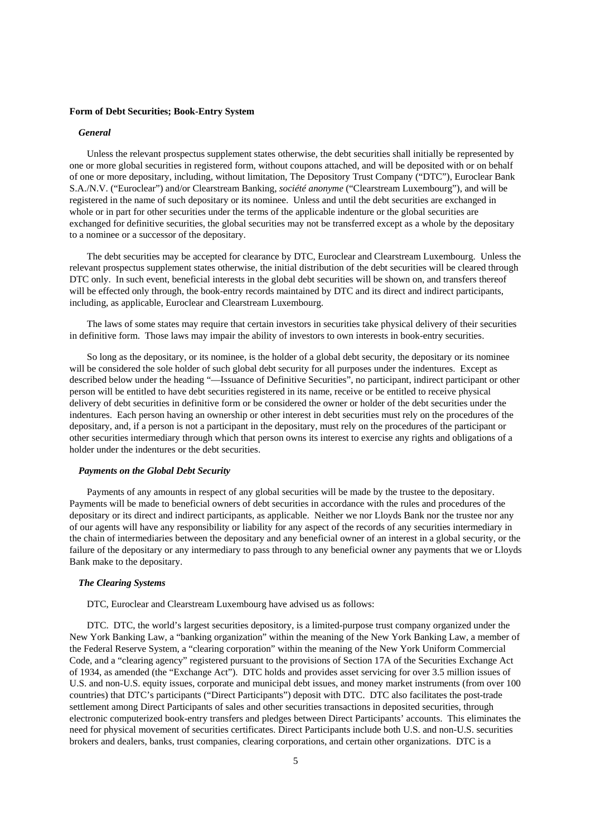#### **Form of Debt Securities; Book-Entry System**

#### *General*

Unless the relevant prospectus supplement states otherwise, the debt securities shall initially be represented by one or more global securities in registered form, without coupons attached, and will be deposited with or on behalf of one or more depositary, including, without limitation, The Depository Trust Company ("DTC"), Euroclear Bank S.A./N.V. ("Euroclear") and/or Clearstream Banking, *société anonyme* ("Clearstream Luxembourg"), and will be registered in the name of such depositary or its nominee. Unless and until the debt securities are exchanged in whole or in part for other securities under the terms of the applicable indenture or the global securities are exchanged for definitive securities, the global securities may not be transferred except as a whole by the depositary to a nominee or a successor of the depositary.

The debt securities may be accepted for clearance by DTC, Euroclear and Clearstream Luxembourg. Unless the relevant prospectus supplement states otherwise, the initial distribution of the debt securities will be cleared through DTC only. In such event, beneficial interests in the global debt securities will be shown on, and transfers thereof will be effected only through, the book-entry records maintained by DTC and its direct and indirect participants, including, as applicable, Euroclear and Clearstream Luxembourg.

The laws of some states may require that certain investors in securities take physical delivery of their securities in definitive form. Those laws may impair the ability of investors to own interests in book-entry securities.

So long as the depositary, or its nominee, is the holder of a global debt security, the depositary or its nominee will be considered the sole holder of such global debt security for all purposes under the indentures. Except as described below under the heading "—Issuance of Definitive Securities", no participant, indirect participant or other person will be entitled to have debt securities registered in its name, receive or be entitled to receive physical delivery of debt securities in definitive form or be considered the owner or holder of the debt securities under the indentures. Each person having an ownership or other interest in debt securities must rely on the procedures of the depositary, and, if a person is not a participant in the depositary, must rely on the procedures of the participant or other securities intermediary through which that person owns its interest to exercise any rights and obligations of a holder under the indentures or the debt securities.

#### *Payments on the Global Debt Security*

Payments of any amounts in respect of any global securities will be made by the trustee to the depositary. Payments will be made to beneficial owners of debt securities in accordance with the rules and procedures of the depositary or its direct and indirect participants, as applicable. Neither we nor Lloyds Bank nor the trustee nor any of our agents will have any responsibility or liability for any aspect of the records of any securities intermediary in the chain of intermediaries between the depositary and any beneficial owner of an interest in a global security, or the failure of the depositary or any intermediary to pass through to any beneficial owner any payments that we or Lloyds Bank make to the depositary.

## *The Clearing Systems*

DTC, Euroclear and Clearstream Luxembourg have advised us as follows:

DTC. DTC, the world's largest securities depository, is a limited-purpose trust company organized under the New York Banking Law, a "banking organization" within the meaning of the New York Banking Law, a member of the Federal Reserve System, a "clearing corporation" within the meaning of the New York Uniform Commercial Code, and a "clearing agency" registered pursuant to the provisions of Section 17A of the Securities Exchange Act of 1934, as amended (the "Exchange Act"). DTC holds and provides asset servicing for over 3.5 million issues of U.S. and non-U.S. equity issues, corporate and municipal debt issues, and money market instruments (from over 100 countries) that DTC's participants ("Direct Participants") deposit with DTC. DTC also facilitates the post-trade settlement among Direct Participants of sales and other securities transactions in deposited securities, through electronic computerized book-entry transfers and pledges between Direct Participants' accounts. This eliminates the need for physical movement of securities certificates. Direct Participants include both U.S. and non-U.S. securities brokers and dealers, banks, trust companies, clearing corporations, and certain other organizations. DTC is a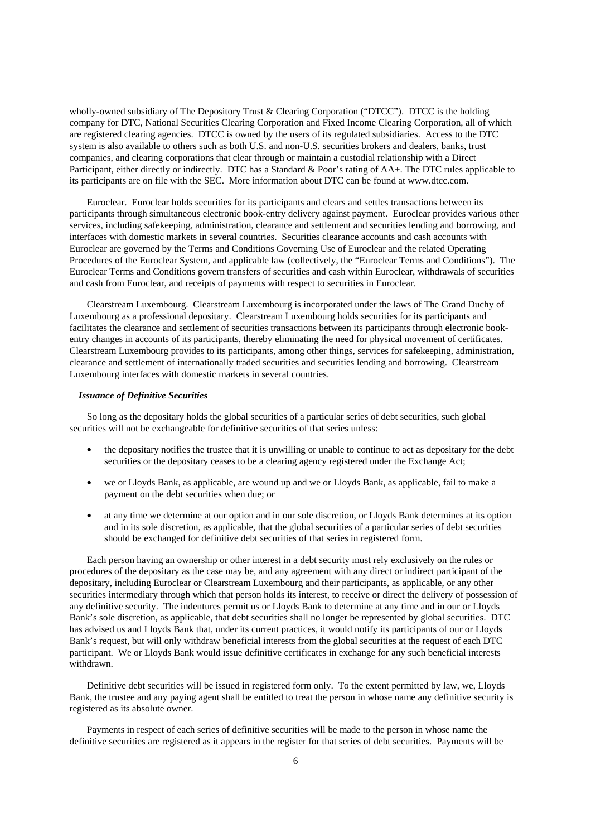wholly-owned subsidiary of The Depository Trust & Clearing Corporation ("DTCC"). DTCC is the holding company for DTC, National Securities Clearing Corporation and Fixed Income Clearing Corporation, all of which are registered clearing agencies. DTCC is owned by the users of its regulated subsidiaries. Access to the DTC system is also available to others such as both U.S. and non-U.S. securities brokers and dealers, banks, trust companies, and clearing corporations that clear through or maintain a custodial relationship with a Direct Participant, either directly or indirectly. DTC has a Standard & Poor's rating of AA+. The DTC rules applicable to its participants are on file with the SEC. More information about DTC can be found at www.dtcc.com.

Euroclear. Euroclear holds securities for its participants and clears and settles transactions between its participants through simultaneous electronic book-entry delivery against payment. Euroclear provides various other services, including safekeeping, administration, clearance and settlement and securities lending and borrowing, and interfaces with domestic markets in several countries. Securities clearance accounts and cash accounts with Euroclear are governed by the Terms and Conditions Governing Use of Euroclear and the related Operating Procedures of the Euroclear System, and applicable law (collectively, the "Euroclear Terms and Conditions"). The Euroclear Terms and Conditions govern transfers of securities and cash within Euroclear, withdrawals of securities and cash from Euroclear, and receipts of payments with respect to securities in Euroclear.

Clearstream Luxembourg. Clearstream Luxembourg is incorporated under the laws of The Grand Duchy of Luxembourg as a professional depositary. Clearstream Luxembourg holds securities for its participants and facilitates the clearance and settlement of securities transactions between its participants through electronic bookentry changes in accounts of its participants, thereby eliminating the need for physical movement of certificates. Clearstream Luxembourg provides to its participants, among other things, services for safekeeping, administration, clearance and settlement of internationally traded securities and securities lending and borrowing. Clearstream Luxembourg interfaces with domestic markets in several countries.

## *Issuance of Definitive Securities*

So long as the depositary holds the global securities of a particular series of debt securities, such global securities will not be exchangeable for definitive securities of that series unless:

- the depositary notifies the trustee that it is unwilling or unable to continue to act as depositary for the debt securities or the depositary ceases to be a clearing agency registered under the Exchange Act;
- we or Lloyds Bank, as applicable, are wound up and we or Lloyds Bank, as applicable, fail to make a payment on the debt securities when due; or
- at any time we determine at our option and in our sole discretion, or Lloyds Bank determines at its option and in its sole discretion, as applicable, that the global securities of a particular series of debt securities should be exchanged for definitive debt securities of that series in registered form.

Each person having an ownership or other interest in a debt security must rely exclusively on the rules or procedures of the depositary as the case may be, and any agreement with any direct or indirect participant of the depositary, including Euroclear or Clearstream Luxembourg and their participants, as applicable, or any other securities intermediary through which that person holds its interest, to receive or direct the delivery of possession of any definitive security. The indentures permit us or Lloyds Bank to determine at any time and in our or Lloyds Bank's sole discretion, as applicable, that debt securities shall no longer be represented by global securities. DTC has advised us and Lloyds Bank that, under its current practices, it would notify its participants of our or Lloyds Bank's request, but will only withdraw beneficial interests from the global securities at the request of each DTC participant. We or Lloyds Bank would issue definitive certificates in exchange for any such beneficial interests withdrawn.

Definitive debt securities will be issued in registered form only. To the extent permitted by law, we, Lloyds Bank, the trustee and any paying agent shall be entitled to treat the person in whose name any definitive security is registered as its absolute owner.

Payments in respect of each series of definitive securities will be made to the person in whose name the definitive securities are registered as it appears in the register for that series of debt securities. Payments will be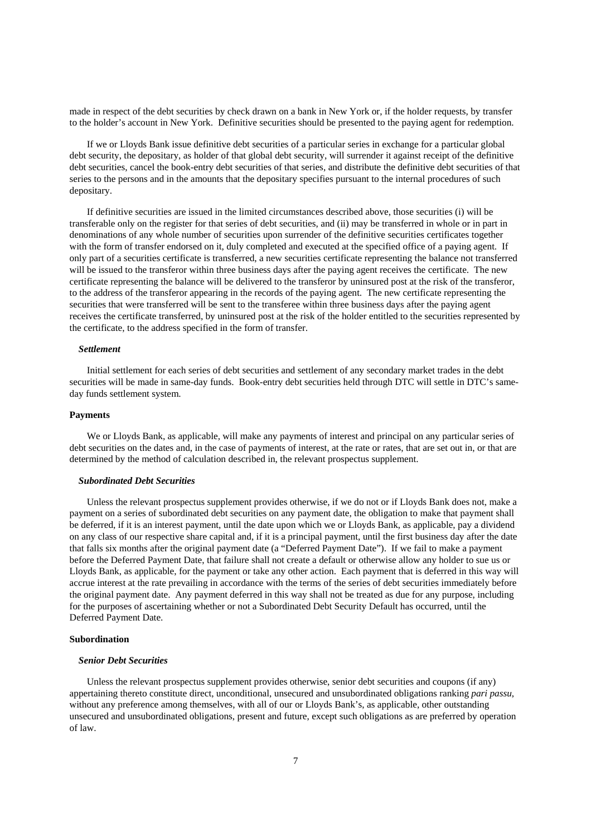made in respect of the debt securities by check drawn on a bank in New York or, if the holder requests, by transfer to the holder's account in New York. Definitive securities should be presented to the paying agent for redemption.

If we or Lloyds Bank issue definitive debt securities of a particular series in exchange for a particular global debt security, the depositary, as holder of that global debt security, will surrender it against receipt of the definitive debt securities, cancel the book-entry debt securities of that series, and distribute the definitive debt securities of that series to the persons and in the amounts that the depositary specifies pursuant to the internal procedures of such depositary.

If definitive securities are issued in the limited circumstances described above, those securities (i) will be transferable only on the register for that series of debt securities, and (ii) may be transferred in whole or in part in denominations of any whole number of securities upon surrender of the definitive securities certificates together with the form of transfer endorsed on it, duly completed and executed at the specified office of a paying agent. If only part of a securities certificate is transferred, a new securities certificate representing the balance not transferred will be issued to the transferor within three business days after the paying agent receives the certificate. The new certificate representing the balance will be delivered to the transferor by uninsured post at the risk of the transferor, to the address of the transferor appearing in the records of the paying agent. The new certificate representing the securities that were transferred will be sent to the transferee within three business days after the paying agent receives the certificate transferred, by uninsured post at the risk of the holder entitled to the securities represented by the certificate, to the address specified in the form of transfer.

#### *Settlement*

Initial settlement for each series of debt securities and settlement of any secondary market trades in the debt securities will be made in same-day funds. Book-entry debt securities held through DTC will settle in DTC's sameday funds settlement system.

#### **Payments**

We or Lloyds Bank, as applicable, will make any payments of interest and principal on any particular series of debt securities on the dates and, in the case of payments of interest, at the rate or rates, that are set out in, or that are determined by the method of calculation described in, the relevant prospectus supplement.

#### *Subordinated Debt Securities*

Unless the relevant prospectus supplement provides otherwise, if we do not or if Lloyds Bank does not, make a payment on a series of subordinated debt securities on any payment date, the obligation to make that payment shall be deferred, if it is an interest payment, until the date upon which we or Lloyds Bank, as applicable, pay a dividend on any class of our respective share capital and, if it is a principal payment, until the first business day after the date that falls six months after the original payment date (a "Deferred Payment Date"). If we fail to make a payment before the Deferred Payment Date, that failure shall not create a default or otherwise allow any holder to sue us or Lloyds Bank, as applicable, for the payment or take any other action. Each payment that is deferred in this way will accrue interest at the rate prevailing in accordance with the terms of the series of debt securities immediately before the original payment date. Any payment deferred in this way shall not be treated as due for any purpose, including for the purposes of ascertaining whether or not a Subordinated Debt Security Default has occurred, until the Deferred Payment Date.

## **Subordination**

#### *Senior Debt Securities*

Unless the relevant prospectus supplement provides otherwise, senior debt securities and coupons (if any) appertaining thereto constitute direct, unconditional, unsecured and unsubordinated obligations ranking *pari passu*, without any preference among themselves, with all of our or Lloyds Bank's, as applicable, other outstanding unsecured and unsubordinated obligations, present and future, except such obligations as are preferred by operation of law.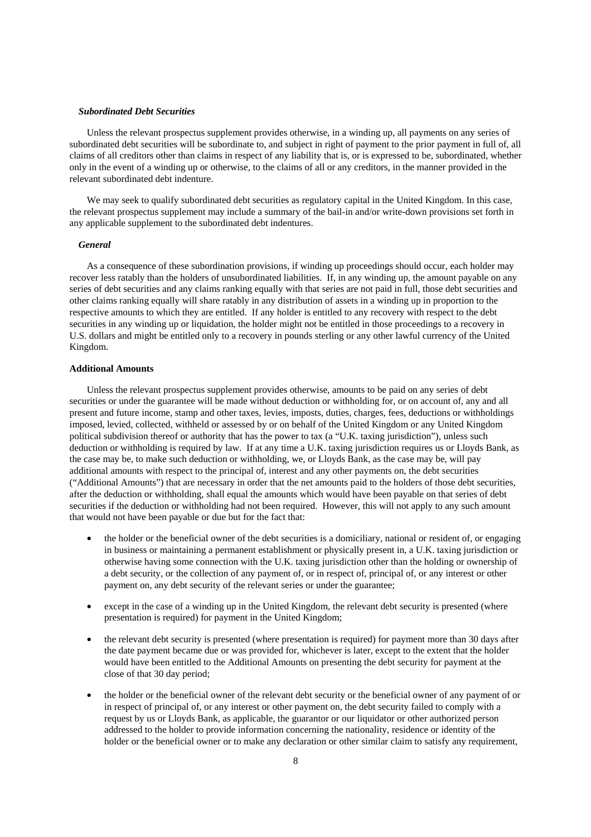#### *Subordinated Debt Securities*

Unless the relevant prospectus supplement provides otherwise, in a winding up, all payments on any series of subordinated debt securities will be subordinate to, and subject in right of payment to the prior payment in full of, all claims of all creditors other than claims in respect of any liability that is, or is expressed to be, subordinated, whether only in the event of a winding up or otherwise, to the claims of all or any creditors, in the manner provided in the relevant subordinated debt indenture.

We may seek to qualify subordinated debt securities as regulatory capital in the United Kingdom. In this case, the relevant prospectus supplement may include a summary of the bail-in and/or write-down provisions set forth in any applicable supplement to the subordinated debt indentures.

#### *General*

As a consequence of these subordination provisions, if winding up proceedings should occur, each holder may recover less ratably than the holders of unsubordinated liabilities. If, in any winding up, the amount payable on any series of debt securities and any claims ranking equally with that series are not paid in full, those debt securities and other claims ranking equally will share ratably in any distribution of assets in a winding up in proportion to the respective amounts to which they are entitled. If any holder is entitled to any recovery with respect to the debt securities in any winding up or liquidation, the holder might not be entitled in those proceedings to a recovery in U.S. dollars and might be entitled only to a recovery in pounds sterling or any other lawful currency of the United Kingdom.

## **Additional Amounts**

Unless the relevant prospectus supplement provides otherwise, amounts to be paid on any series of debt securities or under the guarantee will be made without deduction or withholding for, or on account of, any and all present and future income, stamp and other taxes, levies, imposts, duties, charges, fees, deductions or withholdings imposed, levied, collected, withheld or assessed by or on behalf of the United Kingdom or any United Kingdom political subdivision thereof or authority that has the power to tax (a "U.K. taxing jurisdiction"), unless such deduction or withholding is required by law. If at any time a U.K. taxing jurisdiction requires us or Lloyds Bank, as the case may be, to make such deduction or withholding, we, or Lloyds Bank, as the case may be, will pay additional amounts with respect to the principal of, interest and any other payments on, the debt securities ("Additional Amounts") that are necessary in order that the net amounts paid to the holders of those debt securities, after the deduction or withholding, shall equal the amounts which would have been payable on that series of debt securities if the deduction or withholding had not been required. However, this will not apply to any such amount that would not have been payable or due but for the fact that:

- the holder or the beneficial owner of the debt securities is a domiciliary, national or resident of, or engaging in business or maintaining a permanent establishment or physically present in, a U.K. taxing jurisdiction or otherwise having some connection with the U.K. taxing jurisdiction other than the holding or ownership of a debt security, or the collection of any payment of, or in respect of, principal of, or any interest or other payment on, any debt security of the relevant series or under the guarantee;
- except in the case of a winding up in the United Kingdom, the relevant debt security is presented (where presentation is required) for payment in the United Kingdom;
- the relevant debt security is presented (where presentation is required) for payment more than 30 days after the date payment became due or was provided for, whichever is later, except to the extent that the holder would have been entitled to the Additional Amounts on presenting the debt security for payment at the close of that 30 day period;
- the holder or the beneficial owner of the relevant debt security or the beneficial owner of any payment of or in respect of principal of, or any interest or other payment on, the debt security failed to comply with a request by us or Lloyds Bank, as applicable, the guarantor or our liquidator or other authorized person addressed to the holder to provide information concerning the nationality, residence or identity of the holder or the beneficial owner or to make any declaration or other similar claim to satisfy any requirement,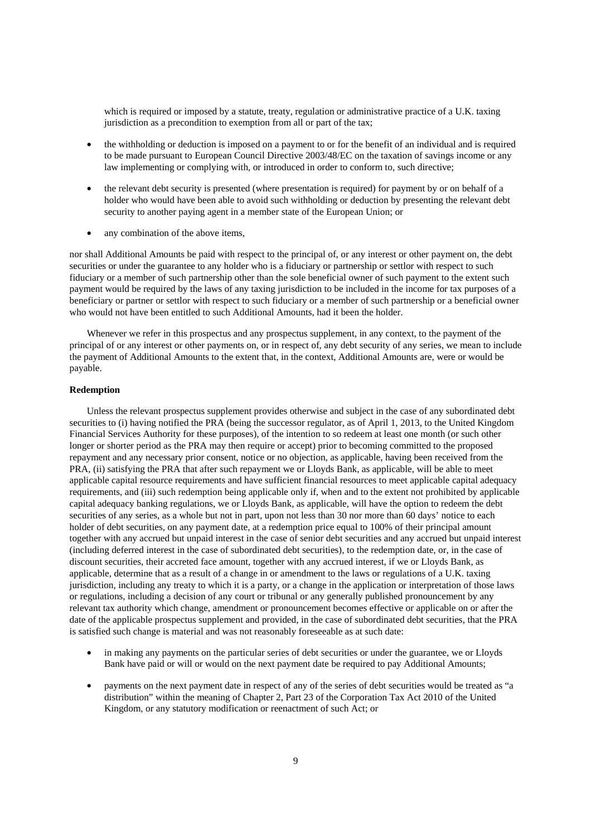which is required or imposed by a statute, treaty, regulation or administrative practice of a U.K. taxing jurisdiction as a precondition to exemption from all or part of the tax;

- the withholding or deduction is imposed on a payment to or for the benefit of an individual and is required to be made pursuant to European Council Directive 2003/48/EC on the taxation of savings income or any law implementing or complying with, or introduced in order to conform to, such directive;
- the relevant debt security is presented (where presentation is required) for payment by or on behalf of a holder who would have been able to avoid such withholding or deduction by presenting the relevant debt security to another paying agent in a member state of the European Union; or
- any combination of the above items,

nor shall Additional Amounts be paid with respect to the principal of, or any interest or other payment on, the debt securities or under the guarantee to any holder who is a fiduciary or partnership or settlor with respect to such fiduciary or a member of such partnership other than the sole beneficial owner of such payment to the extent such payment would be required by the laws of any taxing jurisdiction to be included in the income for tax purposes of a beneficiary or partner or settlor with respect to such fiduciary or a member of such partnership or a beneficial owner who would not have been entitled to such Additional Amounts, had it been the holder.

Whenever we refer in this prospectus and any prospectus supplement, in any context, to the payment of the principal of or any interest or other payments on, or in respect of, any debt security of any series, we mean to include the payment of Additional Amounts to the extent that, in the context, Additional Amounts are, were or would be payable.

#### **Redemption**

Unless the relevant prospectus supplement provides otherwise and subject in the case of any subordinated debt securities to (i) having notified the PRA (being the successor regulator, as of April 1, 2013, to the United Kingdom Financial Services Authority for these purposes), of the intention to so redeem at least one month (or such other longer or shorter period as the PRA may then require or accept) prior to becoming committed to the proposed repayment and any necessary prior consent, notice or no objection, as applicable, having been received from the PRA, (ii) satisfying the PRA that after such repayment we or Lloyds Bank, as applicable, will be able to meet applicable capital resource requirements and have sufficient financial resources to meet applicable capital adequacy requirements, and (iii) such redemption being applicable only if, when and to the extent not prohibited by applicable capital adequacy banking regulations, we or Lloyds Bank, as applicable, will have the option to redeem the debt securities of any series, as a whole but not in part, upon not less than 30 nor more than 60 days' notice to each holder of debt securities, on any payment date, at a redemption price equal to 100% of their principal amount together with any accrued but unpaid interest in the case of senior debt securities and any accrued but unpaid interest (including deferred interest in the case of subordinated debt securities), to the redemption date, or, in the case of discount securities, their accreted face amount, together with any accrued interest, if we or Lloyds Bank, as applicable, determine that as a result of a change in or amendment to the laws or regulations of a U.K. taxing jurisdiction, including any treaty to which it is a party, or a change in the application or interpretation of those laws or regulations, including a decision of any court or tribunal or any generally published pronouncement by any relevant tax authority which change, amendment or pronouncement becomes effective or applicable on or after the date of the applicable prospectus supplement and provided, in the case of subordinated debt securities, that the PRA is satisfied such change is material and was not reasonably foreseeable as at such date:

- in making any payments on the particular series of debt securities or under the guarantee, we or Lloyds Bank have paid or will or would on the next payment date be required to pay Additional Amounts;
- payments on the next payment date in respect of any of the series of debt securities would be treated as "a distribution" within the meaning of Chapter 2, Part 23 of the Corporation Tax Act 2010 of the United Kingdom, or any statutory modification or reenactment of such Act; or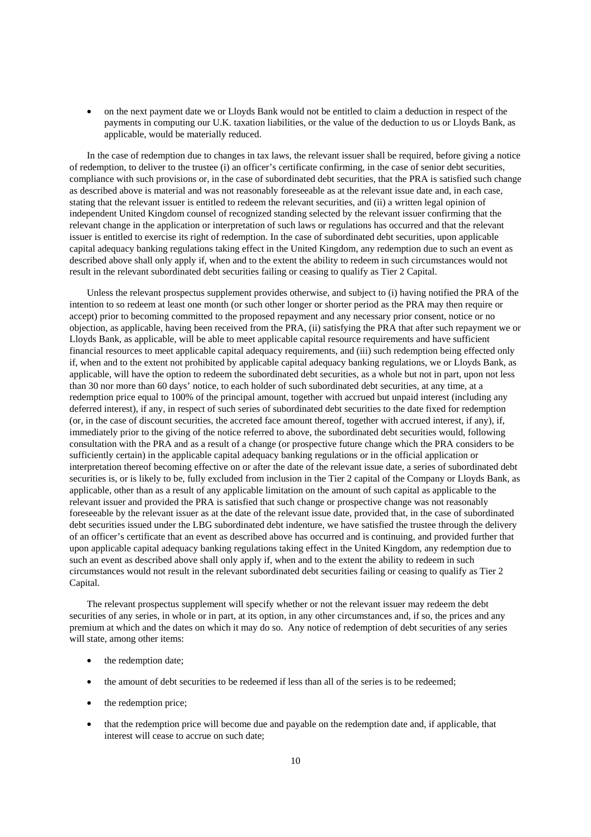• on the next payment date we or Lloyds Bank would not be entitled to claim a deduction in respect of the payments in computing our U.K. taxation liabilities, or the value of the deduction to us or Lloyds Bank, as applicable, would be materially reduced.

In the case of redemption due to changes in tax laws, the relevant issuer shall be required, before giving a notice of redemption, to deliver to the trustee (i) an officer's certificate confirming, in the case of senior debt securities, compliance with such provisions or, in the case of subordinated debt securities, that the PRA is satisfied such change as described above is material and was not reasonably foreseeable as at the relevant issue date and, in each case, stating that the relevant issuer is entitled to redeem the relevant securities, and (ii) a written legal opinion of independent United Kingdom counsel of recognized standing selected by the relevant issuer confirming that the relevant change in the application or interpretation of such laws or regulations has occurred and that the relevant issuer is entitled to exercise its right of redemption. In the case of subordinated debt securities, upon applicable capital adequacy banking regulations taking effect in the United Kingdom, any redemption due to such an event as described above shall only apply if, when and to the extent the ability to redeem in such circumstances would not result in the relevant subordinated debt securities failing or ceasing to qualify as Tier 2 Capital.

Unless the relevant prospectus supplement provides otherwise, and subject to (i) having notified the PRA of the intention to so redeem at least one month (or such other longer or shorter period as the PRA may then require or accept) prior to becoming committed to the proposed repayment and any necessary prior consent, notice or no objection, as applicable, having been received from the PRA, (ii) satisfying the PRA that after such repayment we or Lloyds Bank, as applicable, will be able to meet applicable capital resource requirements and have sufficient financial resources to meet applicable capital adequacy requirements, and (iii) such redemption being effected only if, when and to the extent not prohibited by applicable capital adequacy banking regulations, we or Lloyds Bank, as applicable, will have the option to redeem the subordinated debt securities, as a whole but not in part, upon not less than 30 nor more than 60 days' notice, to each holder of such subordinated debt securities, at any time, at a redemption price equal to 100% of the principal amount, together with accrued but unpaid interest (including any deferred interest), if any, in respect of such series of subordinated debt securities to the date fixed for redemption (or, in the case of discount securities, the accreted face amount thereof, together with accrued interest, if any), if, immediately prior to the giving of the notice referred to above, the subordinated debt securities would, following consultation with the PRA and as a result of a change (or prospective future change which the PRA considers to be sufficiently certain) in the applicable capital adequacy banking regulations or in the official application or interpretation thereof becoming effective on or after the date of the relevant issue date, a series of subordinated debt securities is, or is likely to be, fully excluded from inclusion in the Tier 2 capital of the Company or Lloyds Bank, as applicable, other than as a result of any applicable limitation on the amount of such capital as applicable to the relevant issuer and provided the PRA is satisfied that such change or prospective change was not reasonably foreseeable by the relevant issuer as at the date of the relevant issue date, provided that, in the case of subordinated debt securities issued under the LBG subordinated debt indenture, we have satisfied the trustee through the delivery of an officer's certificate that an event as described above has occurred and is continuing, and provided further that upon applicable capital adequacy banking regulations taking effect in the United Kingdom, any redemption due to such an event as described above shall only apply if, when and to the extent the ability to redeem in such circumstances would not result in the relevant subordinated debt securities failing or ceasing to qualify as Tier 2 Capital.

The relevant prospectus supplement will specify whether or not the relevant issuer may redeem the debt securities of any series, in whole or in part, at its option, in any other circumstances and, if so, the prices and any premium at which and the dates on which it may do so. Any notice of redemption of debt securities of any series will state, among other items:

- the redemption date:
- the amount of debt securities to be redeemed if less than all of the series is to be redeemed;
- the redemption price:
- that the redemption price will become due and payable on the redemption date and, if applicable, that interest will cease to accrue on such date;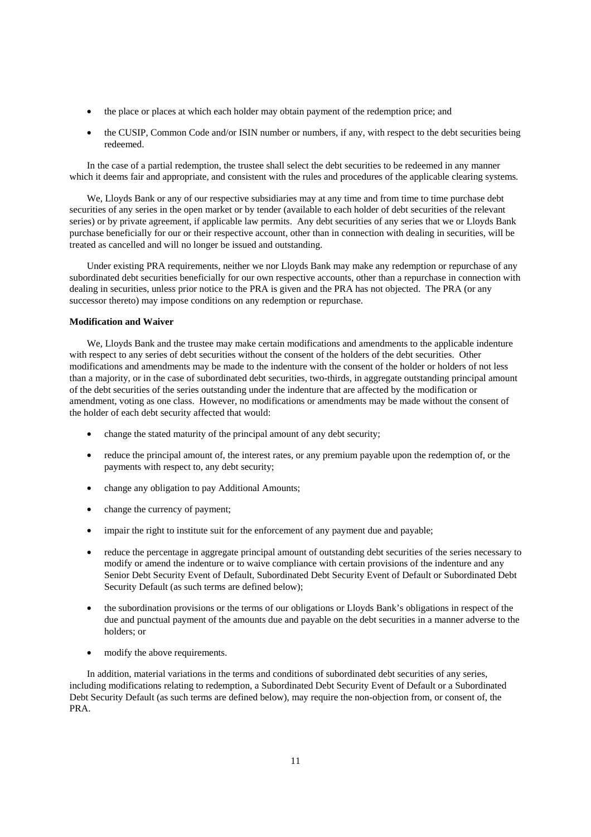- the place or places at which each holder may obtain payment of the redemption price; and
- the CUSIP, Common Code and/or ISIN number or numbers, if any, with respect to the debt securities being redeemed.

In the case of a partial redemption, the trustee shall select the debt securities to be redeemed in any manner which it deems fair and appropriate, and consistent with the rules and procedures of the applicable clearing systems.

We, Lloyds Bank or any of our respective subsidiaries may at any time and from time to time purchase debt securities of any series in the open market or by tender (available to each holder of debt securities of the relevant series) or by private agreement, if applicable law permits. Any debt securities of any series that we or Lloyds Bank purchase beneficially for our or their respective account, other than in connection with dealing in securities, will be treated as cancelled and will no longer be issued and outstanding.

Under existing PRA requirements, neither we nor Lloyds Bank may make any redemption or repurchase of any subordinated debt securities beneficially for our own respective accounts, other than a repurchase in connection with dealing in securities, unless prior notice to the PRA is given and the PRA has not objected. The PRA (or any successor thereto) may impose conditions on any redemption or repurchase.

## **Modification and Waiver**

We, Lloyds Bank and the trustee may make certain modifications and amendments to the applicable indenture with respect to any series of debt securities without the consent of the holders of the debt securities. Other modifications and amendments may be made to the indenture with the consent of the holder or holders of not less than a majority, or in the case of subordinated debt securities, two-thirds, in aggregate outstanding principal amount of the debt securities of the series outstanding under the indenture that are affected by the modification or amendment, voting as one class. However, no modifications or amendments may be made without the consent of the holder of each debt security affected that would:

- change the stated maturity of the principal amount of any debt security;
- reduce the principal amount of, the interest rates, or any premium payable upon the redemption of, or the payments with respect to, any debt security;
- change any obligation to pay Additional Amounts;
- change the currency of payment;
- impair the right to institute suit for the enforcement of any payment due and payable;
- reduce the percentage in aggregate principal amount of outstanding debt securities of the series necessary to modify or amend the indenture or to waive compliance with certain provisions of the indenture and any Senior Debt Security Event of Default, Subordinated Debt Security Event of Default or Subordinated Debt Security Default (as such terms are defined below);
- the subordination provisions or the terms of our obligations or Lloyds Bank's obligations in respect of the due and punctual payment of the amounts due and payable on the debt securities in a manner adverse to the holders; or
- modify the above requirements.

In addition, material variations in the terms and conditions of subordinated debt securities of any series, including modifications relating to redemption, a Subordinated Debt Security Event of Default or a Subordinated Debt Security Default (as such terms are defined below), may require the non-objection from, or consent of, the PRA.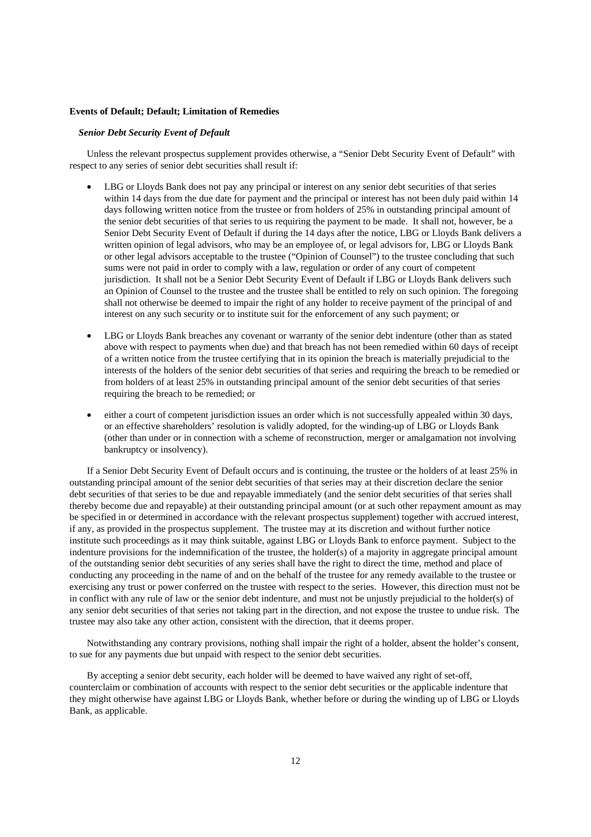#### **Events of Default; Default; Limitation of Remedies**

#### *Senior Debt Security Event of Default*

Unless the relevant prospectus supplement provides otherwise, a "Senior Debt Security Event of Default" with respect to any series of senior debt securities shall result if:

- LBG or Lloyds Bank does not pay any principal or interest on any senior debt securities of that series within 14 days from the due date for payment and the principal or interest has not been duly paid within 14 days following written notice from the trustee or from holders of 25% in outstanding principal amount of the senior debt securities of that series to us requiring the payment to be made. It shall not, however, be a Senior Debt Security Event of Default if during the 14 days after the notice, LBG or Lloyds Bank delivers a written opinion of legal advisors, who may be an employee of, or legal advisors for, LBG or Lloyds Bank or other legal advisors acceptable to the trustee ("Opinion of Counsel") to the trustee concluding that such sums were not paid in order to comply with a law, regulation or order of any court of competent jurisdiction. It shall not be a Senior Debt Security Event of Default if LBG or Lloyds Bank delivers such an Opinion of Counsel to the trustee and the trustee shall be entitled to rely on such opinion. The foregoing shall not otherwise be deemed to impair the right of any holder to receive payment of the principal of and interest on any such security or to institute suit for the enforcement of any such payment; or
- LBG or Lloyds Bank breaches any covenant or warranty of the senior debt indenture (other than as stated above with respect to payments when due) and that breach has not been remedied within 60 days of receipt of a written notice from the trustee certifying that in its opinion the breach is materially prejudicial to the interests of the holders of the senior debt securities of that series and requiring the breach to be remedied or from holders of at least 25% in outstanding principal amount of the senior debt securities of that series requiring the breach to be remedied; or
- either a court of competent jurisdiction issues an order which is not successfully appealed within 30 days, or an effective shareholders' resolution is validly adopted, for the winding-up of LBG or Lloyds Bank (other than under or in connection with a scheme of reconstruction, merger or amalgamation not involving bankruptcy or insolvency).

If a Senior Debt Security Event of Default occurs and is continuing, the trustee or the holders of at least 25% in outstanding principal amount of the senior debt securities of that series may at their discretion declare the senior debt securities of that series to be due and repayable immediately (and the senior debt securities of that series shall thereby become due and repayable) at their outstanding principal amount (or at such other repayment amount as may be specified in or determined in accordance with the relevant prospectus supplement) together with accrued interest, if any, as provided in the prospectus supplement. The trustee may at its discretion and without further notice institute such proceedings as it may think suitable, against LBG or Lloyds Bank to enforce payment. Subject to the indenture provisions for the indemnification of the trustee, the holder(s) of a majority in aggregate principal amount of the outstanding senior debt securities of any series shall have the right to direct the time, method and place of conducting any proceeding in the name of and on the behalf of the trustee for any remedy available to the trustee or exercising any trust or power conferred on the trustee with respect to the series. However, this direction must not be in conflict with any rule of law or the senior debt indenture, and must not be unjustly prejudicial to the holder(s) of any senior debt securities of that series not taking part in the direction, and not expose the trustee to undue risk. The trustee may also take any other action, consistent with the direction, that it deems proper.

Notwithstanding any contrary provisions, nothing shall impair the right of a holder, absent the holder's consent, to sue for any payments due but unpaid with respect to the senior debt securities.

By accepting a senior debt security, each holder will be deemed to have waived any right of set-off, counterclaim or combination of accounts with respect to the senior debt securities or the applicable indenture that they might otherwise have against LBG or Lloyds Bank, whether before or during the winding up of LBG or Lloyds Bank, as applicable.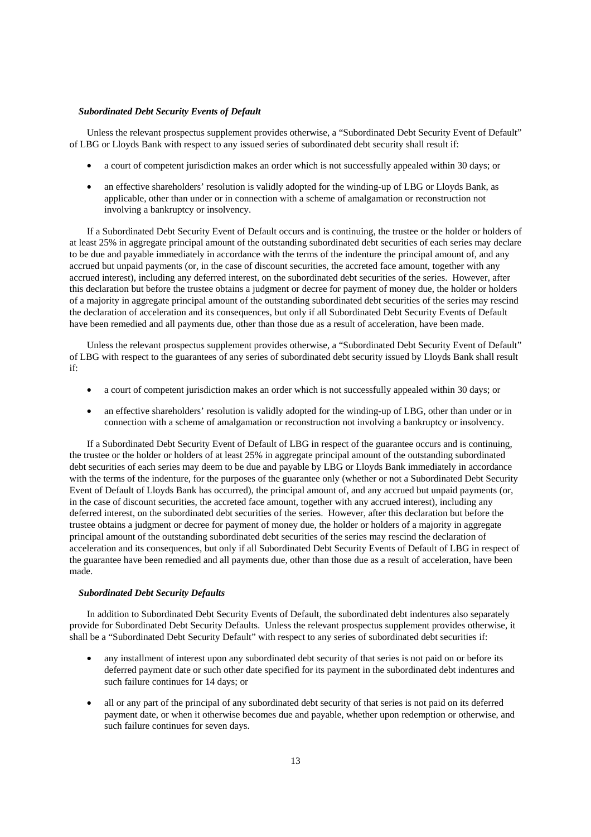#### *Subordinated Debt Security Events of Default*

Unless the relevant prospectus supplement provides otherwise, a "Subordinated Debt Security Event of Default" of LBG or Lloyds Bank with respect to any issued series of subordinated debt security shall result if:

- a court of competent jurisdiction makes an order which is not successfully appealed within 30 days; or
- an effective shareholders' resolution is validly adopted for the winding-up of LBG or Lloyds Bank, as applicable, other than under or in connection with a scheme of amalgamation or reconstruction not involving a bankruptcy or insolvency.

If a Subordinated Debt Security Event of Default occurs and is continuing, the trustee or the holder or holders of at least 25% in aggregate principal amount of the outstanding subordinated debt securities of each series may declare to be due and payable immediately in accordance with the terms of the indenture the principal amount of, and any accrued but unpaid payments (or, in the case of discount securities, the accreted face amount, together with any accrued interest), including any deferred interest, on the subordinated debt securities of the series. However, after this declaration but before the trustee obtains a judgment or decree for payment of money due, the holder or holders of a majority in aggregate principal amount of the outstanding subordinated debt securities of the series may rescind the declaration of acceleration and its consequences, but only if all Subordinated Debt Security Events of Default have been remedied and all payments due, other than those due as a result of acceleration, have been made.

Unless the relevant prospectus supplement provides otherwise, a "Subordinated Debt Security Event of Default" of LBG with respect to the guarantees of any series of subordinated debt security issued by Lloyds Bank shall result if:

- a court of competent jurisdiction makes an order which is not successfully appealed within 30 days; or
- an effective shareholders' resolution is validly adopted for the winding-up of LBG, other than under or in connection with a scheme of amalgamation or reconstruction not involving a bankruptcy or insolvency.

If a Subordinated Debt Security Event of Default of LBG in respect of the guarantee occurs and is continuing, the trustee or the holder or holders of at least 25% in aggregate principal amount of the outstanding subordinated debt securities of each series may deem to be due and payable by LBG or Lloyds Bank immediately in accordance with the terms of the indenture, for the purposes of the guarantee only (whether or not a Subordinated Debt Security Event of Default of Lloyds Bank has occurred), the principal amount of, and any accrued but unpaid payments (or, in the case of discount securities, the accreted face amount, together with any accrued interest), including any deferred interest, on the subordinated debt securities of the series. However, after this declaration but before the trustee obtains a judgment or decree for payment of money due, the holder or holders of a majority in aggregate principal amount of the outstanding subordinated debt securities of the series may rescind the declaration of acceleration and its consequences, but only if all Subordinated Debt Security Events of Default of LBG in respect of the guarantee have been remedied and all payments due, other than those due as a result of acceleration, have been made.

#### *Subordinated Debt Security Defaults*

In addition to Subordinated Debt Security Events of Default, the subordinated debt indentures also separately provide for Subordinated Debt Security Defaults. Unless the relevant prospectus supplement provides otherwise, it shall be a "Subordinated Debt Security Default" with respect to any series of subordinated debt securities if:

- any installment of interest upon any subordinated debt security of that series is not paid on or before its deferred payment date or such other date specified for its payment in the subordinated debt indentures and such failure continues for 14 days; or
- all or any part of the principal of any subordinated debt security of that series is not paid on its deferred payment date, or when it otherwise becomes due and payable, whether upon redemption or otherwise, and such failure continues for seven days.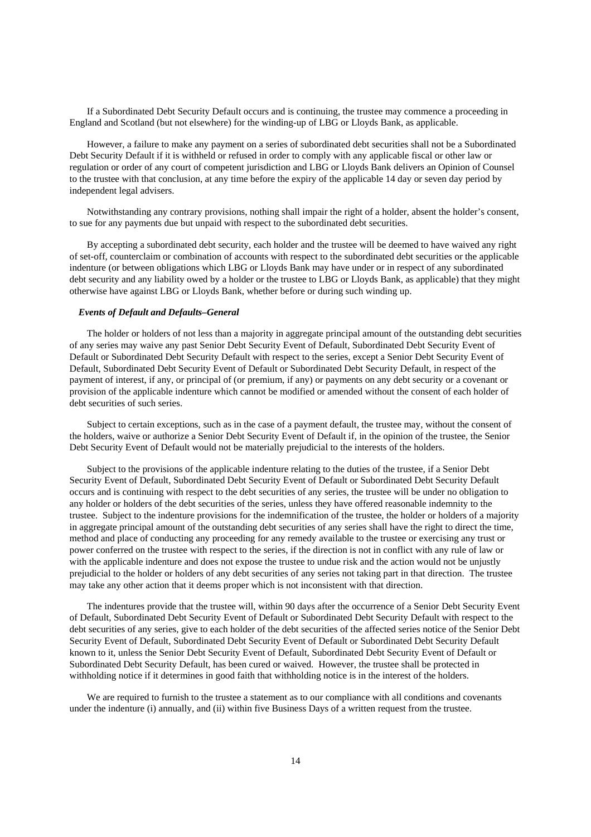If a Subordinated Debt Security Default occurs and is continuing, the trustee may commence a proceeding in England and Scotland (but not elsewhere) for the winding-up of LBG or Lloyds Bank, as applicable.

However, a failure to make any payment on a series of subordinated debt securities shall not be a Subordinated Debt Security Default if it is withheld or refused in order to comply with any applicable fiscal or other law or regulation or order of any court of competent jurisdiction and LBG or Lloyds Bank delivers an Opinion of Counsel to the trustee with that conclusion, at any time before the expiry of the applicable 14 day or seven day period by independent legal advisers.

Notwithstanding any contrary provisions, nothing shall impair the right of a holder, absent the holder's consent, to sue for any payments due but unpaid with respect to the subordinated debt securities.

By accepting a subordinated debt security, each holder and the trustee will be deemed to have waived any right of set-off, counterclaim or combination of accounts with respect to the subordinated debt securities or the applicable indenture (or between obligations which LBG or Lloyds Bank may have under or in respect of any subordinated debt security and any liability owed by a holder or the trustee to LBG or Lloyds Bank, as applicable) that they might otherwise have against LBG or Lloyds Bank, whether before or during such winding up.

## *Events of Default and Defaults–General*

The holder or holders of not less than a majority in aggregate principal amount of the outstanding debt securities of any series may waive any past Senior Debt Security Event of Default, Subordinated Debt Security Event of Default or Subordinated Debt Security Default with respect to the series, except a Senior Debt Security Event of Default, Subordinated Debt Security Event of Default or Subordinated Debt Security Default, in respect of the payment of interest, if any, or principal of (or premium, if any) or payments on any debt security or a covenant or provision of the applicable indenture which cannot be modified or amended without the consent of each holder of debt securities of such series.

Subject to certain exceptions, such as in the case of a payment default, the trustee may, without the consent of the holders, waive or authorize a Senior Debt Security Event of Default if, in the opinion of the trustee, the Senior Debt Security Event of Default would not be materially prejudicial to the interests of the holders.

Subject to the provisions of the applicable indenture relating to the duties of the trustee, if a Senior Debt Security Event of Default, Subordinated Debt Security Event of Default or Subordinated Debt Security Default occurs and is continuing with respect to the debt securities of any series, the trustee will be under no obligation to any holder or holders of the debt securities of the series, unless they have offered reasonable indemnity to the trustee. Subject to the indenture provisions for the indemnification of the trustee, the holder or holders of a majority in aggregate principal amount of the outstanding debt securities of any series shall have the right to direct the time, method and place of conducting any proceeding for any remedy available to the trustee or exercising any trust or power conferred on the trustee with respect to the series, if the direction is not in conflict with any rule of law or with the applicable indenture and does not expose the trustee to undue risk and the action would not be unjustly prejudicial to the holder or holders of any debt securities of any series not taking part in that direction. The trustee may take any other action that it deems proper which is not inconsistent with that direction.

The indentures provide that the trustee will, within 90 days after the occurrence of a Senior Debt Security Event of Default, Subordinated Debt Security Event of Default or Subordinated Debt Security Default with respect to the debt securities of any series, give to each holder of the debt securities of the affected series notice of the Senior Debt Security Event of Default, Subordinated Debt Security Event of Default or Subordinated Debt Security Default known to it, unless the Senior Debt Security Event of Default, Subordinated Debt Security Event of Default or Subordinated Debt Security Default, has been cured or waived. However, the trustee shall be protected in withholding notice if it determines in good faith that withholding notice is in the interest of the holders.

We are required to furnish to the trustee a statement as to our compliance with all conditions and covenants under the indenture (i) annually, and (ii) within five Business Days of a written request from the trustee.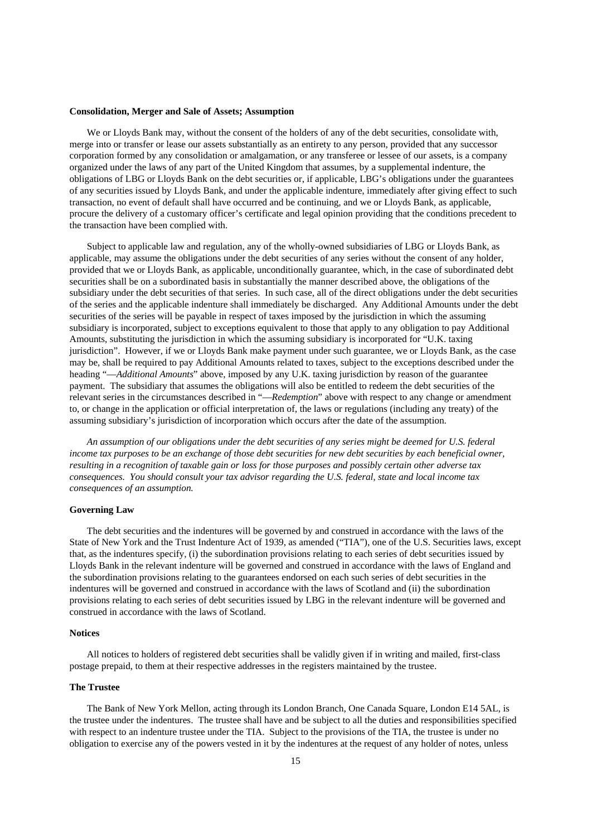#### **Consolidation, Merger and Sale of Assets; Assumption**

We or Lloyds Bank may, without the consent of the holders of any of the debt securities, consolidate with, merge into or transfer or lease our assets substantially as an entirety to any person, provided that any successor corporation formed by any consolidation or amalgamation, or any transferee or lessee of our assets, is a company organized under the laws of any part of the United Kingdom that assumes, by a supplemental indenture, the obligations of LBG or Lloyds Bank on the debt securities or, if applicable, LBG's obligations under the guarantees of any securities issued by Lloyds Bank, and under the applicable indenture, immediately after giving effect to such transaction, no event of default shall have occurred and be continuing, and we or Lloyds Bank, as applicable, procure the delivery of a customary officer's certificate and legal opinion providing that the conditions precedent to the transaction have been complied with.

Subject to applicable law and regulation, any of the wholly-owned subsidiaries of LBG or Lloyds Bank, as applicable, may assume the obligations under the debt securities of any series without the consent of any holder, provided that we or Lloyds Bank, as applicable, unconditionally guarantee, which, in the case of subordinated debt securities shall be on a subordinated basis in substantially the manner described above, the obligations of the subsidiary under the debt securities of that series. In such case, all of the direct obligations under the debt securities of the series and the applicable indenture shall immediately be discharged. Any Additional Amounts under the debt securities of the series will be payable in respect of taxes imposed by the jurisdiction in which the assuming subsidiary is incorporated, subject to exceptions equivalent to those that apply to any obligation to pay Additional Amounts, substituting the jurisdiction in which the assuming subsidiary is incorporated for "U.K. taxing jurisdiction". However, if we or Lloyds Bank make payment under such guarantee, we or Lloyds Bank, as the case may be, shall be required to pay Additional Amounts related to taxes, subject to the exceptions described under the heading "—*Additional Amounts*" above, imposed by any U.K. taxing jurisdiction by reason of the guarantee payment. The subsidiary that assumes the obligations will also be entitled to redeem the debt securities of the relevant series in the circumstances described in "—*Redemption*" above with respect to any change or amendment to, or change in the application or official interpretation of, the laws or regulations (including any treaty) of the assuming subsidiary's jurisdiction of incorporation which occurs after the date of the assumption.

*An assumption of our obligations under the debt securities of any series might be deemed for U.S. federal income tax purposes to be an exchange of those debt securities for new debt securities by each beneficial owner, resulting in a recognition of taxable gain or loss for those purposes and possibly certain other adverse tax consequences. You should consult your tax advisor regarding the U.S. federal, state and local income tax consequences of an assumption.* 

## **Governing Law**

The debt securities and the indentures will be governed by and construed in accordance with the laws of the State of New York and the Trust Indenture Act of 1939, as amended ("TIA"), one of the U.S. Securities laws, except that, as the indentures specify, (i) the subordination provisions relating to each series of debt securities issued by Lloyds Bank in the relevant indenture will be governed and construed in accordance with the laws of England and the subordination provisions relating to the guarantees endorsed on each such series of debt securities in the indentures will be governed and construed in accordance with the laws of Scotland and (ii) the subordination provisions relating to each series of debt securities issued by LBG in the relevant indenture will be governed and construed in accordance with the laws of Scotland.

#### **Notices**

All notices to holders of registered debt securities shall be validly given if in writing and mailed, first-class postage prepaid, to them at their respective addresses in the registers maintained by the trustee.

#### **The Trustee**

The Bank of New York Mellon, acting through its London Branch, One Canada Square, London E14 5AL, is the trustee under the indentures. The trustee shall have and be subject to all the duties and responsibilities specified with respect to an indenture trustee under the TIA. Subject to the provisions of the TIA, the trustee is under no obligation to exercise any of the powers vested in it by the indentures at the request of any holder of notes, unless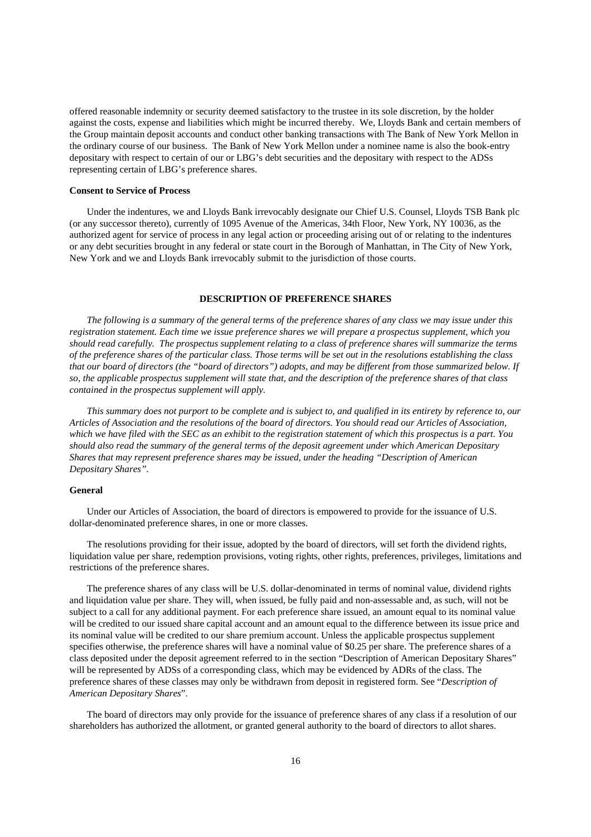offered reasonable indemnity or security deemed satisfactory to the trustee in its sole discretion, by the holder against the costs, expense and liabilities which might be incurred thereby. We, Lloyds Bank and certain members of the Group maintain deposit accounts and conduct other banking transactions with The Bank of New York Mellon in the ordinary course of our business. The Bank of New York Mellon under a nominee name is also the book-entry depositary with respect to certain of our or LBG's debt securities and the depositary with respect to the ADSs representing certain of LBG's preference shares.

## **Consent to Service of Process**

Under the indentures, we and Lloyds Bank irrevocably designate our Chief U.S. Counsel, Lloyds TSB Bank plc (or any successor thereto), currently of 1095 Avenue of the Americas, 34th Floor, New York, NY 10036, as the authorized agent for service of process in any legal action or proceeding arising out of or relating to the indentures or any debt securities brought in any federal or state court in the Borough of Manhattan, in The City of New York, New York and we and Lloyds Bank irrevocably submit to the jurisdiction of those courts.

## **DESCRIPTION OF PREFERENCE SHARES**

*The following is a summary of the general terms of the preference shares of any class we may issue under this registration statement. Each time we issue preference shares we will prepare a prospectus supplement, which you should read carefully. The prospectus supplement relating to a class of preference shares will summarize the terms of the preference shares of the particular class. Those terms will be set out in the resolutions establishing the class that our board of directors (the "board of directors") adopts, and may be different from those summarized below. If so, the applicable prospectus supplement will state that, and the description of the preference shares of that class contained in the prospectus supplement will apply.* 

*This summary does not purport to be complete and is subject to, and qualified in its entirety by reference to, our Articles of Association and the resolutions of the board of directors. You should read our Articles of Association, which we have filed with the SEC as an exhibit to the registration statement of which this prospectus is a part. You should also read the summary of the general terms of the deposit agreement under which American Depositary Shares that may represent preference shares may be issued, under the heading "Description of American Depositary Shares".* 

#### **General**

Under our Articles of Association, the board of directors is empowered to provide for the issuance of U.S. dollar-denominated preference shares, in one or more classes.

The resolutions providing for their issue, adopted by the board of directors, will set forth the dividend rights, liquidation value per share, redemption provisions, voting rights, other rights, preferences, privileges, limitations and restrictions of the preference shares.

The preference shares of any class will be U.S. dollar-denominated in terms of nominal value, dividend rights and liquidation value per share. They will, when issued, be fully paid and non-assessable and, as such, will not be subject to a call for any additional payment. For each preference share issued, an amount equal to its nominal value will be credited to our issued share capital account and an amount equal to the difference between its issue price and its nominal value will be credited to our share premium account. Unless the applicable prospectus supplement specifies otherwise, the preference shares will have a nominal value of \$0.25 per share. The preference shares of a class deposited under the deposit agreement referred to in the section "Description of American Depositary Shares" will be represented by ADSs of a corresponding class, which may be evidenced by ADRs of the class. The preference shares of these classes may only be withdrawn from deposit in registered form. See "*Description of American Depositary Shares*".

The board of directors may only provide for the issuance of preference shares of any class if a resolution of our shareholders has authorized the allotment, or granted general authority to the board of directors to allot shares.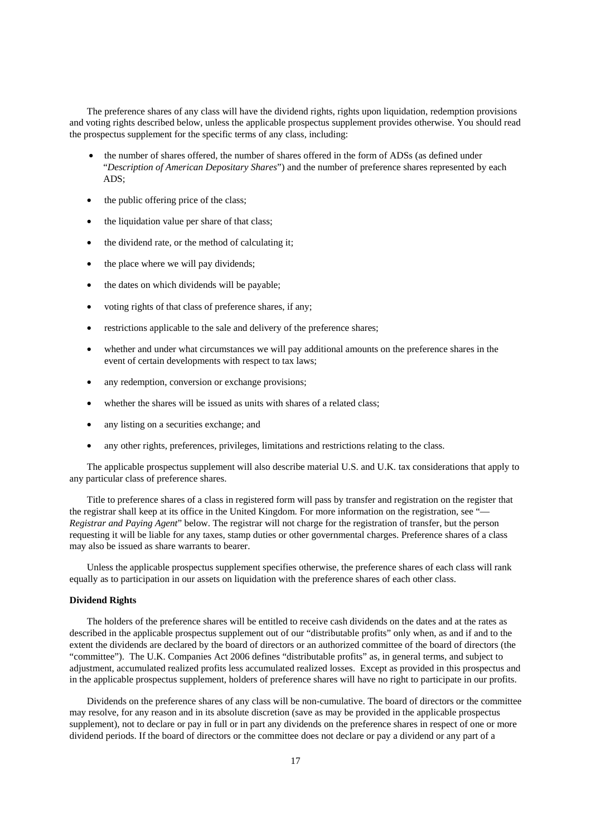The preference shares of any class will have the dividend rights, rights upon liquidation, redemption provisions and voting rights described below, unless the applicable prospectus supplement provides otherwise. You should read the prospectus supplement for the specific terms of any class, including:

- the number of shares offered, the number of shares offered in the form of ADSs (as defined under "*Description of American Depositary Shares*") and the number of preference shares represented by each ADS;
- the public offering price of the class;
- the liquidation value per share of that class;
- the dividend rate, or the method of calculating it;
- the place where we will pay dividends;
- the dates on which dividends will be payable;
- voting rights of that class of preference shares, if any;
- restrictions applicable to the sale and delivery of the preference shares;
- whether and under what circumstances we will pay additional amounts on the preference shares in the event of certain developments with respect to tax laws;
- any redemption, conversion or exchange provisions;
- whether the shares will be issued as units with shares of a related class;
- any listing on a securities exchange; and
- any other rights, preferences, privileges, limitations and restrictions relating to the class.

The applicable prospectus supplement will also describe material U.S. and U.K. tax considerations that apply to any particular class of preference shares.

Title to preference shares of a class in registered form will pass by transfer and registration on the register that the registrar shall keep at its office in the United Kingdom. For more information on the registration, see "— *Registrar and Paying Agent*" below. The registrar will not charge for the registration of transfer, but the person requesting it will be liable for any taxes, stamp duties or other governmental charges. Preference shares of a class may also be issued as share warrants to bearer.

Unless the applicable prospectus supplement specifies otherwise, the preference shares of each class will rank equally as to participation in our assets on liquidation with the preference shares of each other class.

#### **Dividend Rights**

The holders of the preference shares will be entitled to receive cash dividends on the dates and at the rates as described in the applicable prospectus supplement out of our "distributable profits" only when, as and if and to the extent the dividends are declared by the board of directors or an authorized committee of the board of directors (the "committee"). The U.K. Companies Act 2006 defines "distributable profits" as, in general terms, and subject to adjustment, accumulated realized profits less accumulated realized losses. Except as provided in this prospectus and in the applicable prospectus supplement, holders of preference shares will have no right to participate in our profits.

Dividends on the preference shares of any class will be non-cumulative. The board of directors or the committee may resolve, for any reason and in its absolute discretion (save as may be provided in the applicable prospectus supplement), not to declare or pay in full or in part any dividends on the preference shares in respect of one or more dividend periods. If the board of directors or the committee does not declare or pay a dividend or any part of a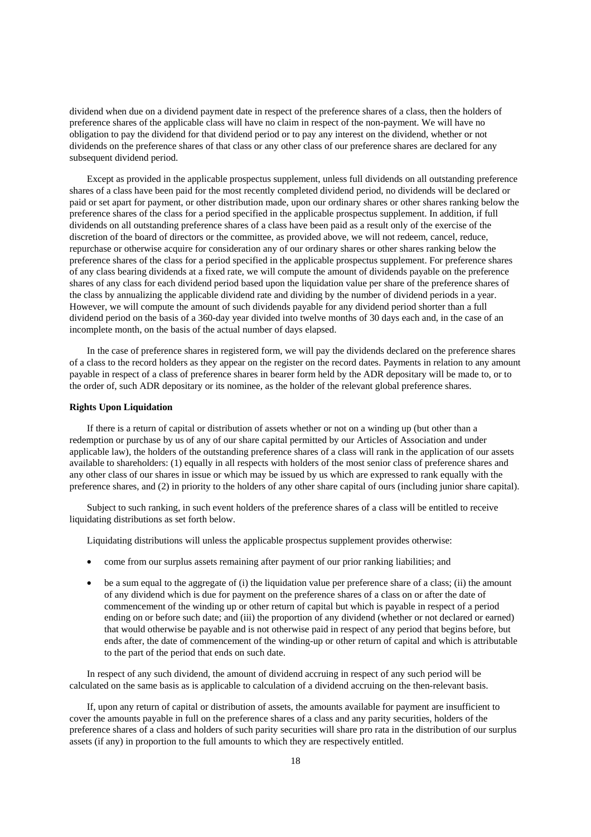dividend when due on a dividend payment date in respect of the preference shares of a class, then the holders of preference shares of the applicable class will have no claim in respect of the non-payment. We will have no obligation to pay the dividend for that dividend period or to pay any interest on the dividend, whether or not dividends on the preference shares of that class or any other class of our preference shares are declared for any subsequent dividend period.

Except as provided in the applicable prospectus supplement, unless full dividends on all outstanding preference shares of a class have been paid for the most recently completed dividend period, no dividends will be declared or paid or set apart for payment, or other distribution made, upon our ordinary shares or other shares ranking below the preference shares of the class for a period specified in the applicable prospectus supplement. In addition, if full dividends on all outstanding preference shares of a class have been paid as a result only of the exercise of the discretion of the board of directors or the committee, as provided above, we will not redeem, cancel, reduce, repurchase or otherwise acquire for consideration any of our ordinary shares or other shares ranking below the preference shares of the class for a period specified in the applicable prospectus supplement. For preference shares of any class bearing dividends at a fixed rate, we will compute the amount of dividends payable on the preference shares of any class for each dividend period based upon the liquidation value per share of the preference shares of the class by annualizing the applicable dividend rate and dividing by the number of dividend periods in a year. However, we will compute the amount of such dividends payable for any dividend period shorter than a full dividend period on the basis of a 360-day year divided into twelve months of 30 days each and, in the case of an incomplete month, on the basis of the actual number of days elapsed.

In the case of preference shares in registered form, we will pay the dividends declared on the preference shares of a class to the record holders as they appear on the register on the record dates. Payments in relation to any amount payable in respect of a class of preference shares in bearer form held by the ADR depositary will be made to, or to the order of, such ADR depositary or its nominee, as the holder of the relevant global preference shares.

## **Rights Upon Liquidation**

If there is a return of capital or distribution of assets whether or not on a winding up (but other than a redemption or purchase by us of any of our share capital permitted by our Articles of Association and under applicable law), the holders of the outstanding preference shares of a class will rank in the application of our assets available to shareholders: (1) equally in all respects with holders of the most senior class of preference shares and any other class of our shares in issue or which may be issued by us which are expressed to rank equally with the preference shares, and (2) in priority to the holders of any other share capital of ours (including junior share capital).

Subject to such ranking, in such event holders of the preference shares of a class will be entitled to receive liquidating distributions as set forth below.

Liquidating distributions will unless the applicable prospectus supplement provides otherwise:

- come from our surplus assets remaining after payment of our prior ranking liabilities; and
- be a sum equal to the aggregate of (i) the liquidation value per preference share of a class; (ii) the amount of any dividend which is due for payment on the preference shares of a class on or after the date of commencement of the winding up or other return of capital but which is payable in respect of a period ending on or before such date; and (iii) the proportion of any dividend (whether or not declared or earned) that would otherwise be payable and is not otherwise paid in respect of any period that begins before, but ends after, the date of commencement of the winding-up or other return of capital and which is attributable to the part of the period that ends on such date.

In respect of any such dividend, the amount of dividend accruing in respect of any such period will be calculated on the same basis as is applicable to calculation of a dividend accruing on the then-relevant basis.

If, upon any return of capital or distribution of assets, the amounts available for payment are insufficient to cover the amounts payable in full on the preference shares of a class and any parity securities, holders of the preference shares of a class and holders of such parity securities will share pro rata in the distribution of our surplus assets (if any) in proportion to the full amounts to which they are respectively entitled.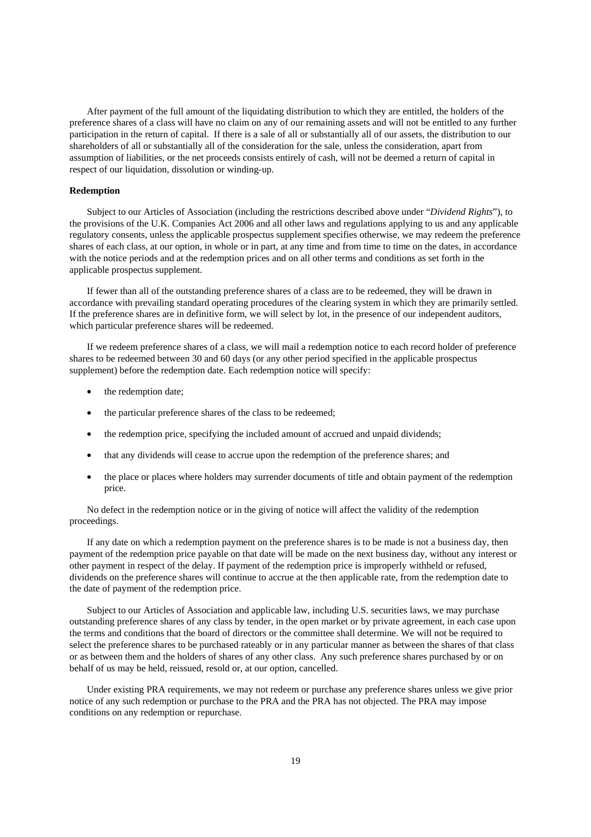After payment of the full amount of the liquidating distribution to which they are entitled, the holders of the preference shares of a class will have no claim on any of our remaining assets and will not be entitled to any further participation in the return of capital. If there is a sale of all or substantially all of our assets, the distribution to our shareholders of all or substantially all of the consideration for the sale, unless the consideration, apart from assumption of liabilities, or the net proceeds consists entirely of cash, will not be deemed a return of capital in respect of our liquidation, dissolution or winding-up.

## **Redemption**

Subject to our Articles of Association (including the restrictions described above under "*Dividend Rights*"), to the provisions of the U.K. Companies Act 2006 and all other laws and regulations applying to us and any applicable regulatory consents, unless the applicable prospectus supplement specifies otherwise, we may redeem the preference shares of each class, at our option, in whole or in part, at any time and from time to time on the dates, in accordance with the notice periods and at the redemption prices and on all other terms and conditions as set forth in the applicable prospectus supplement.

If fewer than all of the outstanding preference shares of a class are to be redeemed, they will be drawn in accordance with prevailing standard operating procedures of the clearing system in which they are primarily settled. If the preference shares are in definitive form, we will select by lot, in the presence of our independent auditors, which particular preference shares will be redeemed.

If we redeem preference shares of a class, we will mail a redemption notice to each record holder of preference shares to be redeemed between 30 and 60 days (or any other period specified in the applicable prospectus supplement) before the redemption date. Each redemption notice will specify:

- the redemption date;
- the particular preference shares of the class to be redeemed;
- the redemption price, specifying the included amount of accrued and unpaid dividends;
- that any dividends will cease to accrue upon the redemption of the preference shares; and
- the place or places where holders may surrender documents of title and obtain payment of the redemption price.

No defect in the redemption notice or in the giving of notice will affect the validity of the redemption proceedings.

If any date on which a redemption payment on the preference shares is to be made is not a business day, then payment of the redemption price payable on that date will be made on the next business day, without any interest or other payment in respect of the delay. If payment of the redemption price is improperly withheld or refused, dividends on the preference shares will continue to accrue at the then applicable rate, from the redemption date to the date of payment of the redemption price.

Subject to our Articles of Association and applicable law, including U.S. securities laws, we may purchase outstanding preference shares of any class by tender, in the open market or by private agreement, in each case upon the terms and conditions that the board of directors or the committee shall determine. We will not be required to select the preference shares to be purchased rateably or in any particular manner as between the shares of that class or as between them and the holders of shares of any other class. Any such preference shares purchased by or on behalf of us may be held, reissued, resold or, at our option, cancelled.

Under existing PRA requirements, we may not redeem or purchase any preference shares unless we give prior notice of any such redemption or purchase to the PRA and the PRA has not objected. The PRA may impose conditions on any redemption or repurchase.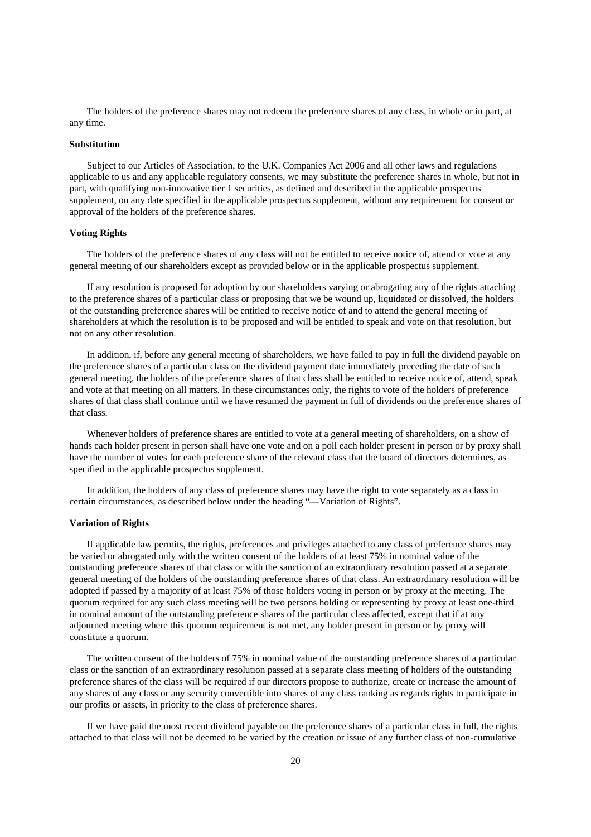The holders of the preference shares may not redeem the preference shares of any class, in whole or in part, at any time.

#### **Substitution**

Subject to our Articles of Association, to the U.K. Companies Act 2006 and all other laws and regulations applicable to us and any applicable regulatory consents, we may substitute the preference shares in whole, but not in part, with qualifying non-innovative tier 1 securities, as defined and described in the applicable prospectus supplement, on any date specified in the applicable prospectus supplement, without any requirement for consent or approval of the holders of the preference shares.

## **Voting Rights**

The holders of the preference shares of any class will not be entitled to receive notice of, attend or vote at any general meeting of our shareholders except as provided below or in the applicable prospectus supplement.

If any resolution is proposed for adoption by our shareholders varying or abrogating any of the rights attaching to the preference shares of a particular class or proposing that we be wound up, liquidated or dissolved, the holders of the outstanding preference shares will be entitled to receive notice of and to attend the general meeting of shareholders at which the resolution is to be proposed and will be entitled to speak and vote on that resolution, but not on any other resolution.

In addition, if, before any general meeting of shareholders, we have failed to pay in full the dividend payable on the preference shares of a particular class on the dividend payment date immediately preceding the date of such general meeting, the holders of the preference shares of that class shall be entitled to receive notice of, attend, speak and vote at that meeting on all matters. In these circumstances only, the rights to vote of the holders of preference shares of that class shall continue until we have resumed the payment in full of dividends on the preference shares of that class.

Whenever holders of preference shares are entitled to vote at a general meeting of shareholders, on a show of hands each holder present in person shall have one vote and on a poll each holder present in person or by proxy shall have the number of votes for each preference share of the relevant class that the board of directors determines, as specified in the applicable prospectus supplement.

In addition, the holders of any class of preference shares may have the right to vote separately as a class in certain circumstances, as described below under the heading "—Variation of Rights".

## **Variation of Rights**

If applicable law permits, the rights, preferences and privileges attached to any class of preference shares may be varied or abrogated only with the written consent of the holders of at least 75% in nominal value of the outstanding preference shares of that class or with the sanction of an extraordinary resolution passed at a separate general meeting of the holders of the outstanding preference shares of that class. An extraordinary resolution will be adopted if passed by a majority of at least 75% of those holders voting in person or by proxy at the meeting. The quorum required for any such class meeting will be two persons holding or representing by proxy at least one-third in nominal amount of the outstanding preference shares of the particular class affected, except that if at any adjourned meeting where this quorum requirement is not met, any holder present in person or by proxy will constitute a quorum.

The written consent of the holders of 75% in nominal value of the outstanding preference shares of a particular class or the sanction of an extraordinary resolution passed at a separate class meeting of holders of the outstanding preference shares of the class will be required if our directors propose to authorize, create or increase the amount of any shares of any class or any security convertible into shares of any class ranking as regards rights to participate in our profits or assets, in priority to the class of preference shares.

If we have paid the most recent dividend payable on the preference shares of a particular class in full, the rights attached to that class will not be deemed to be varied by the creation or issue of any further class of non-cumulative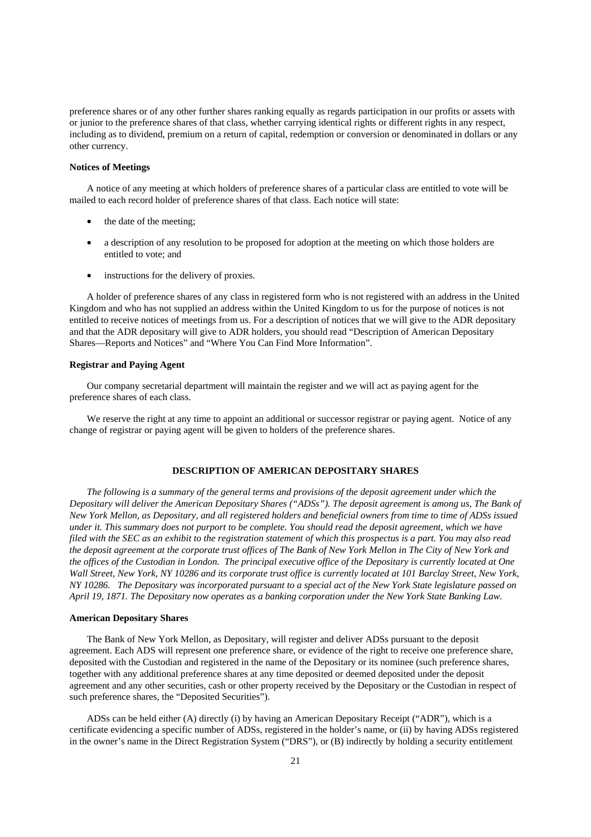preference shares or of any other further shares ranking equally as regards participation in our profits or assets with or junior to the preference shares of that class, whether carrying identical rights or different rights in any respect, including as to dividend, premium on a return of capital, redemption or conversion or denominated in dollars or any other currency.

## **Notices of Meetings**

A notice of any meeting at which holders of preference shares of a particular class are entitled to vote will be mailed to each record holder of preference shares of that class. Each notice will state:

- the date of the meeting;
- a description of any resolution to be proposed for adoption at the meeting on which those holders are entitled to vote; and
- instructions for the delivery of proxies.

A holder of preference shares of any class in registered form who is not registered with an address in the United Kingdom and who has not supplied an address within the United Kingdom to us for the purpose of notices is not entitled to receive notices of meetings from us. For a description of notices that we will give to the ADR depositary and that the ADR depositary will give to ADR holders, you should read "Description of American Depositary Shares—Reports and Notices" and "Where You Can Find More Information".

## **Registrar and Paying Agent**

Our company secretarial department will maintain the register and we will act as paying agent for the preference shares of each class.

We reserve the right at any time to appoint an additional or successor registrar or paying agent. Notice of any change of registrar or paying agent will be given to holders of the preference shares.

## **DESCRIPTION OF AMERICAN DEPOSITARY SHARES**

*The following is a summary of the general terms and provisions of the deposit agreement under which the Depositary will deliver the American Depositary Shares ("ADSs"). The deposit agreement is among us, The Bank of New York Mellon, as Depositary, and all registered holders and beneficial owners from time to time of ADSs issued under it. This summary does not purport to be complete. You should read the deposit agreement, which we have filed with the SEC as an exhibit to the registration statement of which this prospectus is a part. You may also read the deposit agreement at the corporate trust offices of The Bank of New York Mellon in The City of New York and the offices of the Custodian in London. The principal executive office of the Depositary is currently located at One Wall Street, New York, NY 10286 and its corporate trust office is currently located at 101 Barclay Street, New York, NY 10286. The Depositary was incorporated pursuant to a special act of the New York State legislature passed on April 19, 1871. The Depositary now operates as a banking corporation under the New York State Banking Law.* 

## **American Depositary Shares**

The Bank of New York Mellon, as Depositary, will register and deliver ADSs pursuant to the deposit agreement. Each ADS will represent one preference share, or evidence of the right to receive one preference share, deposited with the Custodian and registered in the name of the Depositary or its nominee (such preference shares, together with any additional preference shares at any time deposited or deemed deposited under the deposit agreement and any other securities, cash or other property received by the Depositary or the Custodian in respect of such preference shares, the "Deposited Securities").

ADSs can be held either (A) directly (i) by having an American Depositary Receipt ("ADR"), which is a certificate evidencing a specific number of ADSs, registered in the holder's name, or (ii) by having ADSs registered in the owner's name in the Direct Registration System ("DRS"), or (B) indirectly by holding a security entitlement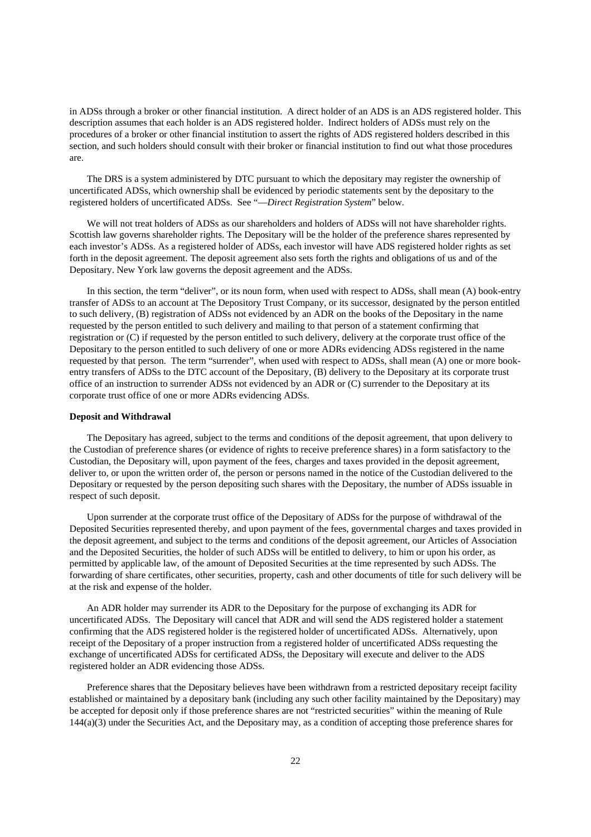in ADSs through a broker or other financial institution. A direct holder of an ADS is an ADS registered holder. This description assumes that each holder is an ADS registered holder. Indirect holders of ADSs must rely on the procedures of a broker or other financial institution to assert the rights of ADS registered holders described in this section, and such holders should consult with their broker or financial institution to find out what those procedures are.

The DRS is a system administered by DTC pursuant to which the depositary may register the ownership of uncertificated ADSs, which ownership shall be evidenced by periodic statements sent by the depositary to the registered holders of uncertificated ADSs. See "—*Direct Registration System*" below.

We will not treat holders of ADSs as our shareholders and holders of ADSs will not have shareholder rights. Scottish law governs shareholder rights. The Depositary will be the holder of the preference shares represented by each investor's ADSs. As a registered holder of ADSs, each investor will have ADS registered holder rights as set forth in the deposit agreement. The deposit agreement also sets forth the rights and obligations of us and of the Depositary. New York law governs the deposit agreement and the ADSs.

In this section, the term "deliver", or its noun form, when used with respect to ADSs, shall mean (A) book-entry transfer of ADSs to an account at The Depository Trust Company, or its successor, designated by the person entitled to such delivery, (B) registration of ADSs not evidenced by an ADR on the books of the Depositary in the name requested by the person entitled to such delivery and mailing to that person of a statement confirming that registration or (C) if requested by the person entitled to such delivery, delivery at the corporate trust office of the Depositary to the person entitled to such delivery of one or more ADRs evidencing ADSs registered in the name requested by that person. The term "surrender", when used with respect to ADSs, shall mean (A) one or more bookentry transfers of ADSs to the DTC account of the Depositary, (B) delivery to the Depositary at its corporate trust office of an instruction to surrender ADSs not evidenced by an ADR or (C) surrender to the Depositary at its corporate trust office of one or more ADRs evidencing ADSs.

#### **Deposit and Withdrawal**

The Depositary has agreed, subject to the terms and conditions of the deposit agreement, that upon delivery to the Custodian of preference shares (or evidence of rights to receive preference shares) in a form satisfactory to the Custodian, the Depositary will, upon payment of the fees, charges and taxes provided in the deposit agreement, deliver to, or upon the written order of, the person or persons named in the notice of the Custodian delivered to the Depositary or requested by the person depositing such shares with the Depositary, the number of ADSs issuable in respect of such deposit.

Upon surrender at the corporate trust office of the Depositary of ADSs for the purpose of withdrawal of the Deposited Securities represented thereby, and upon payment of the fees, governmental charges and taxes provided in the deposit agreement, and subject to the terms and conditions of the deposit agreement, our Articles of Association and the Deposited Securities, the holder of such ADSs will be entitled to delivery, to him or upon his order, as permitted by applicable law, of the amount of Deposited Securities at the time represented by such ADSs. The forwarding of share certificates, other securities, property, cash and other documents of title for such delivery will be at the risk and expense of the holder.

An ADR holder may surrender its ADR to the Depositary for the purpose of exchanging its ADR for uncertificated ADSs. The Depositary will cancel that ADR and will send the ADS registered holder a statement confirming that the ADS registered holder is the registered holder of uncertificated ADSs. Alternatively, upon receipt of the Depositary of a proper instruction from a registered holder of uncertificated ADSs requesting the exchange of uncertificated ADSs for certificated ADSs, the Depositary will execute and deliver to the ADS registered holder an ADR evidencing those ADSs.

Preference shares that the Depositary believes have been withdrawn from a restricted depositary receipt facility established or maintained by a depositary bank (including any such other facility maintained by the Depositary) may be accepted for deposit only if those preference shares are not "restricted securities" within the meaning of Rule 144(a)(3) under the Securities Act, and the Depositary may, as a condition of accepting those preference shares for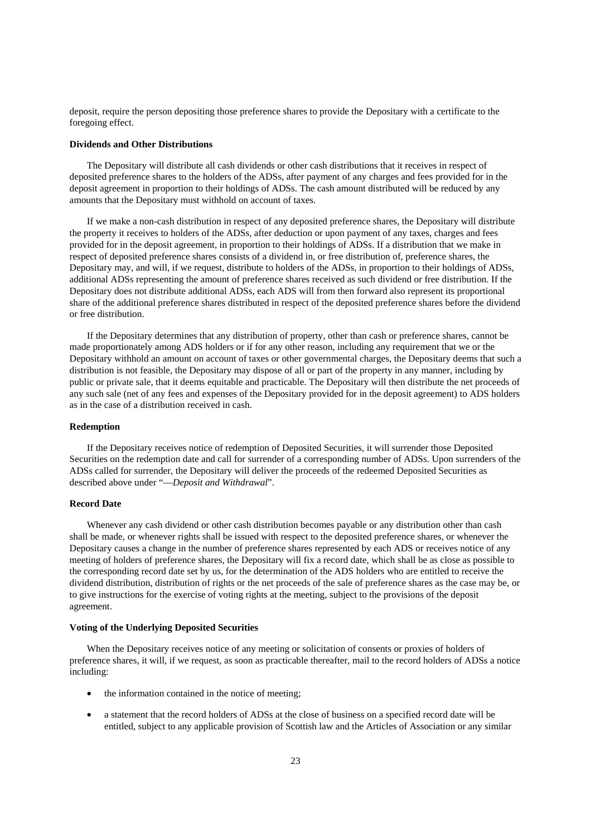deposit, require the person depositing those preference shares to provide the Depositary with a certificate to the foregoing effect.

#### **Dividends and Other Distributions**

The Depositary will distribute all cash dividends or other cash distributions that it receives in respect of deposited preference shares to the holders of the ADSs, after payment of any charges and fees provided for in the deposit agreement in proportion to their holdings of ADSs. The cash amount distributed will be reduced by any amounts that the Depositary must withhold on account of taxes.

If we make a non-cash distribution in respect of any deposited preference shares, the Depositary will distribute the property it receives to holders of the ADSs, after deduction or upon payment of any taxes, charges and fees provided for in the deposit agreement, in proportion to their holdings of ADSs. If a distribution that we make in respect of deposited preference shares consists of a dividend in, or free distribution of, preference shares, the Depositary may, and will, if we request, distribute to holders of the ADSs, in proportion to their holdings of ADSs, additional ADSs representing the amount of preference shares received as such dividend or free distribution. If the Depositary does not distribute additional ADSs, each ADS will from then forward also represent its proportional share of the additional preference shares distributed in respect of the deposited preference shares before the dividend or free distribution.

If the Depositary determines that any distribution of property, other than cash or preference shares, cannot be made proportionately among ADS holders or if for any other reason, including any requirement that we or the Depositary withhold an amount on account of taxes or other governmental charges, the Depositary deems that such a distribution is not feasible, the Depositary may dispose of all or part of the property in any manner, including by public or private sale, that it deems equitable and practicable. The Depositary will then distribute the net proceeds of any such sale (net of any fees and expenses of the Depositary provided for in the deposit agreement) to ADS holders as in the case of a distribution received in cash.

#### **Redemption**

If the Depositary receives notice of redemption of Deposited Securities, it will surrender those Deposited Securities on the redemption date and call for surrender of a corresponding number of ADSs. Upon surrenders of the ADSs called for surrender, the Depositary will deliver the proceeds of the redeemed Deposited Securities as described above under "—*Deposit and Withdrawal*".

#### **Record Date**

Whenever any cash dividend or other cash distribution becomes payable or any distribution other than cash shall be made, or whenever rights shall be issued with respect to the deposited preference shares, or whenever the Depositary causes a change in the number of preference shares represented by each ADS or receives notice of any meeting of holders of preference shares, the Depositary will fix a record date, which shall be as close as possible to the corresponding record date set by us, for the determination of the ADS holders who are entitled to receive the dividend distribution, distribution of rights or the net proceeds of the sale of preference shares as the case may be, or to give instructions for the exercise of voting rights at the meeting, subject to the provisions of the deposit agreement.

## **Voting of the Underlying Deposited Securities**

When the Depositary receives notice of any meeting or solicitation of consents or proxies of holders of preference shares, it will, if we request, as soon as practicable thereafter, mail to the record holders of ADSs a notice including:

- the information contained in the notice of meeting;
- a statement that the record holders of ADSs at the close of business on a specified record date will be entitled, subject to any applicable provision of Scottish law and the Articles of Association or any similar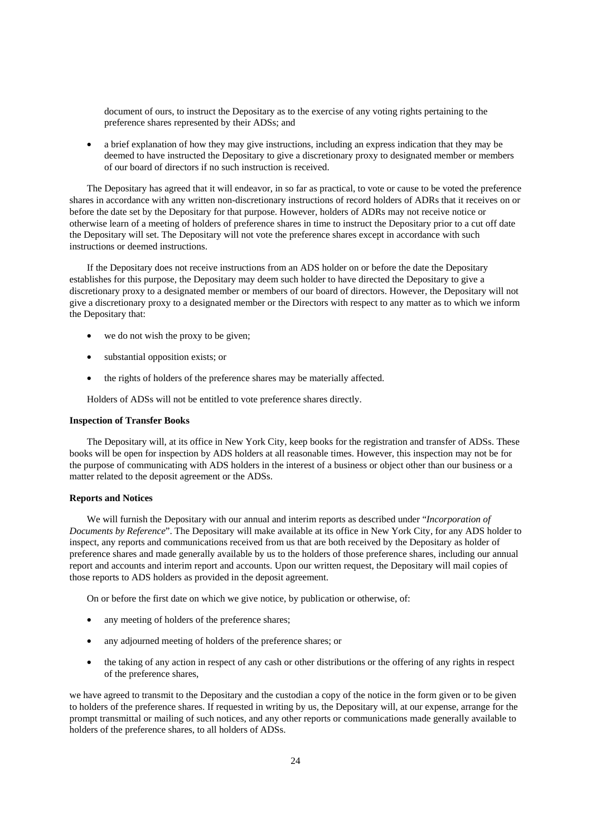document of ours, to instruct the Depositary as to the exercise of any voting rights pertaining to the preference shares represented by their ADSs; and

• a brief explanation of how they may give instructions, including an express indication that they may be deemed to have instructed the Depositary to give a discretionary proxy to designated member or members of our board of directors if no such instruction is received.

The Depositary has agreed that it will endeavor, in so far as practical, to vote or cause to be voted the preference shares in accordance with any written non-discretionary instructions of record holders of ADRs that it receives on or before the date set by the Depositary for that purpose. However, holders of ADRs may not receive notice or otherwise learn of a meeting of holders of preference shares in time to instruct the Depositary prior to a cut off date the Depositary will set. The Depositary will not vote the preference shares except in accordance with such instructions or deemed instructions.

If the Depositary does not receive instructions from an ADS holder on or before the date the Depositary establishes for this purpose, the Depositary may deem such holder to have directed the Depositary to give a discretionary proxy to a designated member or members of our board of directors. However, the Depositary will not give a discretionary proxy to a designated member or the Directors with respect to any matter as to which we inform the Depositary that:

- we do not wish the proxy to be given:
- substantial opposition exists; or
- the rights of holders of the preference shares may be materially affected.

Holders of ADSs will not be entitled to vote preference shares directly.

#### **Inspection of Transfer Books**

The Depositary will, at its office in New York City, keep books for the registration and transfer of ADSs. These books will be open for inspection by ADS holders at all reasonable times. However, this inspection may not be for the purpose of communicating with ADS holders in the interest of a business or object other than our business or a matter related to the deposit agreement or the ADSs.

#### **Reports and Notices**

We will furnish the Depositary with our annual and interim reports as described under "*Incorporation of Documents by Reference*". The Depositary will make available at its office in New York City, for any ADS holder to inspect, any reports and communications received from us that are both received by the Depositary as holder of preference shares and made generally available by us to the holders of those preference shares, including our annual report and accounts and interim report and accounts. Upon our written request, the Depositary will mail copies of those reports to ADS holders as provided in the deposit agreement.

On or before the first date on which we give notice, by publication or otherwise, of:

- any meeting of holders of the preference shares;
- any adjourned meeting of holders of the preference shares; or
- the taking of any action in respect of any cash or other distributions or the offering of any rights in respect of the preference shares,

we have agreed to transmit to the Depositary and the custodian a copy of the notice in the form given or to be given to holders of the preference shares. If requested in writing by us, the Depositary will, at our expense, arrange for the prompt transmittal or mailing of such notices, and any other reports or communications made generally available to holders of the preference shares, to all holders of ADSs.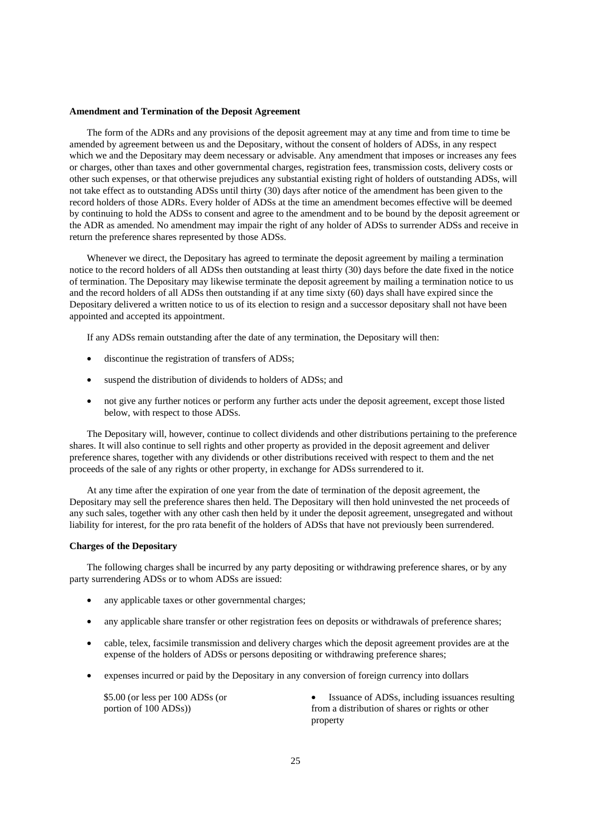#### **Amendment and Termination of the Deposit Agreement**

The form of the ADRs and any provisions of the deposit agreement may at any time and from time to time be amended by agreement between us and the Depositary, without the consent of holders of ADSs, in any respect which we and the Depositary may deem necessary or advisable. Any amendment that imposes or increases any fees or charges, other than taxes and other governmental charges, registration fees, transmission costs, delivery costs or other such expenses, or that otherwise prejudices any substantial existing right of holders of outstanding ADSs, will not take effect as to outstanding ADSs until thirty (30) days after notice of the amendment has been given to the record holders of those ADRs. Every holder of ADSs at the time an amendment becomes effective will be deemed by continuing to hold the ADSs to consent and agree to the amendment and to be bound by the deposit agreement or the ADR as amended. No amendment may impair the right of any holder of ADSs to surrender ADSs and receive in return the preference shares represented by those ADSs.

Whenever we direct, the Depositary has agreed to terminate the deposit agreement by mailing a termination notice to the record holders of all ADSs then outstanding at least thirty (30) days before the date fixed in the notice of termination. The Depositary may likewise terminate the deposit agreement by mailing a termination notice to us and the record holders of all ADSs then outstanding if at any time sixty (60) days shall have expired since the Depositary delivered a written notice to us of its election to resign and a successor depositary shall not have been appointed and accepted its appointment.

If any ADSs remain outstanding after the date of any termination, the Depositary will then:

- discontinue the registration of transfers of ADSs;
- suspend the distribution of dividends to holders of ADSs; and
- not give any further notices or perform any further acts under the deposit agreement, except those listed below, with respect to those ADSs.

The Depositary will, however, continue to collect dividends and other distributions pertaining to the preference shares. It will also continue to sell rights and other property as provided in the deposit agreement and deliver preference shares, together with any dividends or other distributions received with respect to them and the net proceeds of the sale of any rights or other property, in exchange for ADSs surrendered to it.

At any time after the expiration of one year from the date of termination of the deposit agreement, the Depositary may sell the preference shares then held. The Depositary will then hold uninvested the net proceeds of any such sales, together with any other cash then held by it under the deposit agreement, unsegregated and without liability for interest, for the pro rata benefit of the holders of ADSs that have not previously been surrendered.

#### **Charges of the Depositary**

The following charges shall be incurred by any party depositing or withdrawing preference shares, or by any party surrendering ADSs or to whom ADSs are issued:

- any applicable taxes or other governmental charges;
- any applicable share transfer or other registration fees on deposits or withdrawals of preference shares;
- cable, telex, facsimile transmission and delivery charges which the deposit agreement provides are at the expense of the holders of ADSs or persons depositing or withdrawing preference shares;
- expenses incurred or paid by the Depositary in any conversion of foreign currency into dollars

\$5.00 (or less per 100 ADSs (or portion of 100 ADSs))

Issuance of ADSs, including issuances resulting from a distribution of shares or rights or other property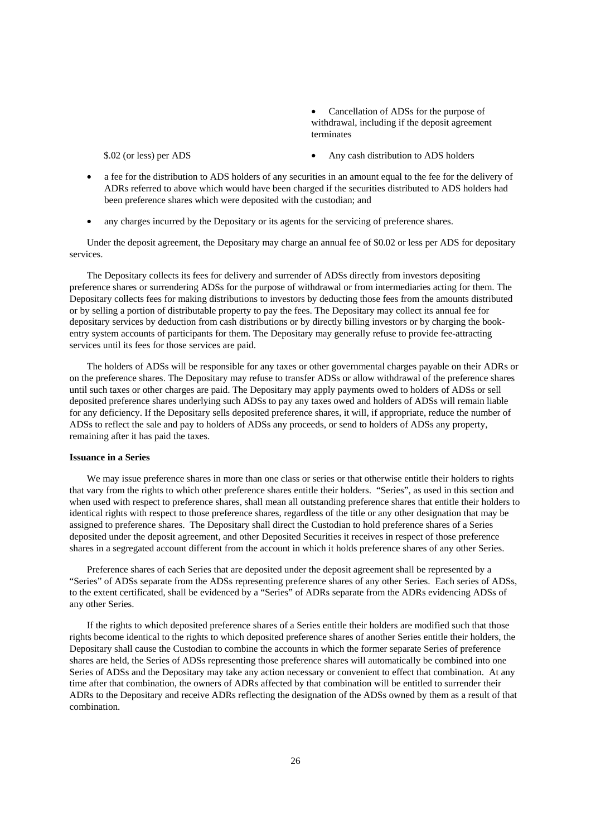• Cancellation of ADSs for the purpose of withdrawal, including if the deposit agreement terminates

\$.02 (or less) per ADS • Any cash distribution to ADS holders

- a fee for the distribution to ADS holders of any securities in an amount equal to the fee for the delivery of ADRs referred to above which would have been charged if the securities distributed to ADS holders had been preference shares which were deposited with the custodian; and
- any charges incurred by the Depositary or its agents for the servicing of preference shares.

Under the deposit agreement, the Depositary may charge an annual fee of \$0.02 or less per ADS for depositary services.

The Depositary collects its fees for delivery and surrender of ADSs directly from investors depositing preference shares or surrendering ADSs for the purpose of withdrawal or from intermediaries acting for them. The Depositary collects fees for making distributions to investors by deducting those fees from the amounts distributed or by selling a portion of distributable property to pay the fees. The Depositary may collect its annual fee for depositary services by deduction from cash distributions or by directly billing investors or by charging the bookentry system accounts of participants for them. The Depositary may generally refuse to provide fee-attracting services until its fees for those services are paid.

The holders of ADSs will be responsible for any taxes or other governmental charges payable on their ADRs or on the preference shares. The Depositary may refuse to transfer ADSs or allow withdrawal of the preference shares until such taxes or other charges are paid. The Depositary may apply payments owed to holders of ADSs or sell deposited preference shares underlying such ADSs to pay any taxes owed and holders of ADSs will remain liable for any deficiency. If the Depositary sells deposited preference shares, it will, if appropriate, reduce the number of ADSs to reflect the sale and pay to holders of ADSs any proceeds, or send to holders of ADSs any property, remaining after it has paid the taxes.

## **Issuance in a Series**

We may issue preference shares in more than one class or series or that otherwise entitle their holders to rights that vary from the rights to which other preference shares entitle their holders. "Series", as used in this section and when used with respect to preference shares, shall mean all outstanding preference shares that entitle their holders to identical rights with respect to those preference shares, regardless of the title or any other designation that may be assigned to preference shares. The Depositary shall direct the Custodian to hold preference shares of a Series deposited under the deposit agreement, and other Deposited Securities it receives in respect of those preference shares in a segregated account different from the account in which it holds preference shares of any other Series.

Preference shares of each Series that are deposited under the deposit agreement shall be represented by a "Series" of ADSs separate from the ADSs representing preference shares of any other Series. Each series of ADSs, to the extent certificated, shall be evidenced by a "Series" of ADRs separate from the ADRs evidencing ADSs of any other Series.

If the rights to which deposited preference shares of a Series entitle their holders are modified such that those rights become identical to the rights to which deposited preference shares of another Series entitle their holders, the Depositary shall cause the Custodian to combine the accounts in which the former separate Series of preference shares are held, the Series of ADSs representing those preference shares will automatically be combined into one Series of ADSs and the Depositary may take any action necessary or convenient to effect that combination. At any time after that combination, the owners of ADRs affected by that combination will be entitled to surrender their ADRs to the Depositary and receive ADRs reflecting the designation of the ADSs owned by them as a result of that combination.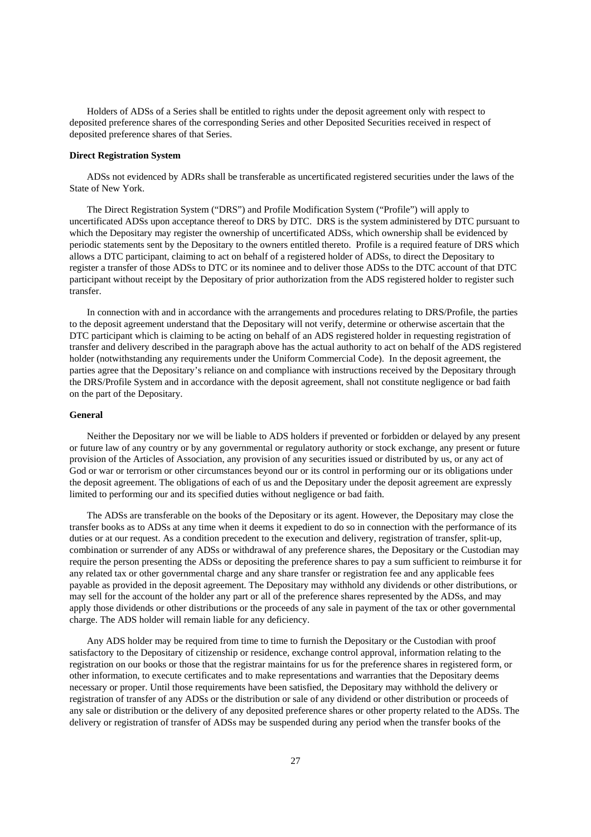Holders of ADSs of a Series shall be entitled to rights under the deposit agreement only with respect to deposited preference shares of the corresponding Series and other Deposited Securities received in respect of deposited preference shares of that Series.

## **Direct Registration System**

ADSs not evidenced by ADRs shall be transferable as uncertificated registered securities under the laws of the State of New York.

The Direct Registration System ("DRS") and Profile Modification System ("Profile") will apply to uncertificated ADSs upon acceptance thereof to DRS by DTC. DRS is the system administered by DTC pursuant to which the Depositary may register the ownership of uncertificated ADSs, which ownership shall be evidenced by periodic statements sent by the Depositary to the owners entitled thereto. Profile is a required feature of DRS which allows a DTC participant, claiming to act on behalf of a registered holder of ADSs, to direct the Depositary to register a transfer of those ADSs to DTC or its nominee and to deliver those ADSs to the DTC account of that DTC participant without receipt by the Depositary of prior authorization from the ADS registered holder to register such transfer.

In connection with and in accordance with the arrangements and procedures relating to DRS/Profile, the parties to the deposit agreement understand that the Depositary will not verify, determine or otherwise ascertain that the DTC participant which is claiming to be acting on behalf of an ADS registered holder in requesting registration of transfer and delivery described in the paragraph above has the actual authority to act on behalf of the ADS registered holder (notwithstanding any requirements under the Uniform Commercial Code). In the deposit agreement, the parties agree that the Depositary's reliance on and compliance with instructions received by the Depositary through the DRS/Profile System and in accordance with the deposit agreement, shall not constitute negligence or bad faith on the part of the Depositary.

#### **General**

Neither the Depositary nor we will be liable to ADS holders if prevented or forbidden or delayed by any present or future law of any country or by any governmental or regulatory authority or stock exchange, any present or future provision of the Articles of Association, any provision of any securities issued or distributed by us, or any act of God or war or terrorism or other circumstances beyond our or its control in performing our or its obligations under the deposit agreement. The obligations of each of us and the Depositary under the deposit agreement are expressly limited to performing our and its specified duties without negligence or bad faith.

The ADSs are transferable on the books of the Depositary or its agent. However, the Depositary may close the transfer books as to ADSs at any time when it deems it expedient to do so in connection with the performance of its duties or at our request. As a condition precedent to the execution and delivery, registration of transfer, split-up, combination or surrender of any ADSs or withdrawal of any preference shares, the Depositary or the Custodian may require the person presenting the ADSs or depositing the preference shares to pay a sum sufficient to reimburse it for any related tax or other governmental charge and any share transfer or registration fee and any applicable fees payable as provided in the deposit agreement. The Depositary may withhold any dividends or other distributions, or may sell for the account of the holder any part or all of the preference shares represented by the ADSs, and may apply those dividends or other distributions or the proceeds of any sale in payment of the tax or other governmental charge. The ADS holder will remain liable for any deficiency.

Any ADS holder may be required from time to time to furnish the Depositary or the Custodian with proof satisfactory to the Depositary of citizenship or residence, exchange control approval, information relating to the registration on our books or those that the registrar maintains for us for the preference shares in registered form, or other information, to execute certificates and to make representations and warranties that the Depositary deems necessary or proper. Until those requirements have been satisfied, the Depositary may withhold the delivery or registration of transfer of any ADSs or the distribution or sale of any dividend or other distribution or proceeds of any sale or distribution or the delivery of any deposited preference shares or other property related to the ADSs. The delivery or registration of transfer of ADSs may be suspended during any period when the transfer books of the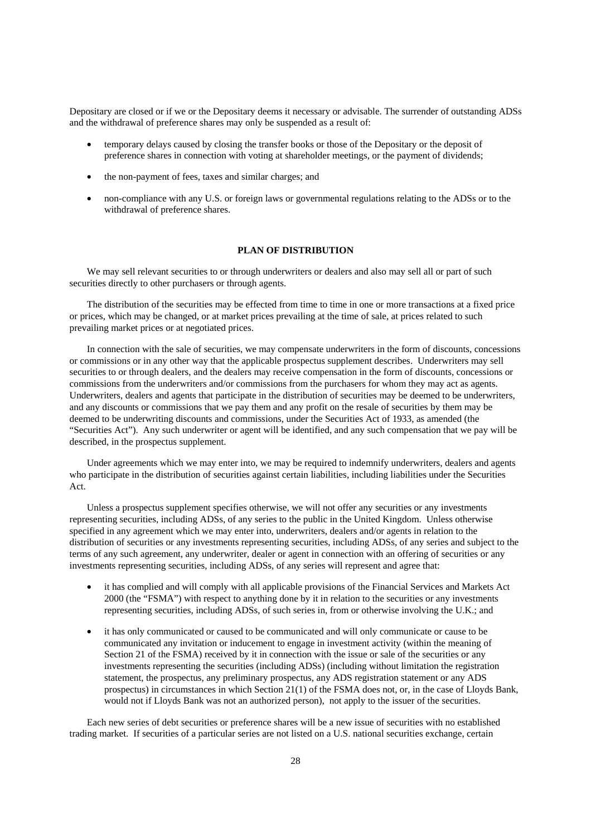Depositary are closed or if we or the Depositary deems it necessary or advisable. The surrender of outstanding ADSs and the withdrawal of preference shares may only be suspended as a result of:

- temporary delays caused by closing the transfer books or those of the Depositary or the deposit of preference shares in connection with voting at shareholder meetings, or the payment of dividends;
- the non-payment of fees, taxes and similar charges; and
- non-compliance with any U.S. or foreign laws or governmental regulations relating to the ADSs or to the withdrawal of preference shares.

## **PLAN OF DISTRIBUTION**

We may sell relevant securities to or through underwriters or dealers and also may sell all or part of such securities directly to other purchasers or through agents.

The distribution of the securities may be effected from time to time in one or more transactions at a fixed price or prices, which may be changed, or at market prices prevailing at the time of sale, at prices related to such prevailing market prices or at negotiated prices.

In connection with the sale of securities, we may compensate underwriters in the form of discounts, concessions or commissions or in any other way that the applicable prospectus supplement describes. Underwriters may sell securities to or through dealers, and the dealers may receive compensation in the form of discounts, concessions or commissions from the underwriters and/or commissions from the purchasers for whom they may act as agents. Underwriters, dealers and agents that participate in the distribution of securities may be deemed to be underwriters, and any discounts or commissions that we pay them and any profit on the resale of securities by them may be deemed to be underwriting discounts and commissions, under the Securities Act of 1933, as amended (the "Securities Act"). Any such underwriter or agent will be identified, and any such compensation that we pay will be described, in the prospectus supplement.

Under agreements which we may enter into, we may be required to indemnify underwriters, dealers and agents who participate in the distribution of securities against certain liabilities, including liabilities under the Securities Act.

Unless a prospectus supplement specifies otherwise, we will not offer any securities or any investments representing securities, including ADSs, of any series to the public in the United Kingdom. Unless otherwise specified in any agreement which we may enter into, underwriters, dealers and/or agents in relation to the distribution of securities or any investments representing securities, including ADSs, of any series and subject to the terms of any such agreement, any underwriter, dealer or agent in connection with an offering of securities or any investments representing securities, including ADSs, of any series will represent and agree that:

- it has complied and will comply with all applicable provisions of the Financial Services and Markets Act 2000 (the "FSMA") with respect to anything done by it in relation to the securities or any investments representing securities, including ADSs, of such series in, from or otherwise involving the U.K.; and
- it has only communicated or caused to be communicated and will only communicate or cause to be communicated any invitation or inducement to engage in investment activity (within the meaning of Section 21 of the FSMA) received by it in connection with the issue or sale of the securities or any investments representing the securities (including ADSs) (including without limitation the registration statement, the prospectus, any preliminary prospectus, any ADS registration statement or any ADS prospectus) in circumstances in which Section 21(1) of the FSMA does not, or, in the case of Lloyds Bank, would not if Lloyds Bank was not an authorized person), not apply to the issuer of the securities.

Each new series of debt securities or preference shares will be a new issue of securities with no established trading market. If securities of a particular series are not listed on a U.S. national securities exchange, certain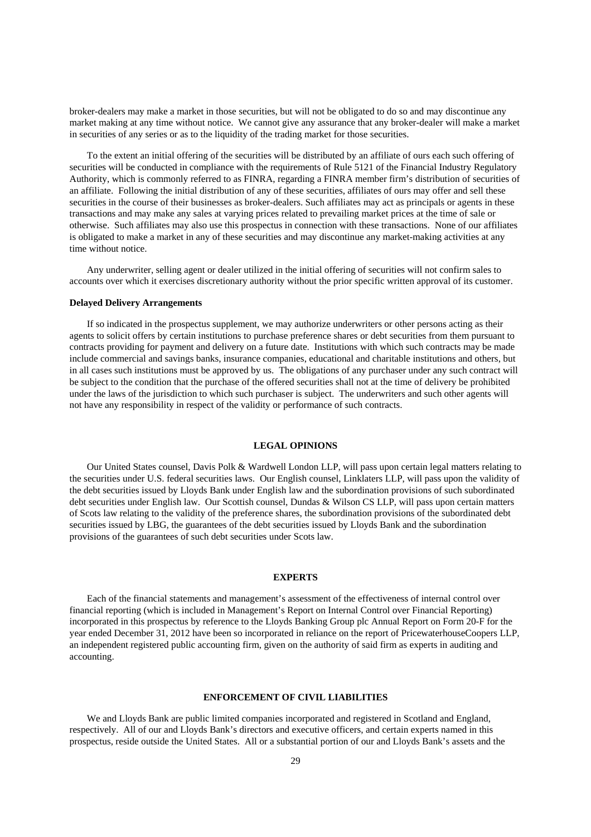broker-dealers may make a market in those securities, but will not be obligated to do so and may discontinue any market making at any time without notice. We cannot give any assurance that any broker-dealer will make a market in securities of any series or as to the liquidity of the trading market for those securities.

To the extent an initial offering of the securities will be distributed by an affiliate of ours each such offering of securities will be conducted in compliance with the requirements of Rule 5121 of the Financial Industry Regulatory Authority, which is commonly referred to as FINRA, regarding a FINRA member firm's distribution of securities of an affiliate. Following the initial distribution of any of these securities, affiliates of ours may offer and sell these securities in the course of their businesses as broker-dealers. Such affiliates may act as principals or agents in these transactions and may make any sales at varying prices related to prevailing market prices at the time of sale or otherwise. Such affiliates may also use this prospectus in connection with these transactions. None of our affiliates is obligated to make a market in any of these securities and may discontinue any market-making activities at any time without notice.

Any underwriter, selling agent or dealer utilized in the initial offering of securities will not confirm sales to accounts over which it exercises discretionary authority without the prior specific written approval of its customer.

#### **Delayed Delivery Arrangements**

If so indicated in the prospectus supplement, we may authorize underwriters or other persons acting as their agents to solicit offers by certain institutions to purchase preference shares or debt securities from them pursuant to contracts providing for payment and delivery on a future date. Institutions with which such contracts may be made include commercial and savings banks, insurance companies, educational and charitable institutions and others, but in all cases such institutions must be approved by us. The obligations of any purchaser under any such contract will be subject to the condition that the purchase of the offered securities shall not at the time of delivery be prohibited under the laws of the jurisdiction to which such purchaser is subject. The underwriters and such other agents will not have any responsibility in respect of the validity or performance of such contracts.

#### **LEGAL OPINIONS**

Our United States counsel, Davis Polk & Wardwell London LLP, will pass upon certain legal matters relating to the securities under U.S. federal securities laws. Our English counsel, Linklaters LLP, will pass upon the validity of the debt securities issued by Lloyds Bank under English law and the subordination provisions of such subordinated debt securities under English law. Our Scottish counsel, Dundas & Wilson CS LLP, will pass upon certain matters of Scots law relating to the validity of the preference shares, the subordination provisions of the subordinated debt securities issued by LBG, the guarantees of the debt securities issued by Lloyds Bank and the subordination provisions of the guarantees of such debt securities under Scots law.

#### **EXPERTS**

Each of the financial statements and management's assessment of the effectiveness of internal control over financial reporting (which is included in Management's Report on Internal Control over Financial Reporting) incorporated in this prospectus by reference to the Lloyds Banking Group plc Annual Report on Form 20-F for the year ended December 31, 2012 have been so incorporated in reliance on the report of PricewaterhouseCoopers LLP, an independent registered public accounting firm, given on the authority of said firm as experts in auditing and accounting.

## **ENFORCEMENT OF CIVIL LIABILITIES**

We and Lloyds Bank are public limited companies incorporated and registered in Scotland and England, respectively. All of our and Lloyds Bank's directors and executive officers, and certain experts named in this prospectus, reside outside the United States. All or a substantial portion of our and Lloyds Bank's assets and the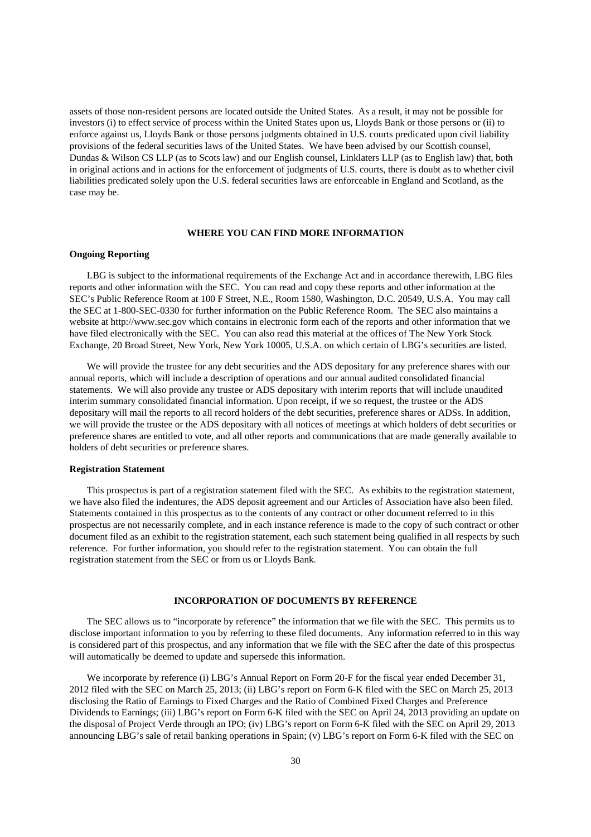assets of those non-resident persons are located outside the United States. As a result, it may not be possible for investors (i) to effect service of process within the United States upon us, Lloyds Bank or those persons or (ii) to enforce against us, Lloyds Bank or those persons judgments obtained in U.S. courts predicated upon civil liability provisions of the federal securities laws of the United States. We have been advised by our Scottish counsel, Dundas & Wilson CS LLP (as to Scots law) and our English counsel, Linklaters LLP (as to English law) that, both in original actions and in actions for the enforcement of judgments of U.S. courts, there is doubt as to whether civil liabilities predicated solely upon the U.S. federal securities laws are enforceable in England and Scotland, as the case may be.

# **WHERE YOU CAN FIND MORE INFORMATION**

## **Ongoing Reporting**

LBG is subject to the informational requirements of the Exchange Act and in accordance therewith, LBG files reports and other information with the SEC. You can read and copy these reports and other information at the SEC's Public Reference Room at 100 F Street, N.E., Room 1580, Washington, D.C. 20549, U.S.A. You may call the SEC at 1-800-SEC-0330 for further information on the Public Reference Room. The SEC also maintains a website at http://www.sec.gov which contains in electronic form each of the reports and other information that we have filed electronically with the SEC. You can also read this material at the offices of The New York Stock Exchange, 20 Broad Street, New York, New York 10005, U.S.A. on which certain of LBG's securities are listed.

We will provide the trustee for any debt securities and the ADS depositary for any preference shares with our annual reports, which will include a description of operations and our annual audited consolidated financial statements. We will also provide any trustee or ADS depositary with interim reports that will include unaudited interim summary consolidated financial information. Upon receipt, if we so request, the trustee or the ADS depositary will mail the reports to all record holders of the debt securities, preference shares or ADSs. In addition, we will provide the trustee or the ADS depositary with all notices of meetings at which holders of debt securities or preference shares are entitled to vote, and all other reports and communications that are made generally available to holders of debt securities or preference shares.

## **Registration Statement**

This prospectus is part of a registration statement filed with the SEC. As exhibits to the registration statement, we have also filed the indentures, the ADS deposit agreement and our Articles of Association have also been filed. Statements contained in this prospectus as to the contents of any contract or other document referred to in this prospectus are not necessarily complete, and in each instance reference is made to the copy of such contract or other document filed as an exhibit to the registration statement, each such statement being qualified in all respects by such reference. For further information, you should refer to the registration statement. You can obtain the full registration statement from the SEC or from us or Lloyds Bank.

## **INCORPORATION OF DOCUMENTS BY REFERENCE**

The SEC allows us to "incorporate by reference" the information that we file with the SEC. This permits us to disclose important information to you by referring to these filed documents. Any information referred to in this way is considered part of this prospectus, and any information that we file with the SEC after the date of this prospectus will automatically be deemed to update and supersede this information.

We incorporate by reference (i) LBG's Annual Report on Form 20-F for the fiscal year ended December 31, 2012 filed with the SEC on March 25, 2013; (ii) LBG's report on Form 6-K filed with the SEC on March 25, 2013 disclosing the Ratio of Earnings to Fixed Charges and the Ratio of Combined Fixed Charges and Preference Dividends to Earnings; (iii) LBG's report on Form 6-K filed with the SEC on April 24, 2013 providing an update on the disposal of Project Verde through an IPO; (iv) LBG's report on Form 6-K filed with the SEC on April 29, 2013 announcing LBG's sale of retail banking operations in Spain; (v) LBG's report on Form 6-K filed with the SEC on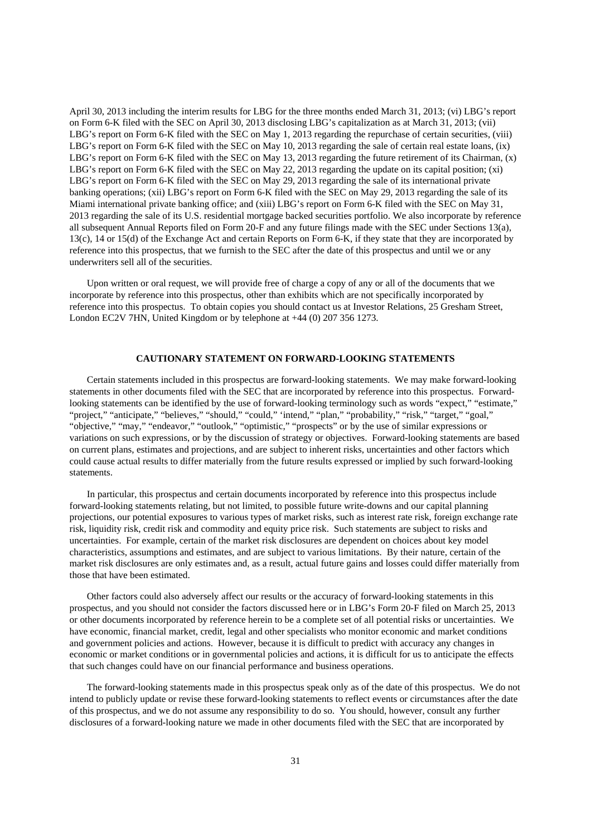April 30, 2013 including the interim results for LBG for the three months ended March 31, 2013; (vi) LBG's report on Form 6-K filed with the SEC on April 30, 2013 disclosing LBG's capitalization as at March 31, 2013; (vii) LBG's report on Form 6-K filed with the SEC on May 1, 2013 regarding the repurchase of certain securities, (viii) LBG's report on Form 6-K filed with the SEC on May 10, 2013 regarding the sale of certain real estate loans, (ix) LBG's report on Form 6-K filed with the SEC on May 13, 2013 regarding the future retirement of its Chairman, (x) LBG's report on Form 6-K filed with the SEC on May 22, 2013 regarding the update on its capital position; (xi) LBG's report on Form 6-K filed with the SEC on May 29, 2013 regarding the sale of its international private banking operations; (xii) LBG's report on Form 6-K filed with the SEC on May 29, 2013 regarding the sale of its Miami international private banking office; and (xiii) LBG's report on Form 6-K filed with the SEC on May 31, 2013 regarding the sale of its U.S. residential mortgage backed securities portfolio. We also incorporate by reference all subsequent Annual Reports filed on Form 20-F and any future filings made with the SEC under Sections 13(a), 13(c), 14 or 15(d) of the Exchange Act and certain Reports on Form 6-K, if they state that they are incorporated by reference into this prospectus, that we furnish to the SEC after the date of this prospectus and until we or any underwriters sell all of the securities.

Upon written or oral request, we will provide free of charge a copy of any or all of the documents that we incorporate by reference into this prospectus, other than exhibits which are not specifically incorporated by reference into this prospectus. To obtain copies you should contact us at Investor Relations, 25 Gresham Street, London EC2V 7HN, United Kingdom or by telephone at +44 (0) 207 356 1273.

## **CAUTIONARY STATEMENT ON FORWARD-LOOKING STATEMENTS**

Certain statements included in this prospectus are forward-looking statements. We may make forward-looking statements in other documents filed with the SEC that are incorporated by reference into this prospectus. Forwardlooking statements can be identified by the use of forward-looking terminology such as words "expect," "estimate," "project," "anticipate," "believes," "should," "could," 'intend," "plan," "probability," "risk," "target," "goal," "objective," "may," "endeavor," "outlook," "optimistic," "prospects" or by the use of similar expressions or variations on such expressions, or by the discussion of strategy or objectives. Forward-looking statements are based on current plans, estimates and projections, and are subject to inherent risks, uncertainties and other factors which could cause actual results to differ materially from the future results expressed or implied by such forward-looking statements.

In particular, this prospectus and certain documents incorporated by reference into this prospectus include forward-looking statements relating, but not limited, to possible future write-downs and our capital planning projections, our potential exposures to various types of market risks, such as interest rate risk, foreign exchange rate risk, liquidity risk, credit risk and commodity and equity price risk. Such statements are subject to risks and uncertainties. For example, certain of the market risk disclosures are dependent on choices about key model characteristics, assumptions and estimates, and are subject to various limitations. By their nature, certain of the market risk disclosures are only estimates and, as a result, actual future gains and losses could differ materially from those that have been estimated.

Other factors could also adversely affect our results or the accuracy of forward-looking statements in this prospectus, and you should not consider the factors discussed here or in LBG's Form 20-F filed on March 25, 2013 or other documents incorporated by reference herein to be a complete set of all potential risks or uncertainties. We have economic, financial market, credit, legal and other specialists who monitor economic and market conditions and government policies and actions. However, because it is difficult to predict with accuracy any changes in economic or market conditions or in governmental policies and actions, it is difficult for us to anticipate the effects that such changes could have on our financial performance and business operations.

The forward-looking statements made in this prospectus speak only as of the date of this prospectus. We do not intend to publicly update or revise these forward-looking statements to reflect events or circumstances after the date of this prospectus, and we do not assume any responsibility to do so. You should, however, consult any further disclosures of a forward-looking nature we made in other documents filed with the SEC that are incorporated by